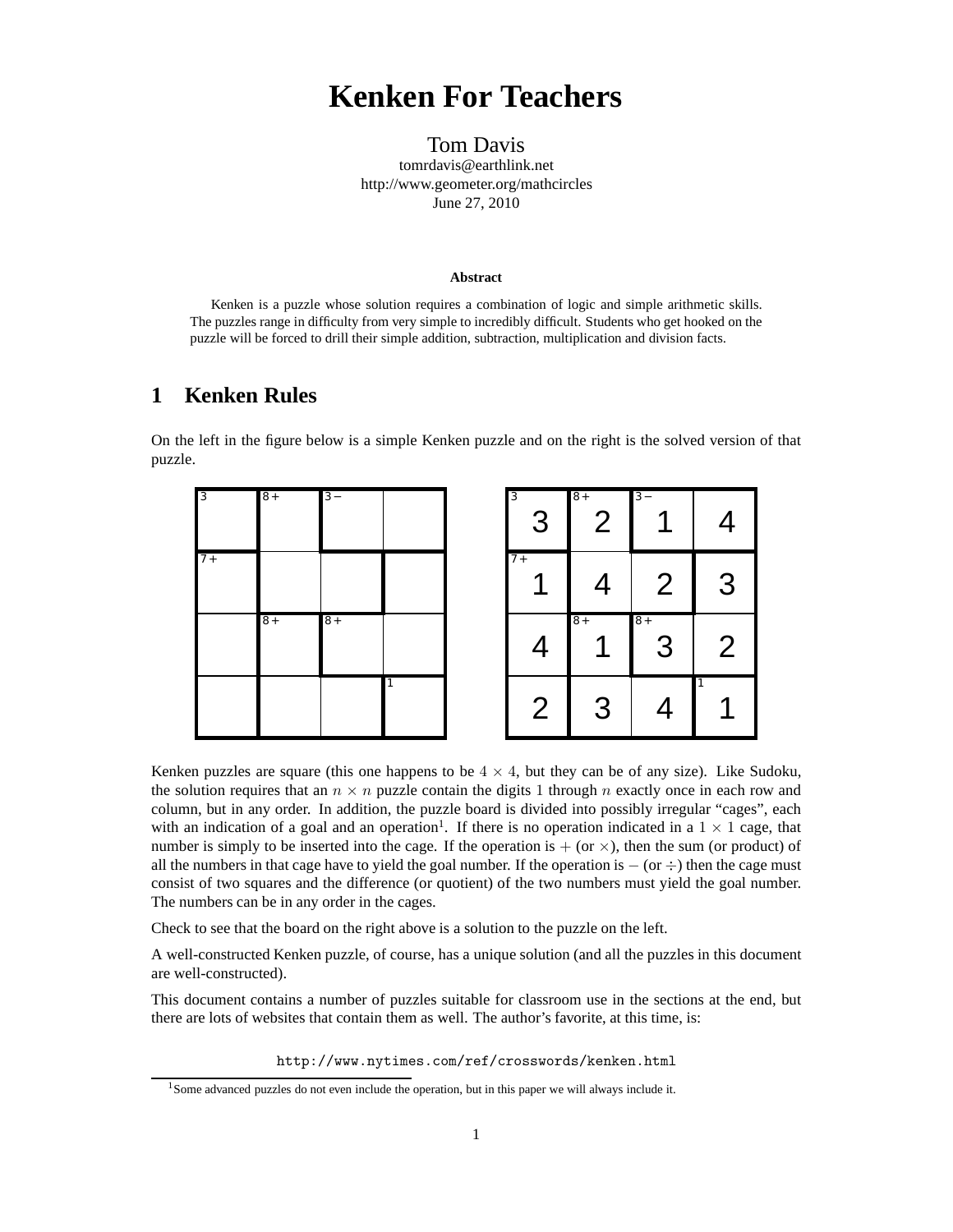## **Kenken For Teachers**

Tom Davis tomrdavis@earthlink.net http://www.geometer.org/mathcircles June 27, 2010

#### **Abstract**

Kenken is a puzzle whose solution requires a combination of logic and simple arithmetic skills. The puzzles range in difficulty from very simple to incredibly difficult. Students who get hooked on the puzzle will be forced to drill their simple addition, subtraction, multiplication and division facts.

### **1 Kenken Rules**

On the left in the figure below is a simple Kenken puzzle and on the right is the solved version of that puzzle.





Kenken puzzles are square (this one happens to be  $4 \times 4$ , but they can be of any size). Like Sudoku, the solution requires that an  $n \times n$  puzzle contain the digits 1 through n exactly once in each row and column, but in any order. In addition, the puzzle board is divided into possibly irregular "cages", each with an indication of a goal and an operation<sup>1</sup>. If there is no operation indicated in a  $1 \times 1$  cage, that number is simply to be inserted into the cage. If the operation is  $+$  (or  $\times$ ), then the sum (or product) of all the numbers in that cage have to yield the goal number. If the operation is  $-$  (or  $\div$ ) then the cage must consist of two squares and the difference (or quotient) of the two numbers must yield the goal number. The numbers can be in any order in the cages.

Check to see that the board on the right above is a solution to the puzzle on the left.

A well-constructed Kenken puzzle, of course, has a unique solution (and all the puzzles in this document are well-constructed).

This document contains a number of puzzles suitable for classroom use in the sections at the end, but there are lots of websites that contain them as well. The author's favorite, at this time, is:

http://www.nytimes.com/ref/crosswords/kenken.html

<sup>&</sup>lt;sup>1</sup>Some advanced puzzles do not even include the operation, but in this paper we will always include it.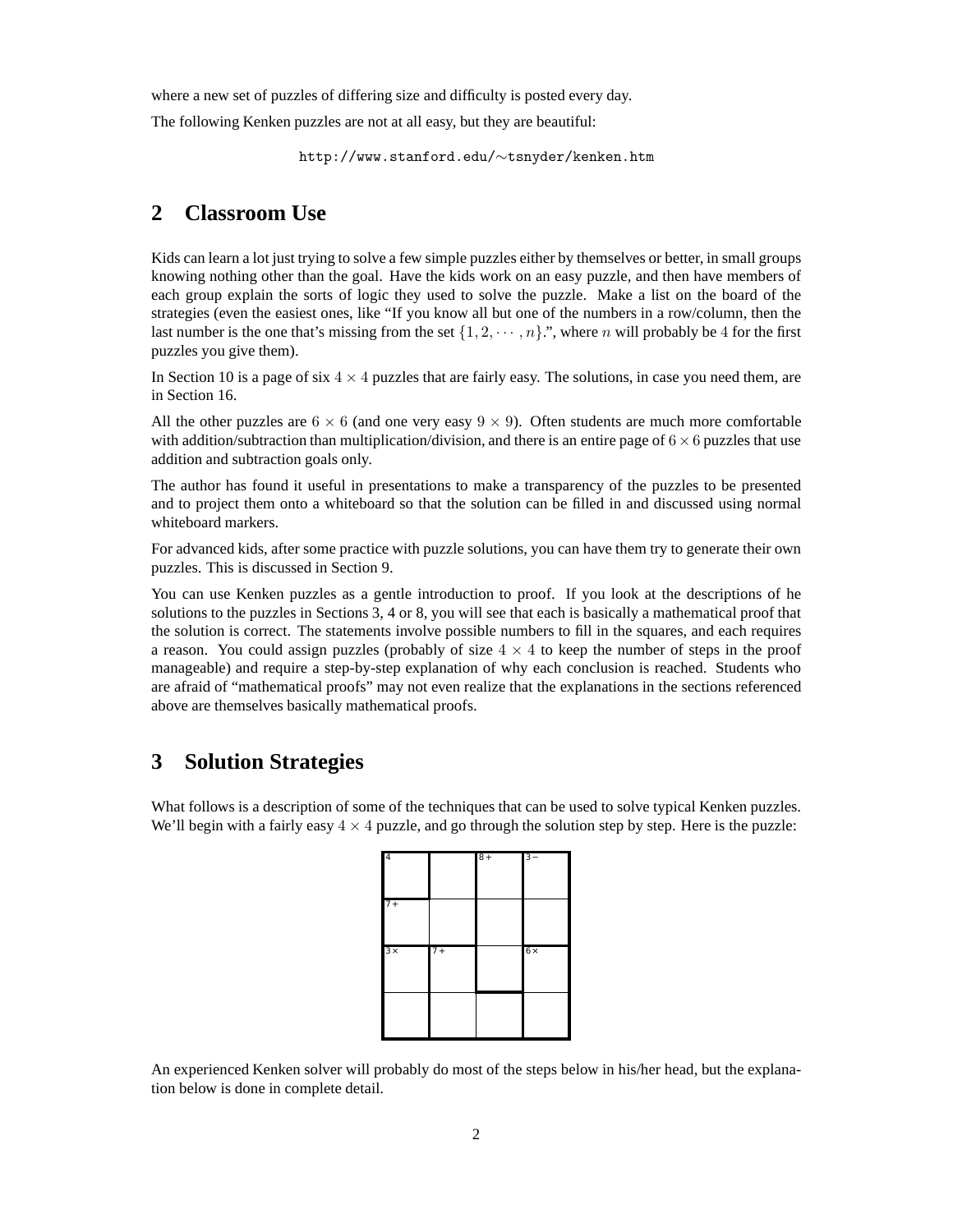where a new set of puzzles of differing size and difficulty is posted every day.

The following Kenken puzzles are not at all easy, but they are beautiful:

http://www.stanford.edu/∼tsnyder/kenken.htm

### **2 Classroom Use**

Kids can learn a lot just trying to solve a few simple puzzles either by themselves or better, in small groups knowing nothing other than the goal. Have the kids work on an easy puzzle, and then have members of each group explain the sorts of logic they used to solve the puzzle. Make a list on the board of the strategies (even the easiest ones, like "If you know all but one of the numbers in a row/column, then the last number is the one that's missing from the set  $\{1, 2, \dots, n\}$ .", where n will probably be 4 for the first puzzles you give them).

In Section 10 is a page of six  $4 \times 4$  puzzles that are fairly easy. The solutions, in case you need them, are in Section 16.

All the other puzzles are  $6 \times 6$  (and one very easy  $9 \times 9$ ). Often students are much more comfortable with addition/subtraction than multiplication/division, and there is an entire page of  $6 \times 6$  puzzles that use addition and subtraction goals only.

The author has found it useful in presentations to make a transparency of the puzzles to be presented and to project them onto a whiteboard so that the solution can be filled in and discussed using normal whiteboard markers.

For advanced kids, after some practice with puzzle solutions, you can have them try to generate their own puzzles. This is discussed in Section 9.

You can use Kenken puzzles as a gentle introduction to proof. If you look at the descriptions of he solutions to the puzzles in Sections 3, 4 or 8, you will see that each is basically a mathematical proof that the solution is correct. The statements involve possible numbers to fill in the squares, and each requires a reason. You could assign puzzles (probably of size  $4 \times 4$  to keep the number of steps in the proof manageable) and require a step-by-step explanation of why each conclusion is reached. Students who are afraid of "mathematical proofs" may not even realize that the explanations in the sections referenced above are themselves basically mathematical proofs.

### **3 Solution Strategies**

What follows is a description of some of the techniques that can be used to solve typical Kenken puzzles. We'll begin with a fairly easy  $4 \times 4$  puzzle, and go through the solution step by step. Here is the puzzle:

| $\overline{4}$ |      | $8+$ | $3 -$      |
|----------------|------|------|------------|
| $7+$           |      |      |            |
| $3 \times$     | $7+$ |      | $6 \times$ |
|                |      |      |            |

An experienced Kenken solver will probably do most of the steps below in his/her head, but the explanation below is done in complete detail.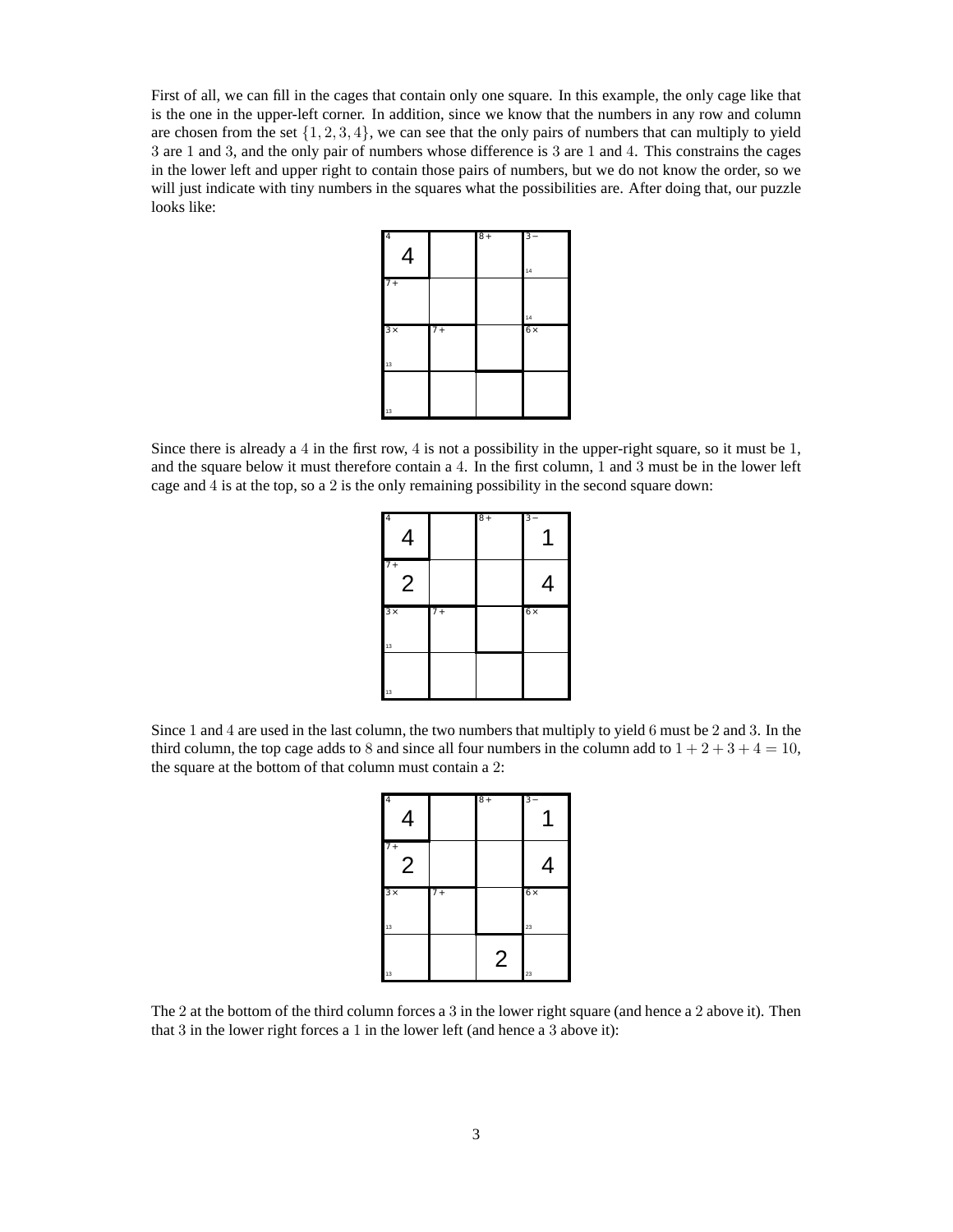First of all, we can fill in the cages that contain only one square. In this example, the only cage like that is the one in the upper-left corner. In addition, since we know that the numbers in any row and column are chosen from the set  $\{1, 2, 3, 4\}$ , we can see that the only pairs of numbers that can multiply to yield 3 are 1 and 3, and the only pair of numbers whose difference is 3 are 1 and 4. This constrains the cages in the lower left and upper right to contain those pairs of numbers, but we do not know the order, so we will just indicate with tiny numbers in the squares what the possibilities are. After doing that, our puzzle looks like:



Since there is already a 4 in the first row, 4 is not a possibility in the upper-right square, so it must be 1, and the square below it must therefore contain a 4. In the first column, 1 and 3 must be in the lower left cage and 4 is at the top, so a 2 is the only remaining possibility in the second square down:

| 4<br>4                 |      | $8+$ | $3-$      |
|------------------------|------|------|-----------|
| $7+$<br>$\overline{2}$ |      |      | 4         |
| $3 \times$<br>13       | $7+$ |      | $6\times$ |
| 13                     |      |      |           |

Since 1 and 4 are used in the last column, the two numbers that multiply to yield 6 must be 2 and 3. In the third column, the top cage adds to 8 and since all four numbers in the column add to  $1 + 2 + 3 + 4 = 10$ , the square at the bottom of that column must contain a 2:

| 4                      |       | $8+$ |           |
|------------------------|-------|------|-----------|
| $7+$<br>$\overline{2}$ |       |      | 4         |
| $3 \times$             | $7 +$ |      | $6\times$ |
| 13                     |       |      | 23        |

The 2 at the bottom of the third column forces a 3 in the lower right square (and hence a 2 above it). Then that 3 in the lower right forces a 1 in the lower left (and hence a 3 above it):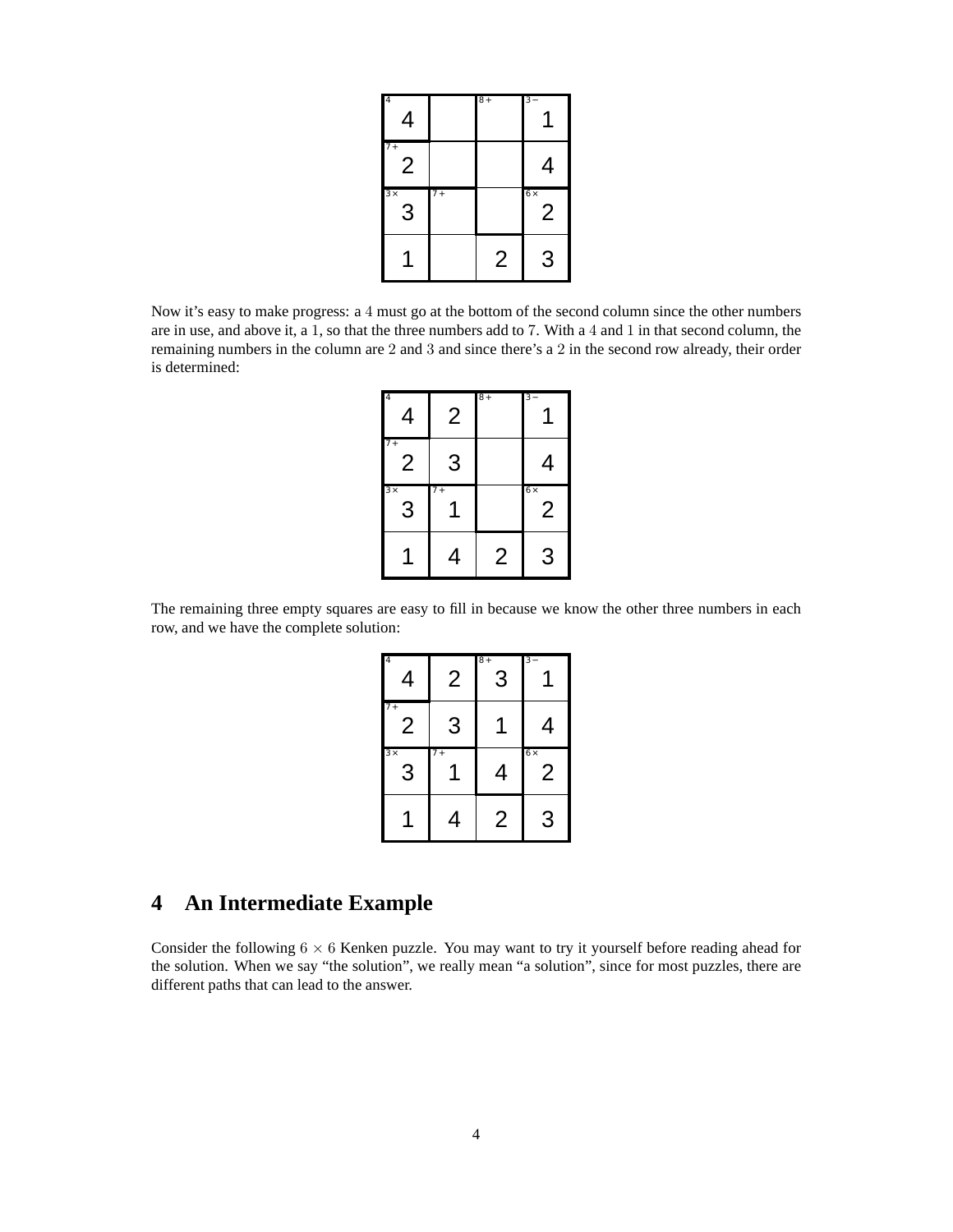| 4<br>4     |      | $8+$ | $3 -$          |
|------------|------|------|----------------|
| $7+$<br>2  |      |      | 4              |
| $3 \times$ | $7+$ |      | $6 \times$     |
| 3          |      |      | $\overline{2}$ |

Now it's easy to make progress: a 4 must go at the bottom of the second column since the other numbers are in use, and above it, a 1, so that the three numbers add to 7. With a 4 and 1 in that second column, the remaining numbers in the column are 2 and 3 and since there's a 2 in the second row already, their order is determined:

| 4                                  | 2    | $8+$ |                             |
|------------------------------------|------|------|-----------------------------|
| $\overline{7}$ +<br>$\overline{2}$ | 3    |      | 4                           |
|                                    |      |      |                             |
| 3x<br>3                            | $7+$ |      | $6\times$<br>$\overline{2}$ |

The remaining three empty squares are easy to fill in because we know the other three numbers in each row, and we have the complete solution:

| 4                      | 2                | $\overline{8}$ +<br>3 |                 |
|------------------------|------------------|-----------------------|-----------------|
| $7+$<br>$\overline{2}$ | 3                |                       | 4               |
| 3x<br>3                | $\overline{7}$ + | 4                     | $6 \times$<br>2 |
|                        | 4                | 2                     | 3               |

## **4 An Intermediate Example**

Consider the following  $6 \times 6$  Kenken puzzle. You may want to try it yourself before reading ahead for the solution. When we say "the solution", we really mean "a solution", since for most puzzles, there are different paths that can lead to the answer.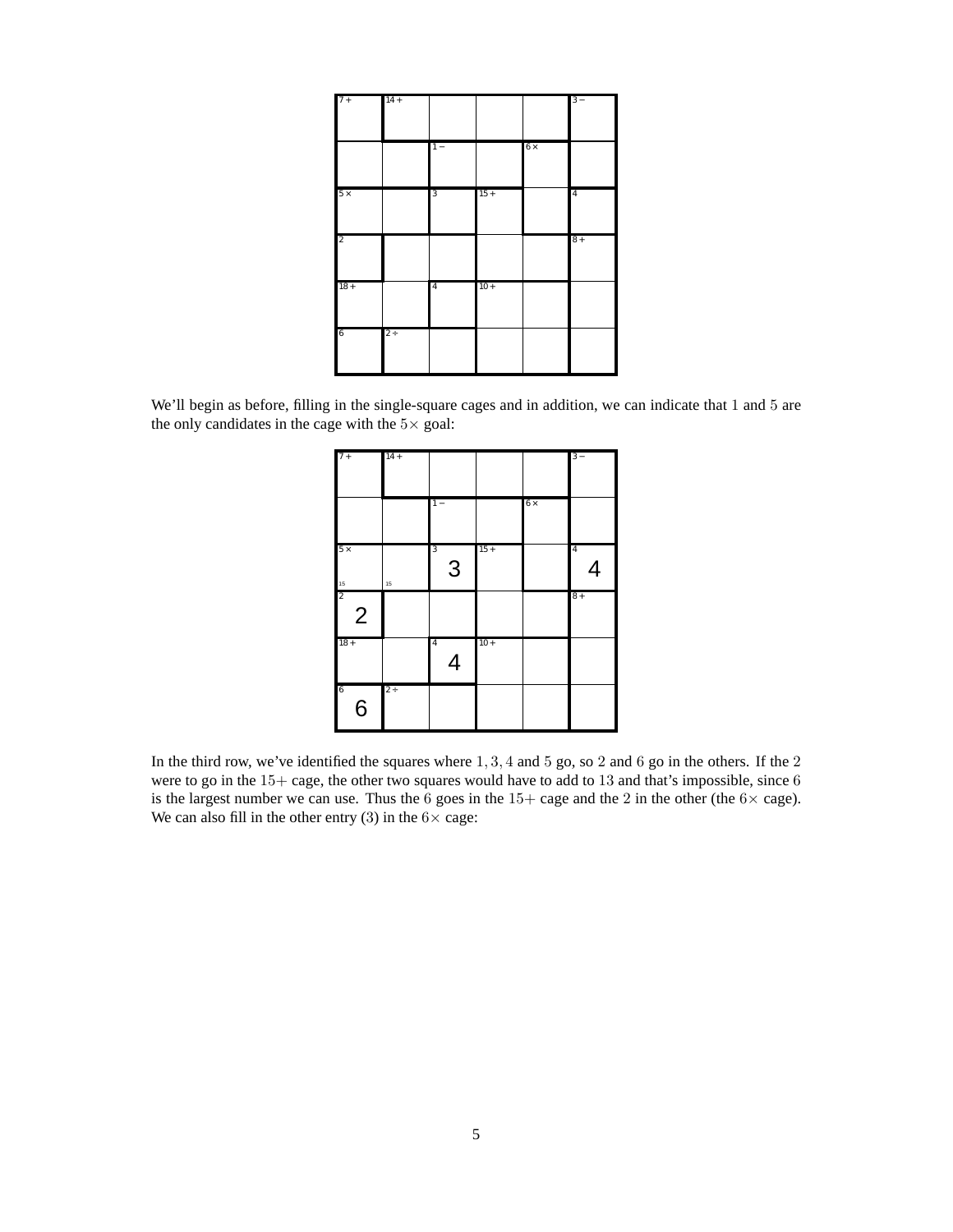| $7+$            | $14 +$ |                  |        |           | $3 -$          |
|-----------------|--------|------------------|--------|-----------|----------------|
|                 |        | $\overline{1}$ – |        | $6\times$ |                |
| $5\times$       |        | $\overline{3}$   | $15 +$ |           | $\overline{4}$ |
| $\overline{2}$  |        |                  |        |           | $8+$           |
| $18 +$          |        | $\overline{4}$   | $10 +$ |           |                |
| $6\phantom{.0}$ | $2 +$  |                  |        |           |                |

We'll begin as before, filling in the single-square cages and in addition, we can indicate that 1 and 5 are the only candidates in the cage with the  $5\times$  goal:

| $7+$                             | $14 +$   |                                  |        |           | $3 -$               |
|----------------------------------|----------|----------------------------------|--------|-----------|---------------------|
|                                  |          | $1 -$                            |        | $6\times$ |                     |
| $5\times$<br>15                  | $15\,$   | 3<br>3                           | $15 +$ |           | $\overline{4}$<br>4 |
| $\overline{2}$<br>$\overline{2}$ |          |                                  |        |           | $8+$                |
| $18 +$                           |          | $\overline{4}$<br>$\overline{4}$ | $10 +$ |           |                     |
| $\overline{6}$<br>$\overline{6}$ | $2 \div$ |                                  |        |           |                     |

In the third row, we've identified the squares where 1, 3, 4 and 5 go, so 2 and 6 go in the others. If the 2 were to go in the 15+ cage, the other two squares would have to add to 13 and that's impossible, since 6 is the largest number we can use. Thus the 6 goes in the 15+ cage and the 2 in the other (the  $6 \times$  cage). We can also fill in the other entry (3) in the  $6 \times \text{cage}$ :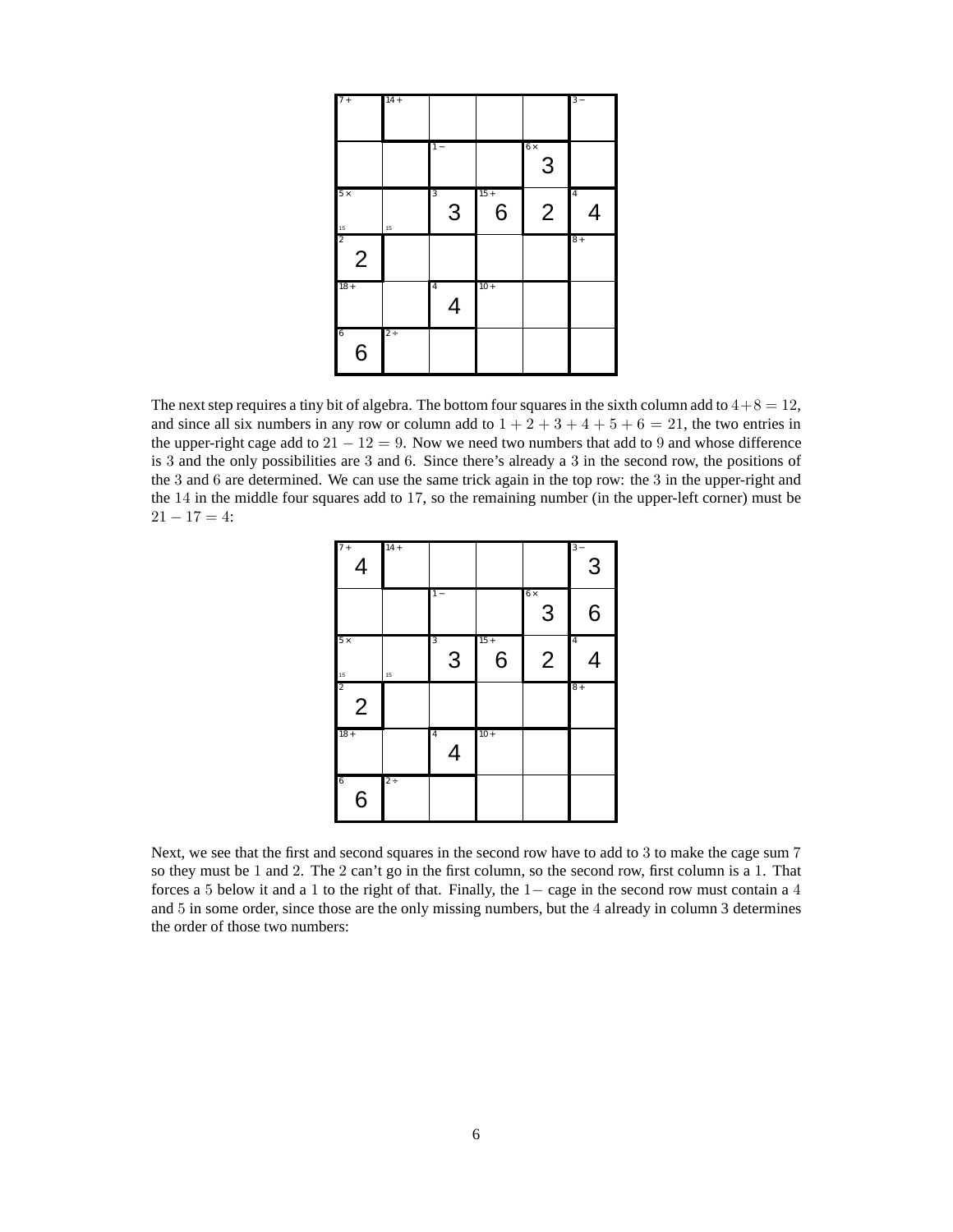| $7+$                        | $14 +$ |                     |             |                | $3 -$          |
|-----------------------------|--------|---------------------|-------------|----------------|----------------|
|                             |        | $\overline{1}$ –    |             | $6\times$<br>3 |                |
| $5\times$<br>$\frac{15}{2}$ | $15\,$ | 3<br>3              | $15 +$<br>6 | $\overline{2}$ | $\overline{4}$ |
| $\overline{2}$              |        |                     |             |                | $8+$           |
| $18 +$                      |        | $\overline{4}$<br>4 | $10 +$      |                |                |
| 6<br>$6\phantom{1}6$        | $2 +$  |                     |             |                |                |

The next step requires a tiny bit of algebra. The bottom four squares in the sixth column add to  $4+8 = 12$ , and since all six numbers in any row or column add to  $1 + 2 + 3 + 4 + 5 + 6 = 21$ , the two entries in the upper-right cage add to  $21 - 12 = 9$ . Now we need two numbers that add to 9 and whose difference is 3 and the only possibilities are 3 and 6. Since there's already a 3 in the second row, the positions of the 3 and 6 are determined. We can use the same trick again in the top row: the 3 in the upper-right and the 14 in the middle four squares add to 17, so the remaining number (in the upper-left corner) must be  $21 - 17 = 4$ :

| $7+$<br>$\overline{4}$           | $14 +$  |                     |             |                 | $3 -$<br>3     |
|----------------------------------|---------|---------------------|-------------|-----------------|----------------|
|                                  |         | $1 -$               |             | $6 \times$<br>3 | 6              |
| $5 \times$                       | 15      | 3<br>3              | $15 +$<br>6 | $\overline{2}$  | $\overline{4}$ |
| $\frac{15}{2}$<br>$\overline{2}$ |         |                     |             |                 | $8+$           |
| $18 +$                           |         | $\overline{4}$<br>4 | $10 +$      |                 |                |
| 6<br>6                           | $2\div$ |                     |             |                 |                |

Next, we see that the first and second squares in the second row have to add to 3 to make the cage sum 7 so they must be 1 and 2. The 2 can't go in the first column, so the second row, first column is a 1. That forces a 5 below it and a 1 to the right of that. Finally, the 1− cage in the second row must contain a 4 and 5 in some order, since those are the only missing numbers, but the 4 already in column 3 determines the order of those two numbers: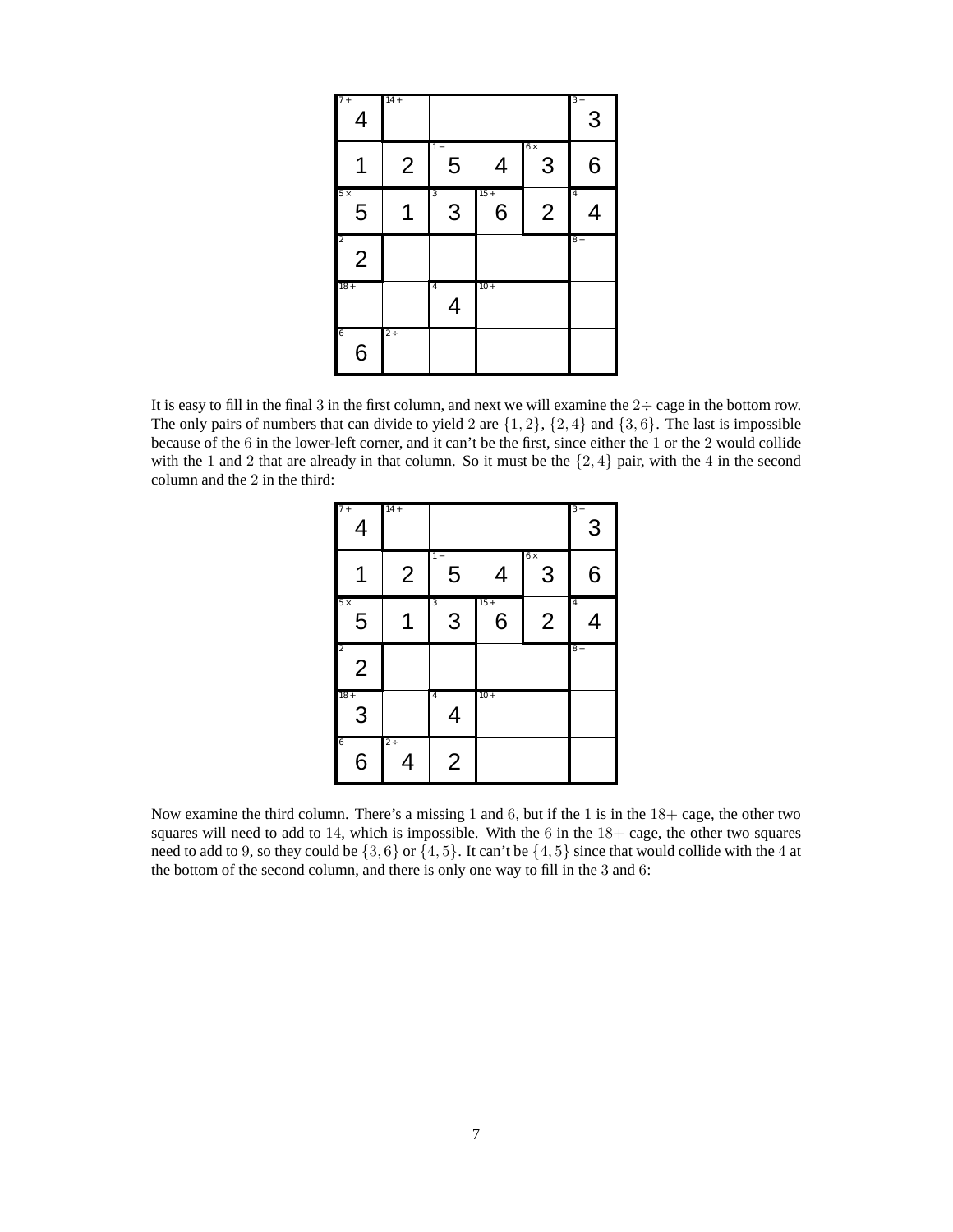| $7+$<br>$\overline{4}$                    | $14 +$         |                     |             |                | $3 -$<br>3          |
|-------------------------------------------|----------------|---------------------|-------------|----------------|---------------------|
| 1                                         | $\overline{2}$ | $1 -$<br>5          | 4           | $6\times$<br>3 | 6                   |
| $5 \times$<br>$\overline{5}$              |                | 3<br>3              | $15 +$<br>6 | $\overline{2}$ | $\overline{4}$<br>4 |
| $\overline{\mathbf{c}}$<br>$\overline{2}$ |                |                     |             |                | $8+$                |
| $18 +$                                    |                | $\overline{4}$<br>4 | $10 +$      |                |                     |
| $\overline{6}$<br>6                       | $2 +$          |                     |             |                |                     |

It is easy to fill in the final 3 in the first column, and next we will examine the  $2 \div \text{cage}$  in the bottom row. The only pairs of numbers that can divide to yield 2 are  $\{1, 2\}$ ,  $\{2, 4\}$  and  $\{3, 6\}$ . The last is impossible because of the 6 in the lower-left corner, and it can't be the first, since either the 1 or the 2 would collide with the 1 and 2 that are already in that column. So it must be the  $\{2, 4\}$  pair, with the 4 in the second column and the 2 in the third:

| $7+$<br>$\overline{4}$           | $14 +$         |                     |             |                 | $3 -$<br>$\overline{3}$ |
|----------------------------------|----------------|---------------------|-------------|-----------------|-------------------------|
|                                  | $\overline{2}$ | $1 -$<br>5          | 4           | $6 \times$<br>3 | 6                       |
| $5\times$<br>5                   | 1              | 3<br>3              | $15 +$<br>6 | $\overline{2}$  | $\overline{4}$<br>4     |
| $\overline{2}$<br>$\overline{2}$ |                |                     |             |                 | $8+$                    |
| $18 +$<br>3                      |                | $\overline{4}$<br>4 | $10 +$      |                 |                         |
| 6<br>6                           | $2 +$<br>4     | $\overline{2}$      |             |                 |                         |

Now examine the third column. There's a missing 1 and 6, but if the 1 is in the 18+ cage, the other two squares will need to add to 14, which is impossible. With the  $6$  in the  $18+$  cage, the other two squares need to add to 9, so they could be  $\{3, 6\}$  or  $\{4, 5\}$ . It can't be  $\{4, 5\}$  since that would collide with the 4 at the bottom of the second column, and there is only one way to fill in the 3 and 6: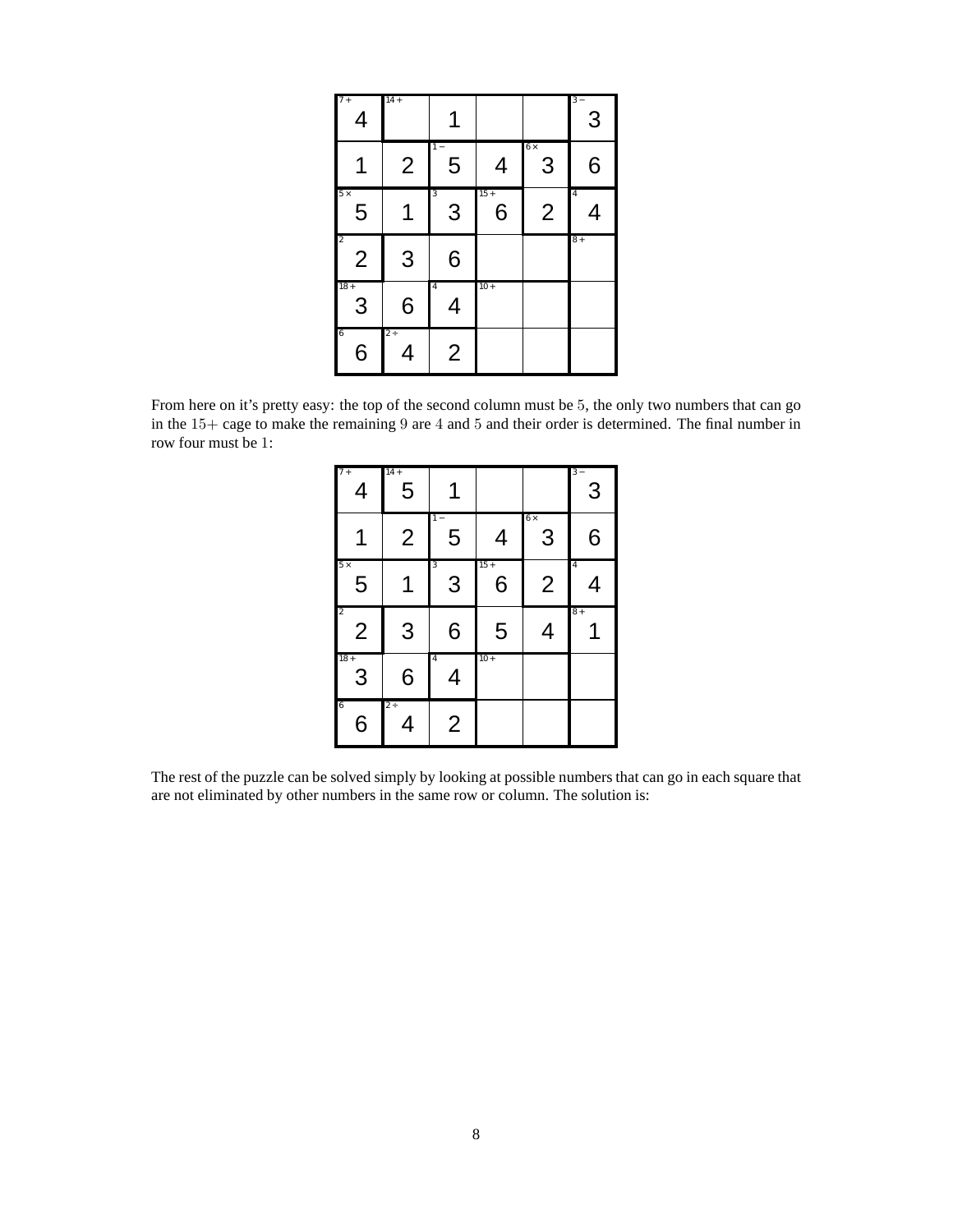| $7+$<br>$\overline{4}$           | $14 +$         | 1                   |             |                 | $3 -$<br>3          |
|----------------------------------|----------------|---------------------|-------------|-----------------|---------------------|
|                                  | $\overline{2}$ | $1 -$<br>5          | 4           | $6 \times$<br>3 | 6                   |
| $5\times$<br>5                   |                | 3<br>3              | $15 +$<br>6 | $\overline{2}$  | $\overline{4}$<br>4 |
| $\overline{2}$<br>$\overline{2}$ | 3              | 6                   |             |                 | $8+$                |
| $18 +$<br>3                      | 6              | $\overline{4}$<br>4 | $10+$       |                 |                     |
| $\overline{6}$<br>6              | $2 \div$<br>4  | $\overline{2}$      |             |                 |                     |

From here on it's pretty easy: the top of the second column must be 5, the only two numbers that can go in the 15+ cage to make the remaining 9 are 4 and 5 and their order is determined. The final number in row four must be 1:

| $7+$<br>4                        | $14 +$<br>5    |                     |             |                 | $3 -$<br>3          |
|----------------------------------|----------------|---------------------|-------------|-----------------|---------------------|
|                                  | $\overline{2}$ | $1 -$<br>5          | 4           | $6 \times$<br>3 | 6                   |
| $5\times$<br>5                   | 1              | 3<br>3              | $15 +$<br>6 | $\overline{2}$  | $\overline{4}$<br>4 |
| $\overline{c}$<br>$\overline{2}$ | 3              | 6                   | 5           | 4               | $8+$                |
| $18 +$<br>3                      | 6              | $\overline{4}$<br>4 | $10 +$      |                 |                     |
| 6<br>6                           | $2 \div$<br>4  | $\overline{2}$      |             |                 |                     |

The rest of the puzzle can be solved simply by looking at possible numbers that can go in each square that are not eliminated by other numbers in the same row or column. The solution is: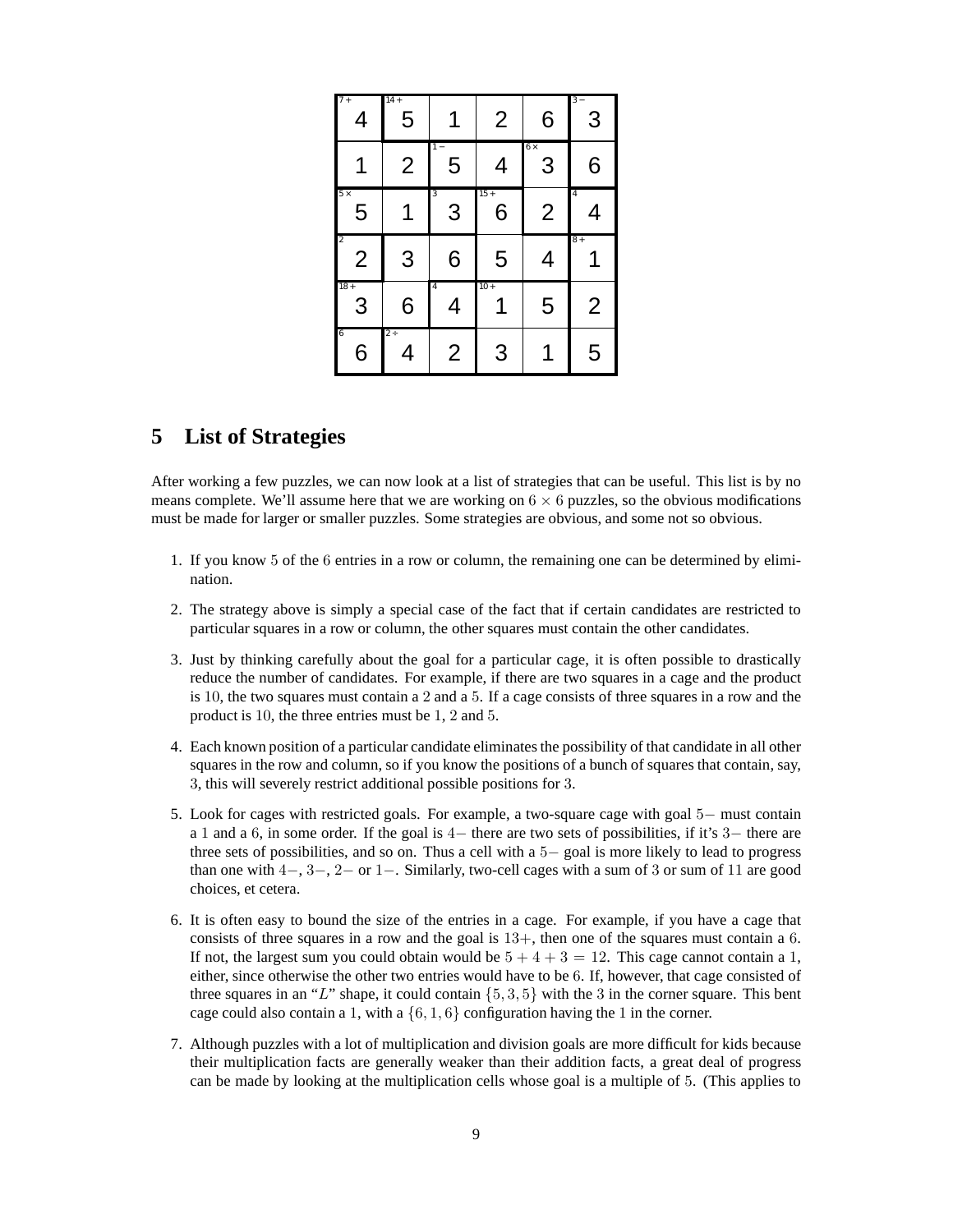| $7+$<br>4                        | $14 +$<br>5    |                     | $\overline{2}$ | 6               | 3                   |
|----------------------------------|----------------|---------------------|----------------|-----------------|---------------------|
|                                  | $\overline{2}$ | 5                   | 4              | $6 \times$<br>3 | 6                   |
| $5 \times$<br>5                  | 1              | 3<br>3              | $15 +$<br>6    | $\overline{2}$  | $\overline{4}$<br>4 |
| $\overline{2}$<br>$\overline{2}$ | 3              | 6                   | 5              | 4               | $8+$                |
| $18 +$<br>3                      | 6              | $\overline{4}$<br>4 | $10 +$         | 5               | $\overline{2}$      |
| $\overline{6}$<br>6              | $2+$<br>4      | $\overline{2}$      | 3              |                 | 5                   |

### **5 List of Strategies**

After working a few puzzles, we can now look at a list of strategies that can be useful. This list is by no means complete. We'll assume here that we are working on  $6 \times 6$  puzzles, so the obvious modifications must be made for larger or smaller puzzles. Some strategies are obvious, and some not so obvious.

- 1. If you know 5 of the 6 entries in a row or column, the remaining one can be determined by elimination.
- 2. The strategy above is simply a special case of the fact that if certain candidates are restricted to particular squares in a row or column, the other squares must contain the other candidates.
- 3. Just by thinking carefully about the goal for a particular cage, it is often possible to drastically reduce the number of candidates. For example, if there are two squares in a cage and the product is 10, the two squares must contain a 2 and a 5. If a cage consists of three squares in a row and the product is 10, the three entries must be 1, 2 and 5.
- 4. Each known position of a particular candidate eliminates the possibility of that candidate in all other squares in the row and column, so if you know the positions of a bunch of squares that contain, say, 3, this will severely restrict additional possible positions for 3.
- 5. Look for cages with restricted goals. For example, a two-square cage with goal 5− must contain a 1 and a 6, in some order. If the goal is 4− there are two sets of possibilities, if it's 3− there are three sets of possibilities, and so on. Thus a cell with a 5− goal is more likely to lead to progress than one with  $4-$ ,  $3-$ ,  $2-$  or  $1-$ . Similarly, two-cell cages with a sum of 3 or sum of 11 are good choices, et cetera.
- 6. It is often easy to bound the size of the entries in a cage. For example, if you have a cage that consists of three squares in a row and the goal is  $13+$ , then one of the squares must contain a 6. If not, the largest sum you could obtain would be  $5 + 4 + 3 = 12$ . This cage cannot contain a 1, either, since otherwise the other two entries would have to be 6. If, however, that cage consisted of three squares in an "L" shape, it could contain  $\{5, 3, 5\}$  with the 3 in the corner square. This bent cage could also contain a 1, with a  $\{6, 1, 6\}$  configuration having the 1 in the corner.
- 7. Although puzzles with a lot of multiplication and division goals are more difficult for kids because their multiplication facts are generally weaker than their addition facts, a great deal of progress can be made by looking at the multiplication cells whose goal is a multiple of 5. (This applies to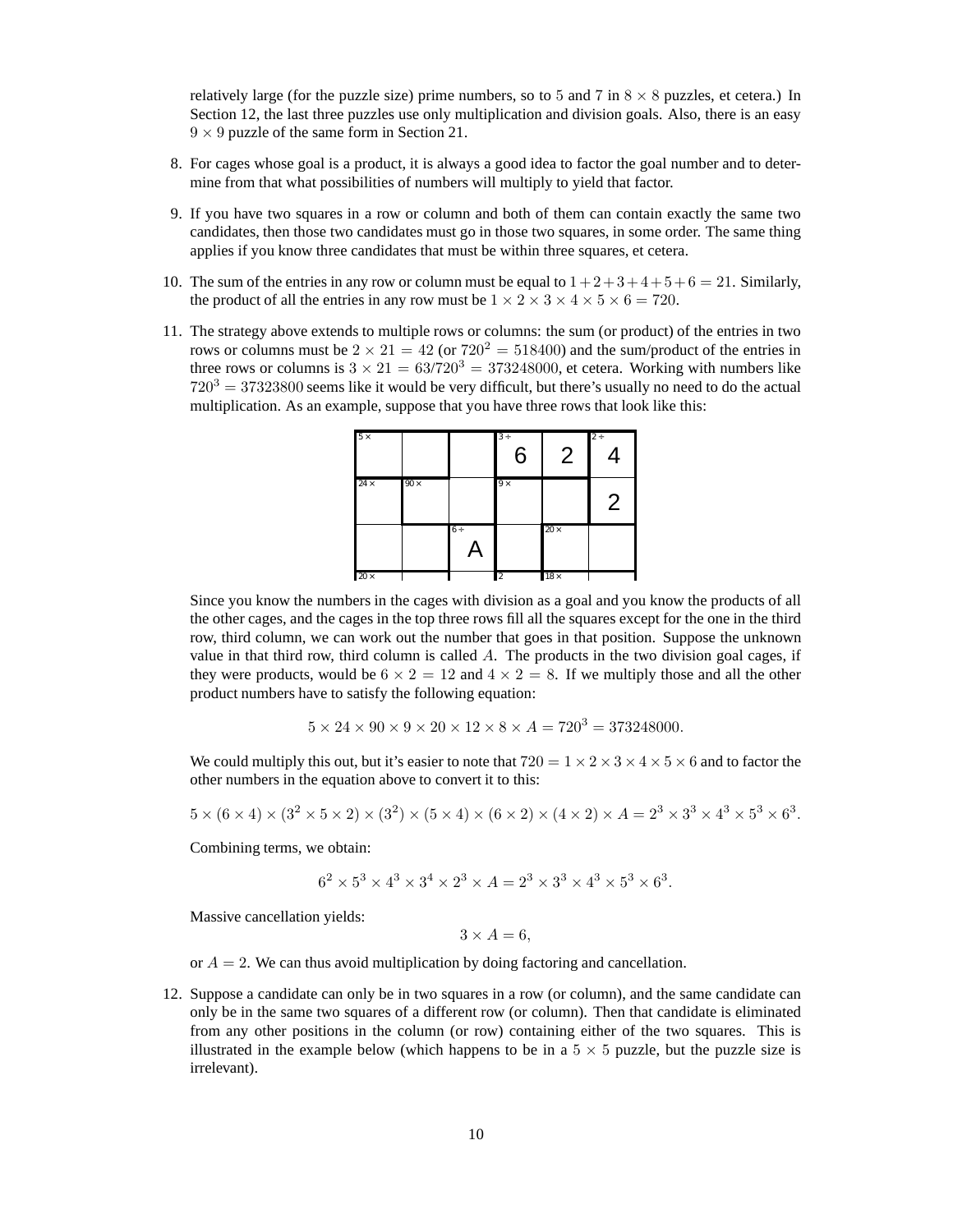relatively large (for the puzzle size) prime numbers, so to 5 and 7 in  $8 \times 8$  puzzles, et cetera.) In Section 12, the last three puzzles use only multiplication and division goals. Also, there is an easy  $9 \times 9$  puzzle of the same form in Section 21.

- 8. For cages whose goal is a product, it is always a good idea to factor the goal number and to determine from that what possibilities of numbers will multiply to yield that factor.
- 9. If you have two squares in a row or column and both of them can contain exactly the same two candidates, then those two candidates must go in those two squares, in some order. The same thing applies if you know three candidates that must be within three squares, et cetera.
- 10. The sum of the entries in any row or column must be equal to  $1+2+3+4+5+6 = 21$ . Similarly, the product of all the entries in any row must be  $1 \times 2 \times 3 \times 4 \times 5 \times 6 = 720$ .
- 11. The strategy above extends to multiple rows or columns: the sum (or product) of the entries in two rows or columns must be  $2 \times 21 = 42$  (or  $720^2 = 518400$ ) and the sum/product of the entries in three rows or columns is  $3 \times 21 = 63/720^3 = 373248000$ , et cetera. Working with numbers like  $720^3 = 37323800$  seems like it would be very difficult, but there's usually no need to do the actual multiplication. As an example, suppose that you have three rows that look like this:



Since you know the numbers in the cages with division as a goal and you know the products of all the other cages, and the cages in the top three rows fill all the squares except for the one in the third row, third column, we can work out the number that goes in that position. Suppose the unknown value in that third row, third column is called  $A$ . The products in the two division goal cages, if they were products, would be  $6 \times 2 = 12$  and  $4 \times 2 = 8$ . If we multiply those and all the other product numbers have to satisfy the following equation:

$$
5 \times 24 \times 90 \times 9 \times 20 \times 12 \times 8 \times A = 720^3 = 373248000.
$$

We could multiply this out, but it's easier to note that  $720 = 1 \times 2 \times 3 \times 4 \times 5 \times 6$  and to factor the other numbers in the equation above to convert it to this:

$$
5 \times (6 \times 4) \times (3^2 \times 5 \times 2) \times (3^2) \times (5 \times 4) \times (6 \times 2) \times (4 \times 2) \times A = 2^3 \times 3^3 \times 4^3 \times 5^3 \times 6^3.
$$

Combining terms, we obtain:

$$
6^2\times5^3\times4^3\times3^4\times2^3\times A=2^3\times3^3\times4^3\times5^3\times6^3.
$$

Massive cancellation yields:

 $3 \times A = 6$ .

or  $A = 2$ . We can thus avoid multiplication by doing factoring and cancellation.

12. Suppose a candidate can only be in two squares in a row (or column), and the same candidate can only be in the same two squares of a different row (or column). Then that candidate is eliminated from any other positions in the column (or row) containing either of the two squares. This is illustrated in the example below (which happens to be in a  $5 \times 5$  puzzle, but the puzzle size is irrelevant).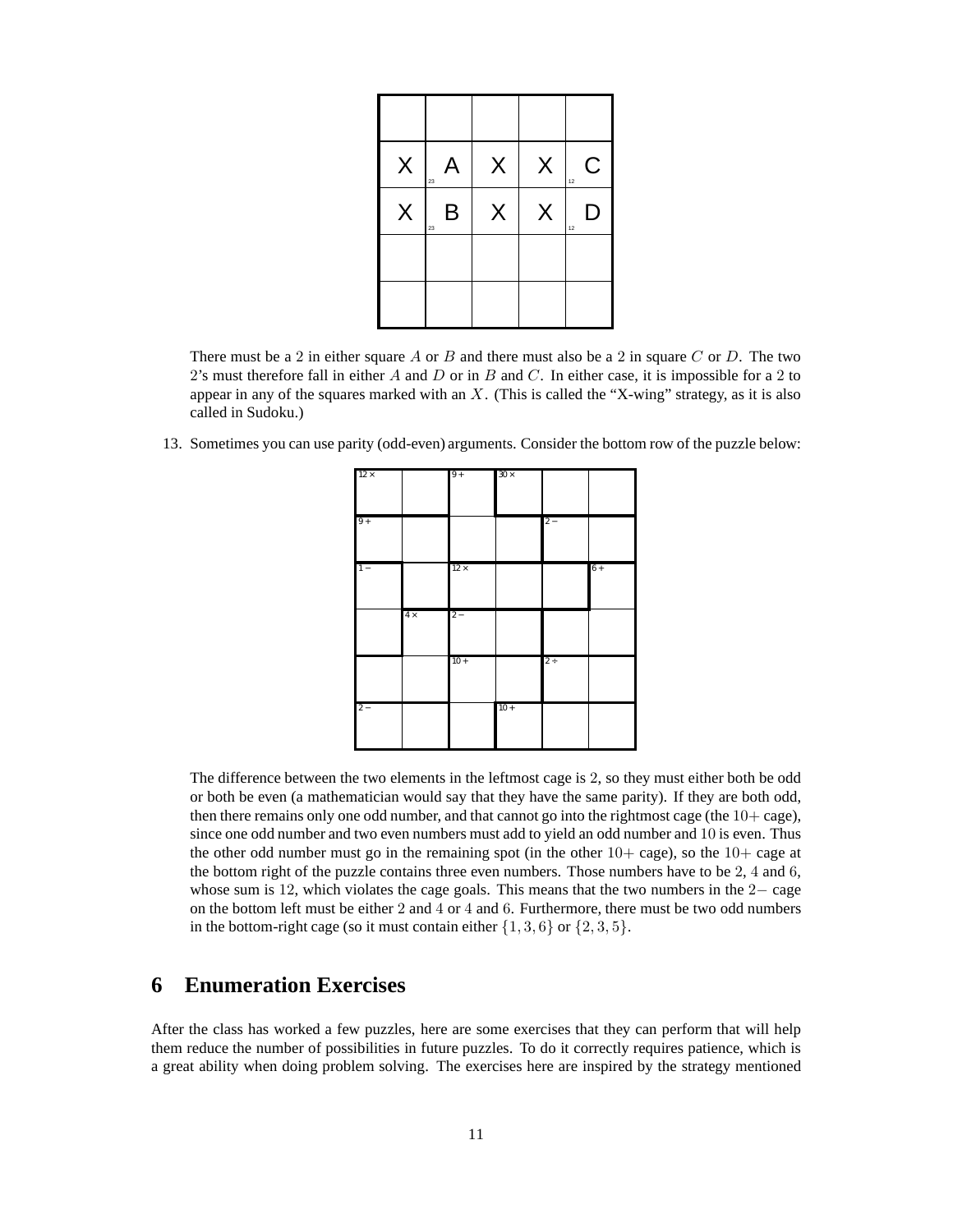| $\mathsf{X}$ | A<br>23 | $\mathsf X$ | $\mathsf{X}$ | $\mathsf C$<br>12 |
|--------------|---------|-------------|--------------|-------------------|
| X.           | Β<br>23 | X           | X            | D<br>12           |
|              |         |             |              |                   |
|              |         |             |              |                   |

There must be a 2 in either square A or B and there must also be a 2 in square C or D. The two 2's must therefore fall in either A and D or in B and C. In either case, it is impossible for a 2 to appear in any of the squares marked with an  $X$ . (This is called the "X-wing" strategy, as it is also called in Sudoku.)

13. Sometimes you can use parity (odd-even) arguments. Consider the bottom row of the puzzle below:

| $12 \times$ |           | $9+$        | $30 \times$ |          |      |
|-------------|-----------|-------------|-------------|----------|------|
| $9+$        |           |             |             | $2 -$    |      |
| $1 -$       |           | $12 \times$ |             |          | $6+$ |
|             | $4\times$ | $2 -$       |             |          |      |
|             |           | $10+$       |             | $2 \div$ |      |
| $2 -$       |           |             | $10 +$      |          |      |

The difference between the two elements in the leftmost cage is 2, so they must either both be odd or both be even (a mathematician would say that they have the same parity). If they are both odd, then there remains only one odd number, and that cannot go into the rightmost cage (the  $10+$  cage), since one odd number and two even numbers must add to yield an odd number and 10 is even. Thus the other odd number must go in the remaining spot (in the other  $10+$  cage), so the  $10+$  cage at the bottom right of the puzzle contains three even numbers. Those numbers have to be 2, 4 and 6, whose sum is 12, which violates the cage goals. This means that the two numbers in the 2− cage on the bottom left must be either 2 and 4 or 4 and 6. Furthermore, there must be two odd numbers in the bottom-right cage (so it must contain either  $\{1, 3, 6\}$  or  $\{2, 3, 5\}$ .

### **6 Enumeration Exercises**

After the class has worked a few puzzles, here are some exercises that they can perform that will help them reduce the number of possibilities in future puzzles. To do it correctly requires patience, which is a great ability when doing problem solving. The exercises here are inspired by the strategy mentioned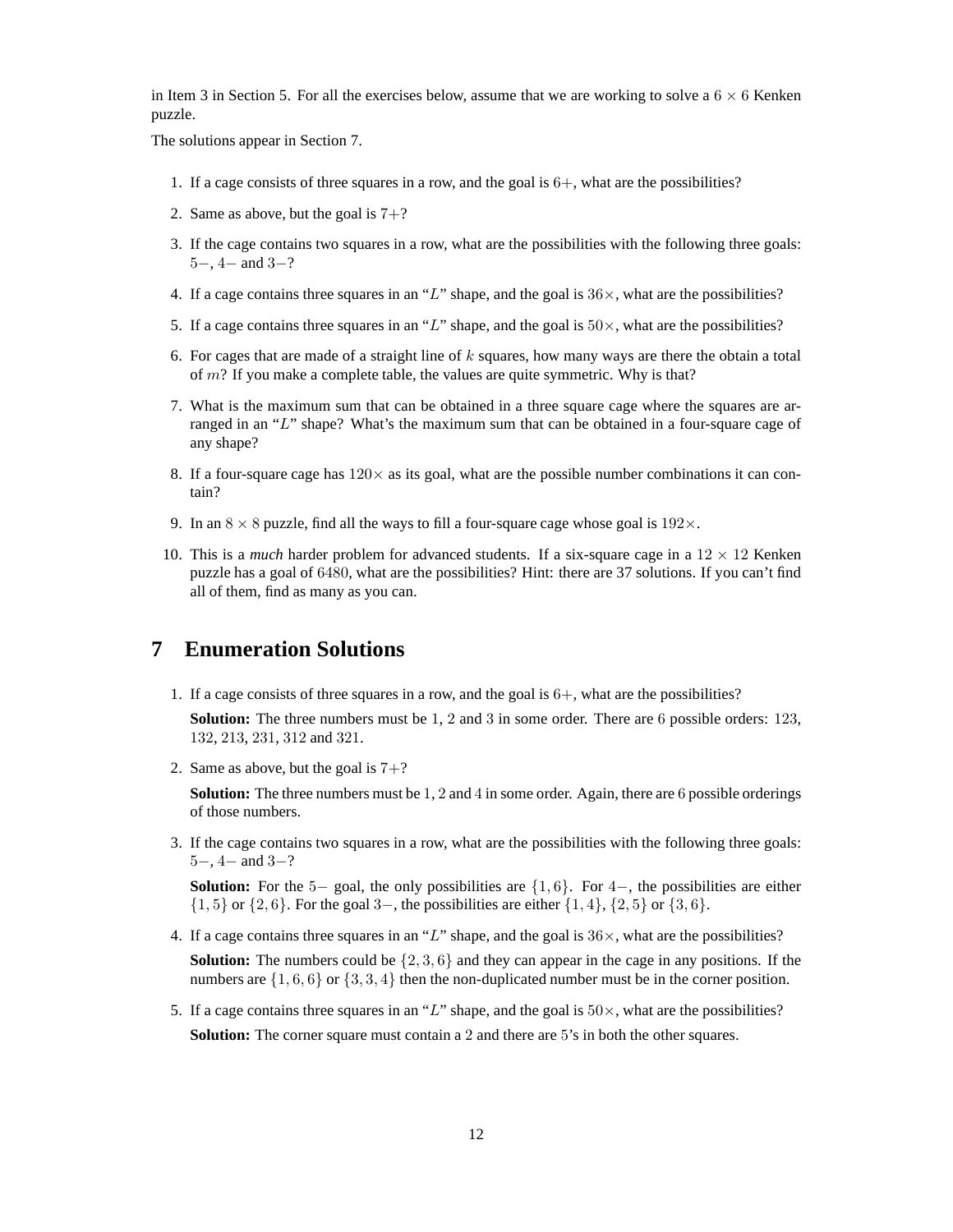in Item 3 in Section 5. For all the exercises below, assume that we are working to solve a  $6 \times 6$  Kenken puzzle.

The solutions appear in Section 7.

- 1. If a cage consists of three squares in a row, and the goal is 6+, what are the possibilities?
- 2. Same as above, but the goal is  $7+$ ?
- 3. If the cage contains two squares in a row, what are the possibilities with the following three goals: 5−, 4− and 3−?
- 4. If a cage contains three squares in an "L" shape, and the goal is  $36\times$ , what are the possibilities?
- 5. If a cage contains three squares in an "L" shape, and the goal is  $50\times$ , what are the possibilities?
- 6. For cages that are made of a straight line of  $k$  squares, how many ways are there the obtain a total of  $m$ ? If you make a complete table, the values are quite symmetric. Why is that?
- 7. What is the maximum sum that can be obtained in a three square cage where the squares are arranged in an "L" shape? What's the maximum sum that can be obtained in a four-square cage of any shape?
- 8. If a four-square cage has  $120\times$  as its goal, what are the possible number combinations it can contain?
- 9. In an  $8 \times 8$  puzzle, find all the ways to fill a four-square cage whose goal is  $192 \times$ .
- 10. This is a *much* harder problem for advanced students. If a six-square cage in a  $12 \times 12$  Kenken puzzle has a goal of 6480, what are the possibilities? Hint: there are 37 solutions. If you can't find all of them, find as many as you can.

### **7 Enumeration Solutions**

1. If a cage consists of three squares in a row, and the goal is  $6+$ , what are the possibilities?

**Solution:** The three numbers must be 1, 2 and 3 in some order. There are 6 possible orders: 123, 132, 213, 231, 312 and 321.

2. Same as above, but the goal is  $7+$ ?

**Solution:** The three numbers must be 1, 2 and 4 in some order. Again, there are 6 possible orderings of those numbers.

3. If the cage contains two squares in a row, what are the possibilities with the following three goals:  $5-$ ,  $4-$  and  $3-$ ?

**Solution:** For the 5− goal, the only possibilities are  $\{1, 6\}$ . For 4−, the possibilities are either  ${1, 5}$  or  ${2, 6}$ . For the goal 3–, the possibilities are either  ${1, 4}$ ,  ${2, 5}$  or  ${3, 6}$ .

4. If a cage contains three squares in an "L" shape, and the goal is  $36\times$ , what are the possibilities?

**Solution:** The numbers could be  $\{2, 3, 6\}$  and they can appear in the cage in any positions. If the numbers are  $\{1, 6, 6\}$  or  $\{3, 3, 4\}$  then the non-duplicated number must be in the corner position.

5. If a cage contains three squares in an "L" shape, and the goal is  $50 \times$ , what are the possibilities? **Solution:** The corner square must contain a 2 and there are 5's in both the other squares.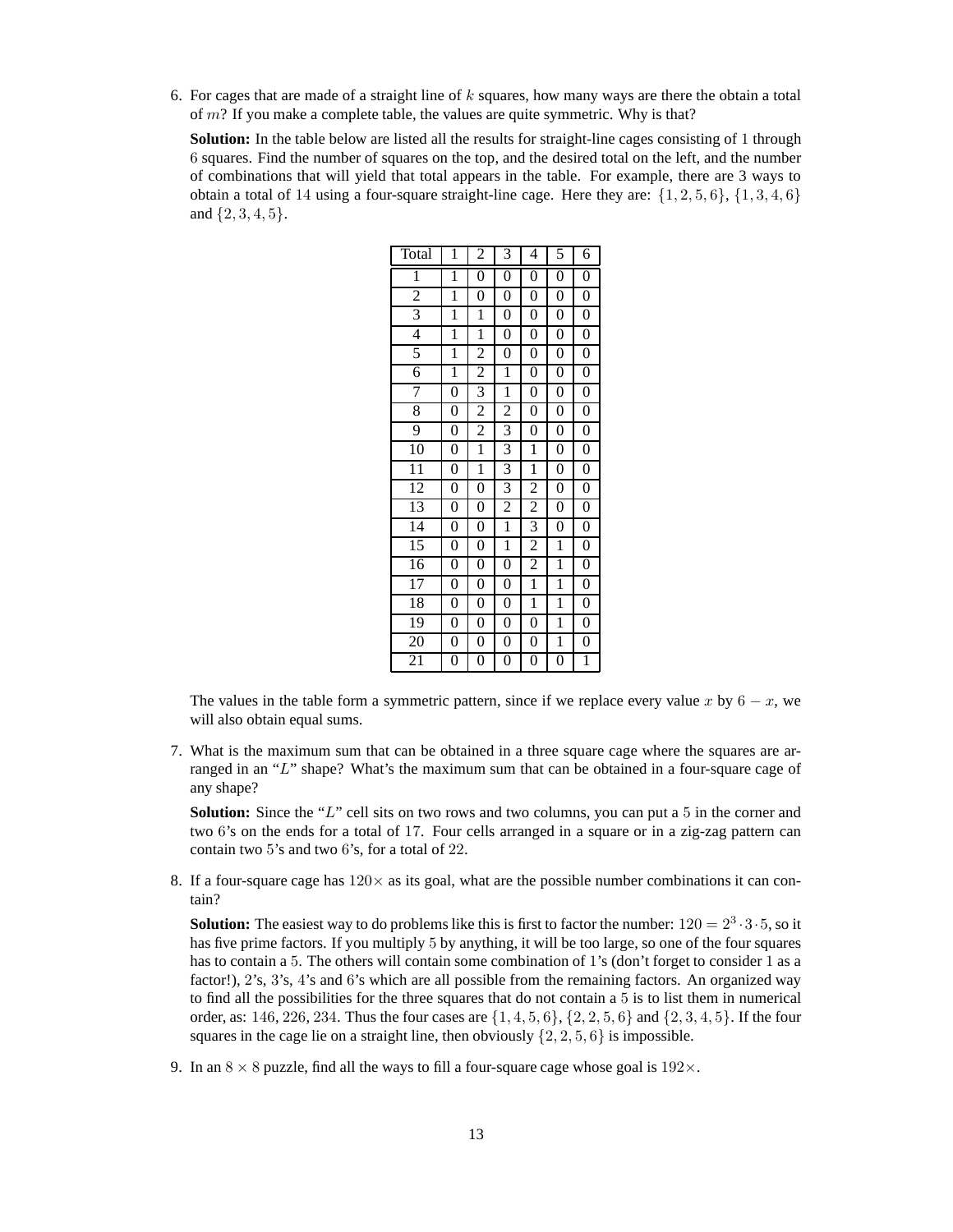6. For cages that are made of a straight line of  $k$  squares, how many ways are there the obtain a total of  $m$ ? If you make a complete table, the values are quite symmetric. Why is that?

**Solution:** In the table below are listed all the results for straight-line cages consisting of 1 through 6 squares. Find the number of squares on the top, and the desired total on the left, and the number of combinations that will yield that total appears in the table. For example, there are 3 ways to obtain a total of 14 using a four-square straight-line cage. Here they are:  $\{1, 2, 5, 6\}$ ,  $\{1, 3, 4, 6\}$ and {2, 3, 4, 5}.

| Total                   | 1                | $\overline{c}$   | 3                | 4                | 5                | 6                |
|-------------------------|------------------|------------------|------------------|------------------|------------------|------------------|
| 1                       | $\mathbf 1$      | $\overline{0}$   | $\overline{0}$   | $\overline{0}$   | $\boldsymbol{0}$ | $\overline{0}$   |
| $\overline{c}$          | 1                | $\boldsymbol{0}$ | $\overline{0}$   | 0                | $\boldsymbol{0}$ | $\overline{0}$   |
| $\overline{\mathbf{3}}$ | $\overline{1}$   | $\overline{1}$   | $\overline{0}$   | $\overline{0}$   | $\overline{0}$   | $\overline{0}$   |
| $\overline{4}$          | $\overline{1}$   | $\overline{1}$   | $\boldsymbol{0}$ | $\overline{0}$   | $\overline{0}$   | $\overline{0}$   |
| 5                       | $\mathbf{1}$     | $\overline{2}$   | $\boldsymbol{0}$ | $\boldsymbol{0}$ | $\boldsymbol{0}$ | $\overline{0}$   |
| $\overline{6}$          | $\mathbf{1}$     | $\overline{2}$   | $\mathbf{1}$     | $\overline{0}$   | $\overline{0}$   | $\overline{0}$   |
| 7                       | $\overline{0}$   | $\overline{3}$   | $\overline{1}$   | $\overline{0}$   | $\boldsymbol{0}$ | $\overline{0}$   |
| 8                       | $\boldsymbol{0}$ | $\overline{2}$   | $\overline{2}$   | $\boldsymbol{0}$ | $\boldsymbol{0}$ | $\overline{0}$   |
| 9                       | $\overline{0}$   | $\overline{2}$   | $\overline{3}$   | $\overline{0}$   | $\overline{0}$   | $\overline{0}$   |
| 10                      | $\overline{0}$   | $\mathbf{1}$     | $\overline{3}$   | $\mathbf{1}$     | $\boldsymbol{0}$ | $\overline{0}$   |
| $\overline{11}$         | $\overline{0}$   | $\overline{1}$   | $\overline{3}$   | $\overline{1}$   | $\overline{0}$   | $\overline{0}$   |
| 12                      | $\overline{0}$   | $\overline{0}$   | $\overline{3}$   | $\overline{2}$   | $\overline{0}$   | $\overline{0}$   |
| 13                      | $\overline{0}$   | $\overline{0}$   | $\overline{2}$   | $\overline{2}$   | $\overline{0}$   | $\overline{0}$   |
| $\overline{14}$         | $\overline{0}$   | $\overline{0}$   | $\overline{1}$   | 3                | $\boldsymbol{0}$ | $\overline{0}$   |
| 15                      | $\boldsymbol{0}$ | $\boldsymbol{0}$ | $\mathbf{1}$     | $\overline{2}$   | $\mathbf{1}$     | $\boldsymbol{0}$ |
| 16                      | $\overline{0}$   | $\overline{0}$   | $\overline{0}$   | $\overline{2}$   | $\overline{1}$   | $\overline{0}$   |
| $\overline{17}$         | $\overline{0}$   | $\overline{0}$   | $\overline{0}$   | $\overline{1}$   | $\overline{1}$   | $\overline{0}$   |
| 18                      | $\boldsymbol{0}$ | $\boldsymbol{0}$ | 0                | $\mathbf{1}$     | 1                | $\boldsymbol{0}$ |
| 19                      | $\boldsymbol{0}$ | $\overline{0}$   | $\overline{0}$   | $\overline{0}$   | $\overline{1}$   | $\overline{0}$   |
| 20                      | $\boldsymbol{0}$ | $\boldsymbol{0}$ | $\boldsymbol{0}$ | $\boldsymbol{0}$ | $\overline{1}$   | $\boldsymbol{0}$ |
| 21                      | 0                | $\boldsymbol{0}$ | $\boldsymbol{0}$ | $\boldsymbol{0}$ | $\boldsymbol{0}$ | $\overline{1}$   |

The values in the table form a symmetric pattern, since if we replace every value x by  $6 - x$ , we will also obtain equal sums.

7. What is the maximum sum that can be obtained in a three square cage where the squares are arranged in an "L" shape? What's the maximum sum that can be obtained in a four-square cage of any shape?

**Solution:** Since the "L" cell sits on two rows and two columns, you can put a 5 in the corner and two 6's on the ends for a total of 17. Four cells arranged in a square or in a zig-zag pattern can contain two 5's and two 6's, for a total of 22.

8. If a four-square cage has  $120 \times$  as its goal, what are the possible number combinations it can contain?

**Solution:** The easiest way to do problems like this is first to factor the number:  $120 = 2^3 \cdot 3 \cdot 5$ , so it has five prime factors. If you multiply 5 by anything, it will be too large, so one of the four squares has to contain a 5. The others will contain some combination of 1's (don't forget to consider 1 as a factor!), 2's, 3's, 4's and 6's which are all possible from the remaining factors. An organized way to find all the possibilities for the three squares that do not contain a 5 is to list them in numerical order, as: 146, 226, 234. Thus the four cases are  $\{1, 4, 5, 6\}$ ,  $\{2, 2, 5, 6\}$  and  $\{2, 3, 4, 5\}$ . If the four squares in the cage lie on a straight line, then obviously  $\{2, 2, 5, 6\}$  is impossible.

9. In an  $8 \times 8$  puzzle, find all the ways to fill a four-square cage whose goal is  $192 \times$ .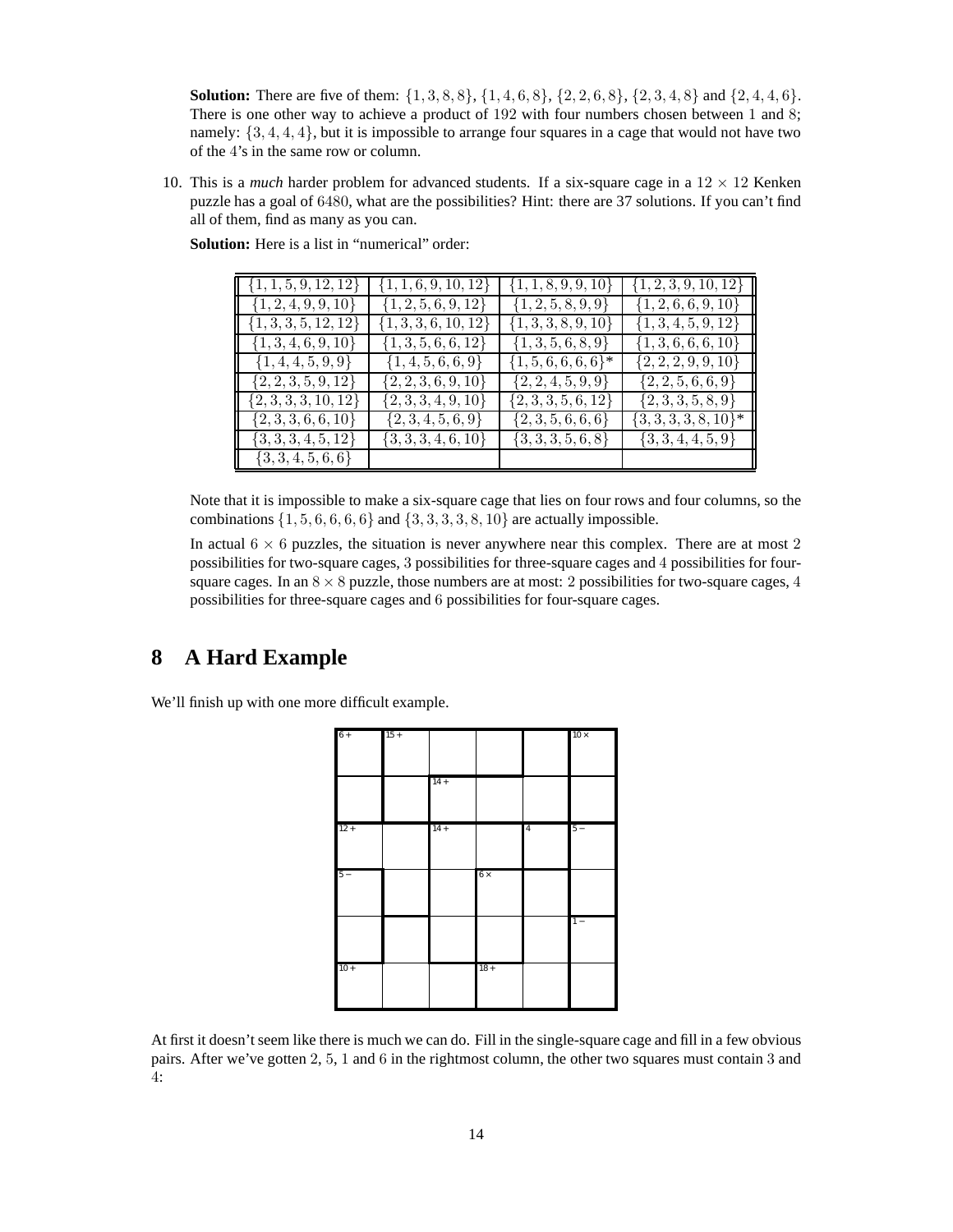**Solution:** There are five of them:  $\{1, 3, 8, 8\}, \{1, 4, 6, 8\}, \{2, 2, 6, 8\}, \{2, 3, 4, 8\}$  and  $\{2, 4, 4, 6\}.$ There is one other way to achieve a product of 192 with four numbers chosen between 1 and 8; namely:  $\{3, 4, 4, 4\}$ , but it is impossible to arrange four squares in a cage that would not have two of the 4's in the same row or column.

10. This is a *much* harder problem for advanced students. If a six-square cage in a  $12 \times 12$  Kenken puzzle has a goal of 6480, what are the possibilities? Hint: there are 37 solutions. If you can't find all of them, find as many as you can.

| $\{1, 1, 5, 9, 12, 12\}$ | $\{1, 1, 6, 9, 10, 12\}$ | $\{1, 1, 8, 9, 9, 10\}$  | $\{1, 2, 3, 9, 10, 12\}$ |
|--------------------------|--------------------------|--------------------------|--------------------------|
| $\{1, 2, 4, 9, 9, 10\}$  | $\{1, 2, 5, 6, 9, 12\}$  | $\{1, 2, 5, 8, 9, 9\}$   | $\{1, 2, 6, 6, 9, 10\}$  |
| $\{1, 3, 3, 5, 12, 12\}$ | $\{1, 3, 3, 6, 10, 12\}$ | $\{1, 3, 3, 8, 9, 10\}$  | $\{1, 3, 4, 5, 9, 12\}$  |
| $\{1, 3, 4, 6, 9, 10\}$  | $\{1, 3, 5, 6, 6, 12\}$  | $\{1,3,5,6,8,9\}$        | $\{1,3,6,6,6,10\}$       |
| $\{1,4,4,5,9,9\}$        | $\{1,4,5,6,6,9\}$        | $\{1, 5, 6, 6, 6, 6\}$ * | $\{2, 2, 2, 9, 9, 10\}$  |
| $\{2, 2, 3, 5, 9, 12\}$  | $\{2, 2, 3, 6, 9, 10\}$  | $\{2, 2, 4, 5, 9, 9\}$   | $\{2, 2, 5, 6, 6, 9\}$   |
| $\{2, 3, 3, 3, 10, 12\}$ | $\{2, 3, 3, 4, 9, 10\}$  | $\{2,3,3,5,6,12\}$       | $\{2,3,3,5,8,9\}$        |
| $\{2, 3, 3, 6, 6, 10\}$  | $\{2,3,4,5,6,9\}$        | $\{2,3,5,6,6,6\}$        | $\{3,3,3,3,8,10\}^*$     |
| $\{3, 3, 3, 4, 5, 12\}$  | $\{3,3,3,4,6,10\}$       | $\{3,3,3,5,6,8\}$        | $\{3,3,4,4,5,9\}$        |
| $\{3,3,4,5,6,6\}$        |                          |                          |                          |

**Solution:** Here is a list in "numerical" order:

Note that it is impossible to make a six-square cage that lies on four rows and four columns, so the combinations  $\{1, 5, 6, 6, 6, 6\}$  and  $\{3, 3, 3, 3, 8, 10\}$  are actually impossible.

In actual  $6 \times 6$  puzzles, the situation is never anywhere near this complex. There are at most 2 possibilities for two-square cages, 3 possibilities for three-square cages and 4 possibilities for foursquare cages. In an  $8 \times 8$  puzzle, those numbers are at most: 2 possibilities for two-square cages, 4 possibilities for three-square cages and 6 possibilities for four-square cages.

## **8 A Hard Example**

We'll finish up with one more difficult example.



At first it doesn't seem like there is much we can do. Fill in the single-square cage and fill in a few obvious pairs. After we've gotten 2, 5, 1 and 6 in the rightmost column, the other two squares must contain 3 and 4: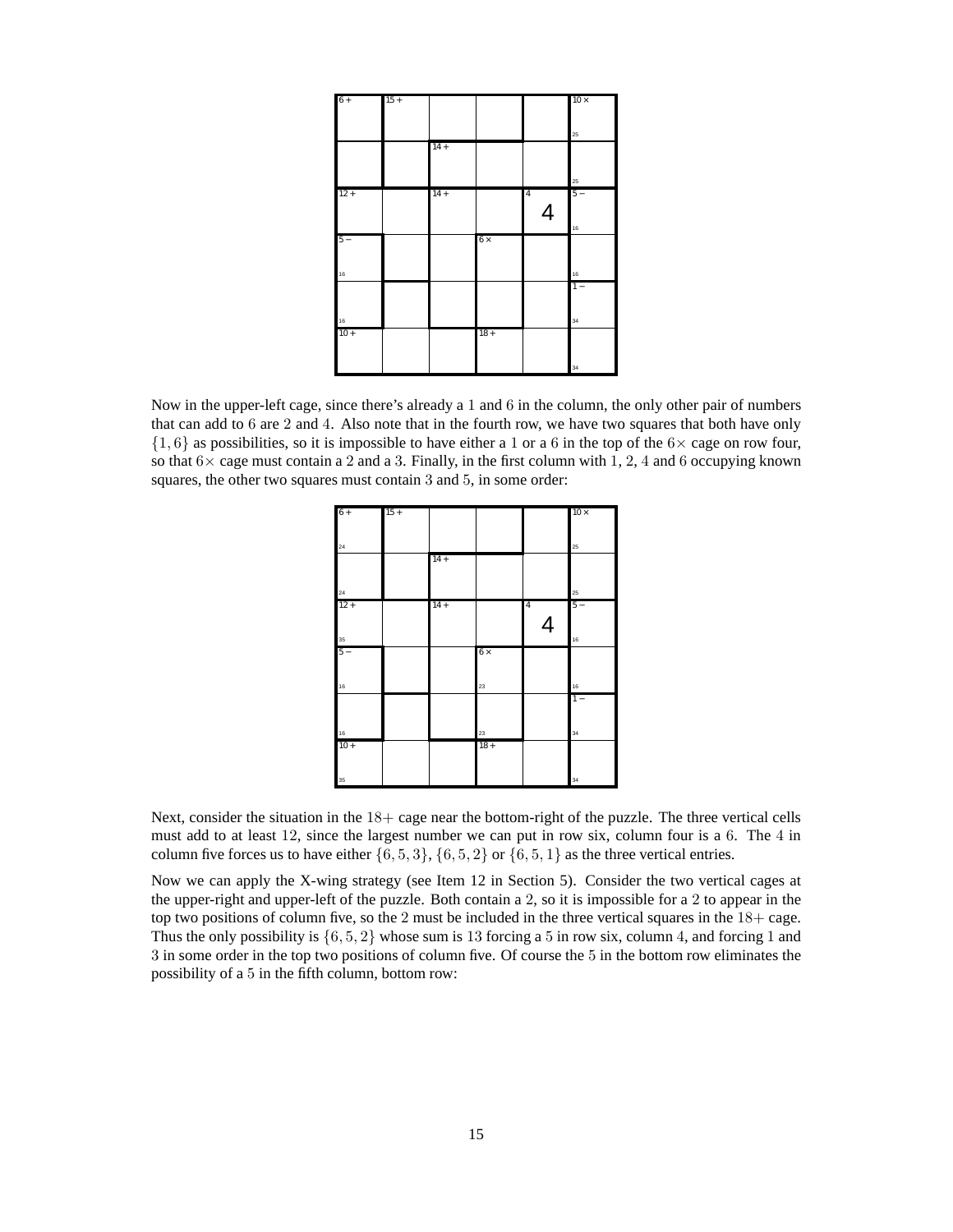| $6+$   | $15 +$ |        |            |                | $10 \times$ |
|--------|--------|--------|------------|----------------|-------------|
|        |        |        |            |                |             |
|        |        |        |            |                |             |
|        |        |        |            |                | $2\sqrt{5}$ |
|        |        | $14 +$ |            |                |             |
|        |        |        |            |                |             |
|        |        |        |            |                |             |
| $12 +$ |        | $14 +$ |            | $\overline{4}$ | 25<br>$5 -$ |
|        |        |        |            |                |             |
|        |        |        |            | $\overline{4}$ |             |
|        |        |        |            |                | 16          |
| $5 -$  |        |        | $6 \times$ |                |             |
|        |        |        |            |                |             |
|        |        |        |            |                |             |
| 16     |        |        |            |                | 16          |
|        |        |        |            |                | $1 -$       |
|        |        |        |            |                |             |
|        |        |        |            |                |             |
| 16     |        |        |            |                | 34          |
| $10+$  |        |        | $18 +$     |                |             |
|        |        |        |            |                |             |
|        |        |        |            |                |             |
|        |        |        |            |                | 34          |

Now in the upper-left cage, since there's already a 1 and 6 in the column, the only other pair of numbers that can add to 6 are 2 and 4. Also note that in the fourth row, we have two squares that both have only  $\{1, 6\}$  as possibilities, so it is impossible to have either a 1 or a 6 in the top of the  $6 \times$  cage on row four, so that  $6\times$  cage must contain a 2 and a 3. Finally, in the first column with 1, 2, 4 and 6 occupying known squares, the other two squares must contain 3 and 5, in some order:

| $6+$   | $15 +$ |        |            |                          | $10\times$        |
|--------|--------|--------|------------|--------------------------|-------------------|
|        |        |        |            |                          |                   |
| 24     |        |        |            |                          | 25                |
|        |        | $14 +$ |            |                          |                   |
|        |        |        |            |                          |                   |
|        |        |        |            |                          |                   |
| 24     |        |        |            |                          | $\boldsymbol{25}$ |
| $12 +$ |        | $14 +$ |            | $\overline{\mathbf{4}}$  | $5 -$             |
|        |        |        |            | $\overline{\mathcal{A}}$ |                   |
| 35     |        |        |            |                          | 16                |
| $5-$   |        |        | $6 \times$ |                          |                   |
|        |        |        |            |                          |                   |
|        |        |        |            |                          |                   |
| 16     |        |        | 23         |                          | $16$              |
|        |        |        |            |                          | $1 -$             |
|        |        |        |            |                          |                   |
| $16$   |        |        | 23         |                          | 34                |
| $10 +$ |        |        | $18 +$     |                          |                   |
|        |        |        |            |                          |                   |
|        |        |        |            |                          |                   |
| 35     |        |        |            |                          | 34                |

Next, consider the situation in the  $18+$  cage near the bottom-right of the puzzle. The three vertical cells must add to at least 12, since the largest number we can put in row six, column four is a 6. The 4 in column five forces us to have either  $\{6, 5, 3\}$ ,  $\{6, 5, 2\}$  or  $\{6, 5, 1\}$  as the three vertical entries.

Now we can apply the X-wing strategy (see Item 12 in Section 5). Consider the two vertical cages at the upper-right and upper-left of the puzzle. Both contain a 2, so it is impossible for a 2 to appear in the top two positions of column five, so the 2 must be included in the three vertical squares in the  $18+$  cage. Thus the only possibility is  $\{6, 5, 2\}$  whose sum is 13 forcing a 5 in row six, column 4, and forcing 1 and 3 in some order in the top two positions of column five. Of course the 5 in the bottom row eliminates the possibility of a 5 in the fifth column, bottom row: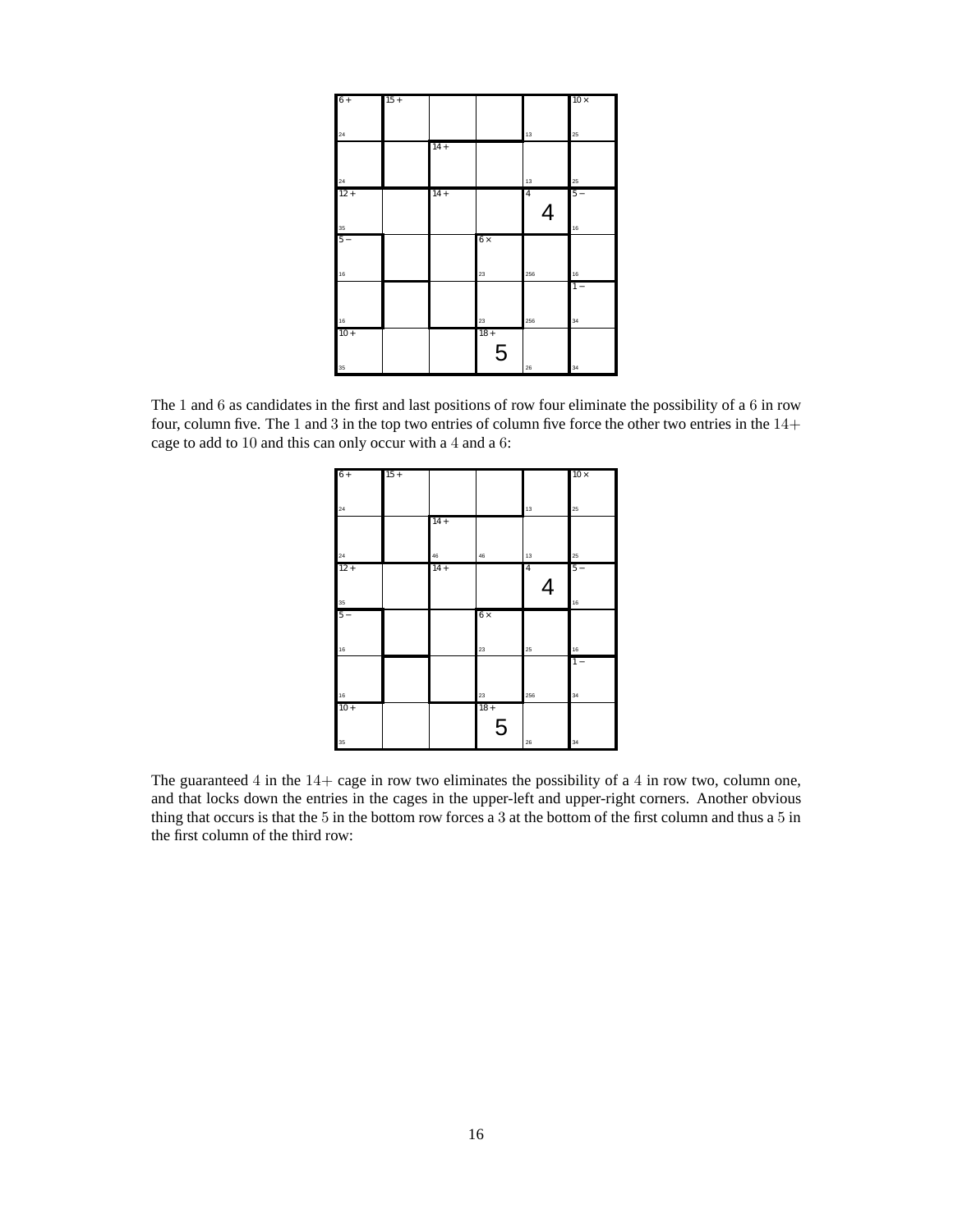| $6+$         | $15 +$ |        |            |                | $10\times$ |
|--------------|--------|--------|------------|----------------|------------|
|              |        |        |            |                |            |
| $\bf{^{24}}$ |        |        |            | $13$           | $25\,$     |
|              |        | $14 +$ |            |                |            |
|              |        |        |            |                |            |
| $\bf{^{24}}$ |        |        |            | 13             | 25         |
| $12 +$       |        | $14 +$ |            | $\overline{4}$ | $5-$       |
|              |        |        |            | $\overline{4}$ |            |
| 35           |        |        |            |                | $16$       |
| $5 -$        |        |        | $6 \times$ |                |            |
|              |        |        |            |                |            |
| 16           |        |        | 23         | 256            | $16$       |
|              |        |        |            |                | $1 -$      |
|              |        |        |            |                |            |
| 16           |        |        | 23         | 256            | 34         |
| $10 +$       |        |        | $18 +$     |                |            |
|              |        |        | 5          |                |            |
| $35\,$       |        |        |            | 26             | 34         |

The 1 and 6 as candidates in the first and last positions of row four eliminate the possibility of a 6 in row four, column five. The 1 and 3 in the top two entries of column five force the other two entries in the 14+ cage to add to 10 and this can only occur with a 4 and a 6:

| $6+$         | $15 +$ |        |             |                | $10\times$ |
|--------------|--------|--------|-------------|----------------|------------|
|              |        |        |             |                |            |
|              |        |        |             |                |            |
| 24           |        |        |             | 13             | 25         |
|              |        | $14 +$ |             |                |            |
|              |        |        |             |                |            |
|              |        |        |             |                |            |
| 24           |        | 46     | 46          | 13             | $25\,$     |
| $12 +$       |        | $14 +$ |             | $\overline{4}$ | $5 -$      |
|              |        |        |             | 4              |            |
|              |        |        |             |                |            |
| 35           |        |        |             |                | 16         |
| $5-$         |        |        | $6 \times$  |                |            |
|              |        |        |             |                |            |
|              |        |        |             |                |            |
| $16\,$       |        |        | 23          | $2\sqrt{5}$    | $16$       |
|              |        |        |             |                | $1 -$      |
|              |        |        |             |                |            |
|              |        |        |             | 256            | 34         |
| 16<br>$10 +$ |        |        | 23<br>$18+$ |                |            |
|              |        |        |             |                |            |
|              |        |        | 5           |                |            |
| 35           |        |        |             | 26             | 34         |
|              |        |        |             |                |            |

The guaranteed in the  $14+$  cage in row two eliminates the possibility of a  $4$  in row two, column one, and that locks down the entries in the cages in the upper-left and upper-right corners. Another obvious thing that occurs is that the 5 in the bottom row forces a 3 at the bottom of the first column and thus a 5 in the first column of the third row: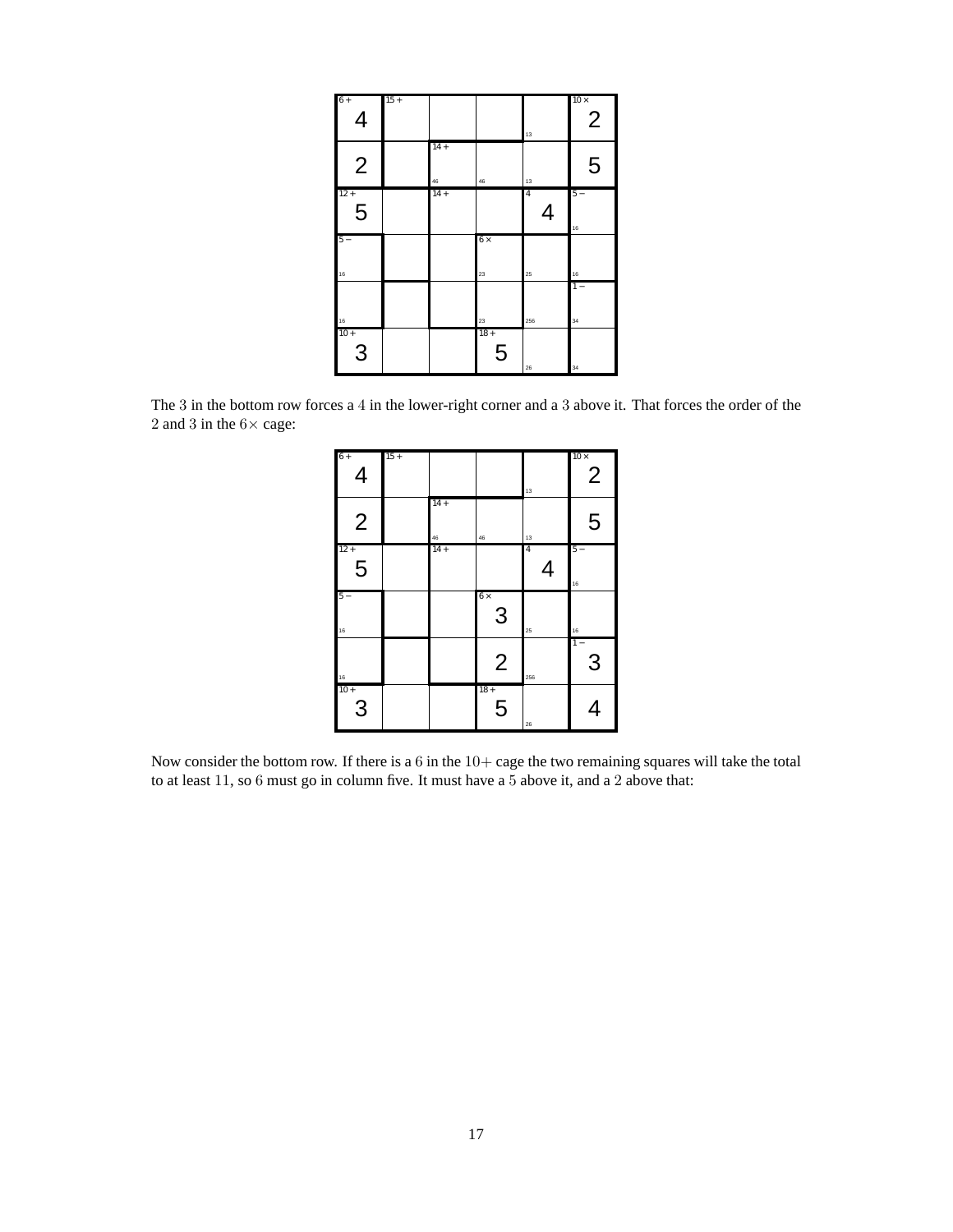| $6+$<br>$\overline{4}$                               | $15 +$ |                    |                  | 13                  | $10\times$<br>$\overline{2}$ |
|------------------------------------------------------|--------|--------------------|------------------|---------------------|------------------------------|
| $\overline{2}$                                       |        | $14 +$<br>$\bf 46$ | 46               | 13                  | 5                            |
| $12 +$<br>5                                          |        | $14 +$             |                  | $\overline{4}$<br>4 | $5 -$<br>16                  |
| $5 -$<br>16                                          |        |                    | $6 \times$<br>23 | 25                  | 16                           |
|                                                      |        |                    | 23               | 256                 | $1 -$<br>34                  |
| $\begin{array}{c}\n\frac{16}{10+} \\ 3\n\end{array}$ |        |                    | $18 +$<br>5      | 26                  | 34                           |

The 3 in the bottom row forces a 4 in the lower-right corner and a 3 above it. That forces the order of the 2 and 3 in the  $6\times$  cage:

| $6+$<br>$\overline{\mathcal{A}}$ | $15 +$ |              |                 | 13                  | $10\times$<br>$\overline{2}$ |
|----------------------------------|--------|--------------|-----------------|---------------------|------------------------------|
| $\overline{2}$                   |        | $14 +$<br>46 | 46              | 13                  | 5                            |
| $12 +$<br>5                      |        | $14+$        |                 | $\overline{4}$<br>4 | $5 -$<br>16                  |
| $5 -$<br>16                      |        |              | $6 \times$<br>3 | 25                  | 16                           |
| $16$                             |        |              | $\overline{2}$  | 256                 | $\overline{1}$ –<br>3        |
| $rac{1}{10+1}$                   |        |              | $18 +$<br>5     | 26                  |                              |

Now consider the bottom row. If there is a in the  $10+$  cage the two remaining squares will take the total to at least 11, so 6 must go in column five. It must have a 5 above it, and a 2 above that: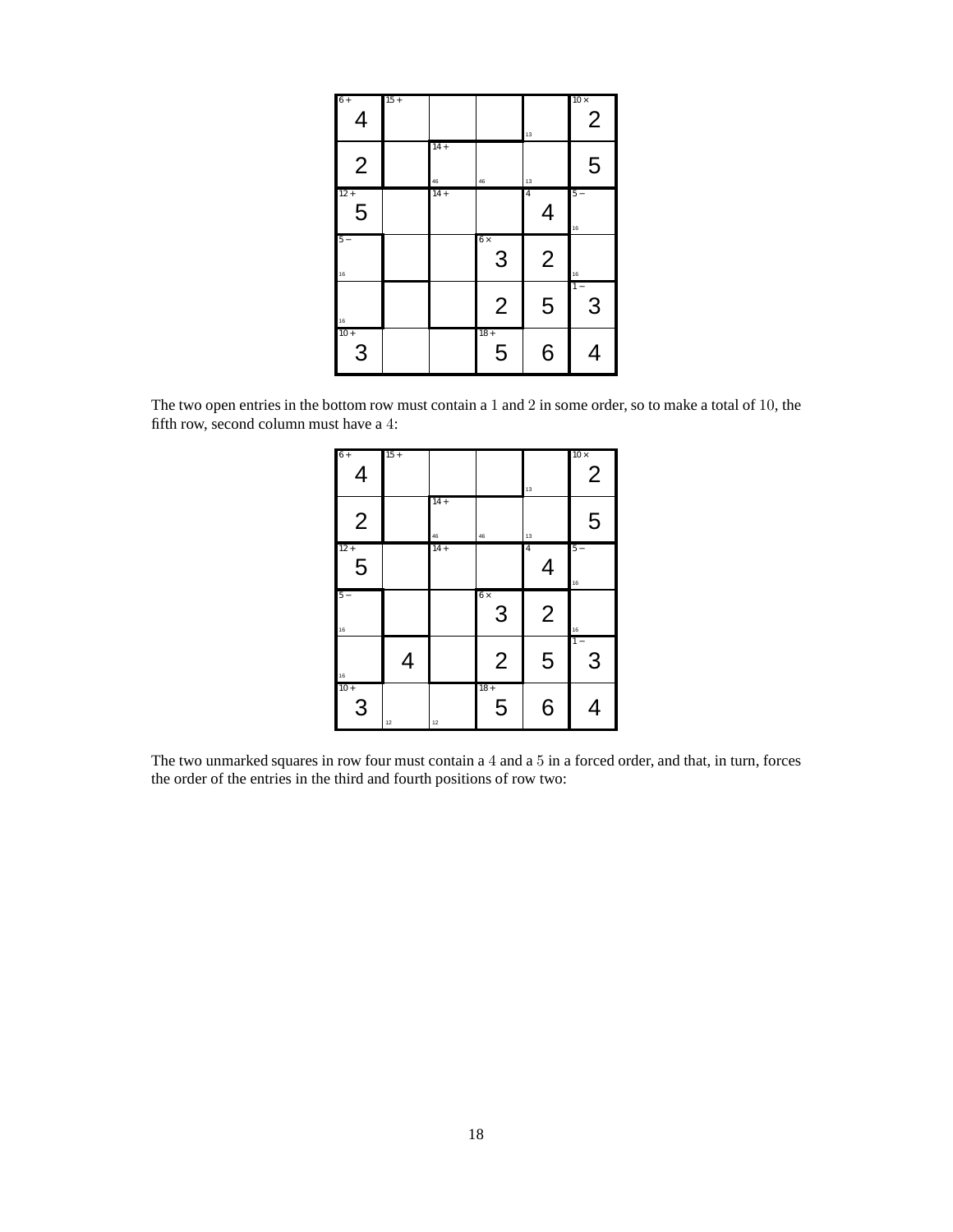| $6+$<br>$\overline{4}$ | $15 +$ |              |                | 13                            | $10\times$<br>$\overline{2}$ |
|------------------------|--------|--------------|----------------|-------------------------------|------------------------------|
| $\overline{2}$         |        | $14 +$<br>46 | 46             | 13                            | 5                            |
| $12 +$<br>5            |        | $14 +$       |                | 4<br>$\overline{\mathcal{A}}$ | $5 -$<br>16                  |
| $5 -$<br>16            |        |              | $6\times$<br>3 | $\overline{2}$                | $16$                         |
| 16                     |        |              | $\overline{2}$ | 5                             | $\overline{1}$ –<br>3        |
| $10+$<br>3             |        |              | $18+$<br>5     | 6                             | 4                            |

The two open entries in the bottom row must contain a 1 and 2 in some order, so to make a total of 10, the fifth row, second column must have a 4:

| $6+$<br>$\overline{4}$   | $15 +$ |              |                 | 13                  | $10\times$<br>$\overline{2}$ |
|--------------------------|--------|--------------|-----------------|---------------------|------------------------------|
| $\overline{2}$           |        | $14 +$<br>46 | 46              | 13                  | 5                            |
| $12 +$<br>$\overline{5}$ |        | $14 +$       |                 | $\overline{4}$<br>4 | $5 -$<br>16                  |
| $5-$<br>16               |        |              | $6 \times$<br>3 | $\overline{2}$      | 16                           |
| $16$                     | 4      |              | $\overline{2}$  | 5                   | $1 -$<br>3                   |
| $10 +$<br>3              | 12     | 12           | $18 +$<br>5     | 6                   |                              |

The two unmarked squares in row four must contain a 4 and a 5 in a forced order, and that, in turn, forces the order of the entries in the third and fourth positions of row two: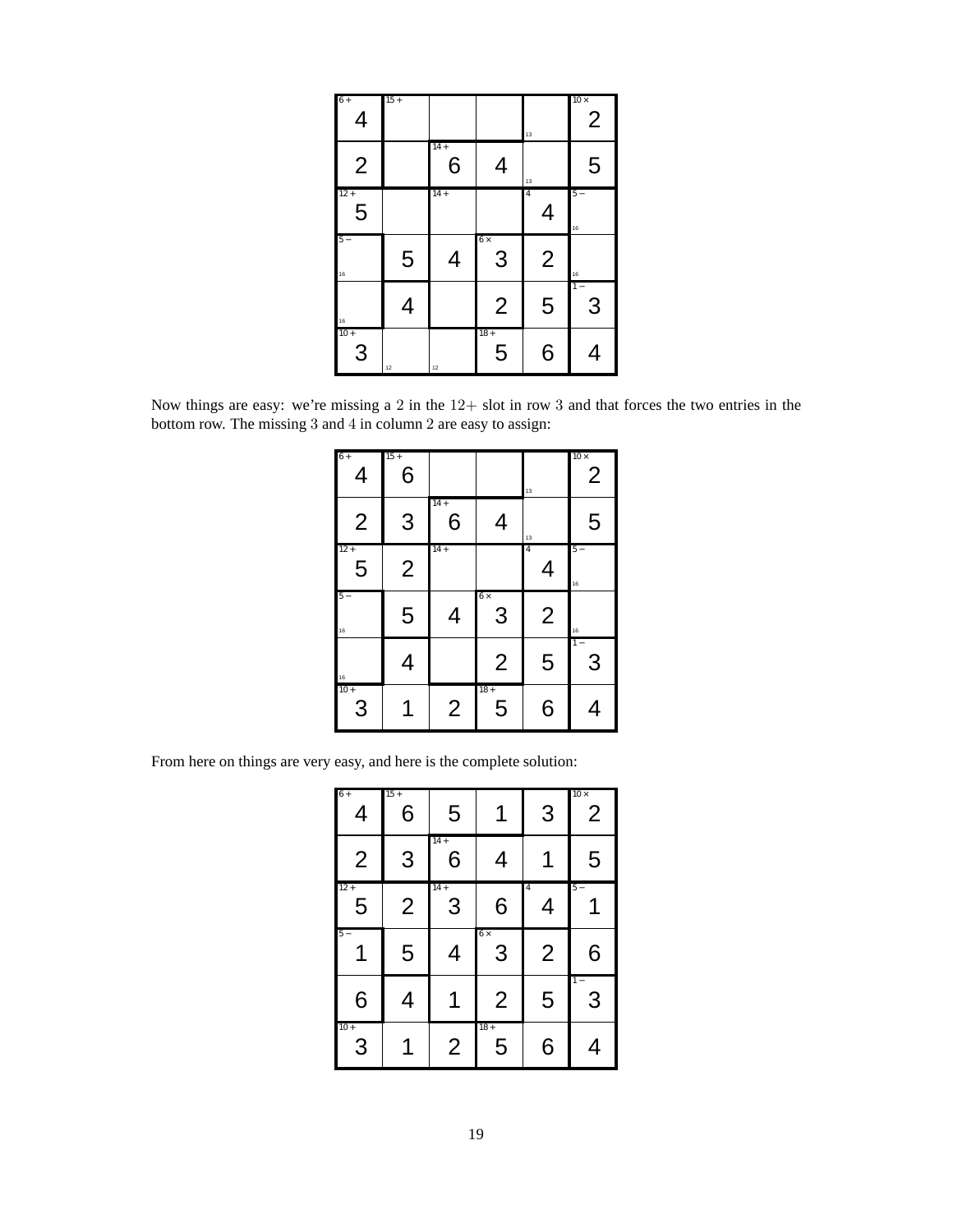| $6+$<br>4      | $15 +$ |             |                | 13                  | $10\times$<br>$\overline{2}$ |
|----------------|--------|-------------|----------------|---------------------|------------------------------|
| $\overline{2}$ |        | $14 +$<br>6 | 4              | 13                  | 5                            |
| $12 +$<br>5    |        | $14 +$      |                | $\overline{4}$<br>4 | $5 -$<br>16                  |
| $5 -$<br>16    | 5      | 4           | $6\times$<br>3 | $\overline{2}$      | $16$                         |
| 16             | 4      |             | $\overline{2}$ | 5                   | $1 -$<br>3                   |
| $10+$<br>3     | 12     | 12          | $18 +$<br>5    | 6                   | 4                            |

Now things are easy: we're missing a 2 in the 12+ slot in row 3 and that forces the two entries in the bottom row. The missing 3 and 4 in column 2 are easy to assign:

| $6+$<br>4       | $15 +$<br>6    |                |                 | 13             | $10\times$<br>$\overline{2}$ |
|-----------------|----------------|----------------|-----------------|----------------|------------------------------|
| $\overline{2}$  | 3              | $14 +$<br>6    | 4               | $13\,$         | 5                            |
| $12 +$<br>5     | $\overline{2}$ | $14 +$         |                 | 4<br>4         | $5 -$<br>$16$                |
| $5 -$<br>$16\,$ | 5              | 4              | $6 \times$<br>3 | $\overline{2}$ | 16                           |
| $16\,$          | 4              |                | $\overline{2}$  | 5              | $1 -$<br>3                   |
| $10 +$<br>3     |                | $\overline{2}$ | $18 +$<br>5     | 6              | 4                            |

From here on things are very easy, and here is the complete solution:

| $6+$<br>4               | $15 +$<br>6    | 5              |                 | 3                   | $10 \times$<br>$\overline{2}$ |
|-------------------------|----------------|----------------|-----------------|---------------------|-------------------------------|
| $\overline{2}$          | 3              | $14 +$<br>6    | 4               | 1                   | 5                             |
| $12 +$<br>5             | $\overline{2}$ | $14 +$<br>3    | 6               | $\overline{4}$<br>4 | $5-$                          |
| $5 -$                   | 5              | 4              | $6 \times$<br>3 | $\overline{2}$      | 6                             |
| 6                       | 4              | 1              | $\overline{2}$  | 5                   | $1 -$<br>3                    |
| $10+$<br>$\overline{3}$ |                | $\overline{2}$ | $18 +$<br>5     | 6                   | 4                             |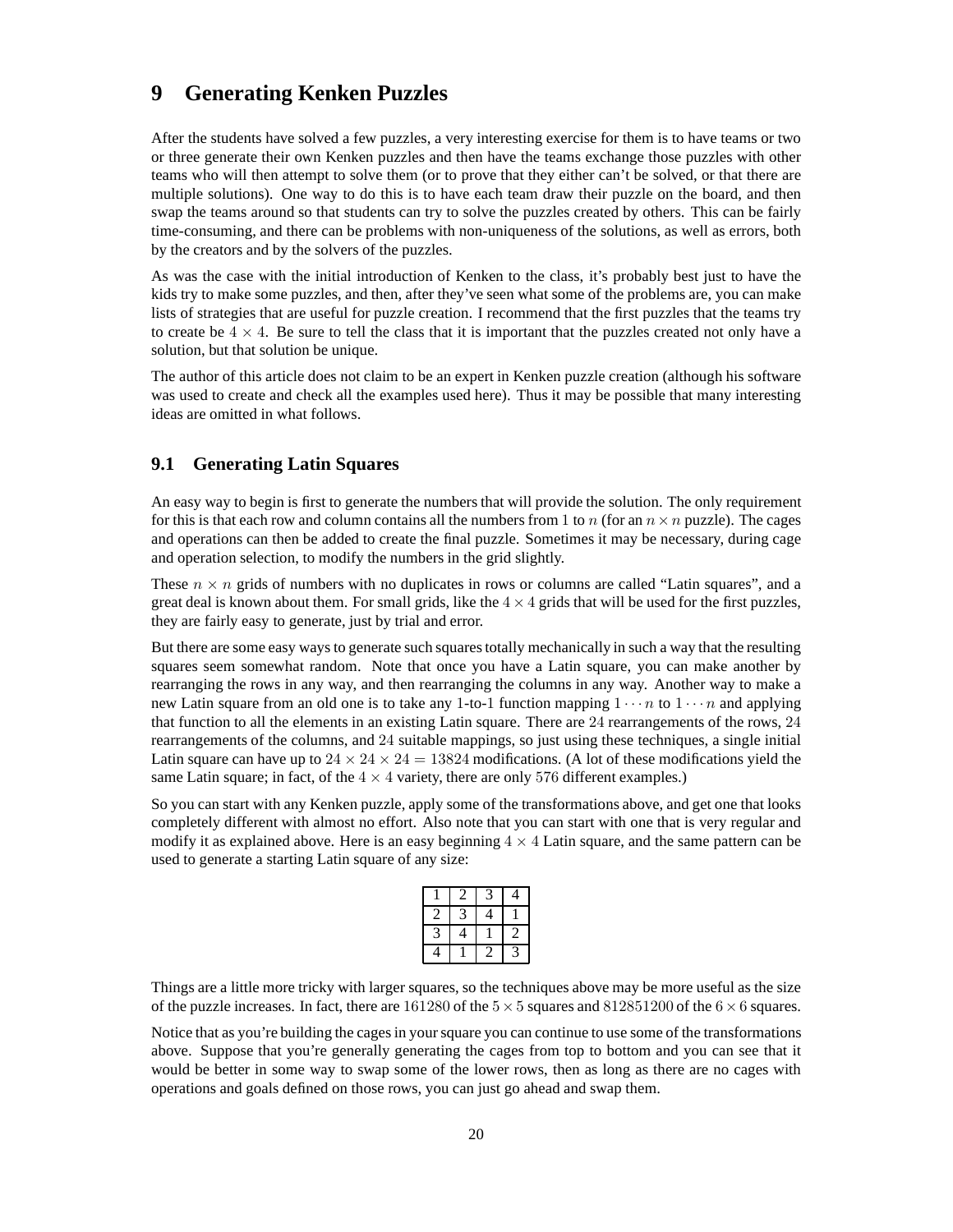### **9 Generating Kenken Puzzles**

After the students have solved a few puzzles, a very interesting exercise for them is to have teams or two or three generate their own Kenken puzzles and then have the teams exchange those puzzles with other teams who will then attempt to solve them (or to prove that they either can't be solved, or that there are multiple solutions). One way to do this is to have each team draw their puzzle on the board, and then swap the teams around so that students can try to solve the puzzles created by others. This can be fairly time-consuming, and there can be problems with non-uniqueness of the solutions, as well as errors, both by the creators and by the solvers of the puzzles.

As was the case with the initial introduction of Kenken to the class, it's probably best just to have the kids try to make some puzzles, and then, after they've seen what some of the problems are, you can make lists of strategies that are useful for puzzle creation. I recommend that the first puzzles that the teams try to create be  $4 \times 4$ . Be sure to tell the class that it is important that the puzzles created not only have a solution, but that solution be unique.

The author of this article does not claim to be an expert in Kenken puzzle creation (although his software was used to create and check all the examples used here). Thus it may be possible that many interesting ideas are omitted in what follows.

#### **9.1 Generating Latin Squares**

An easy way to begin is first to generate the numbers that will provide the solution. The only requirement for this is that each row and column contains all the numbers from 1 to n (for an  $n \times n$  puzzle). The cages and operations can then be added to create the final puzzle. Sometimes it may be necessary, during cage and operation selection, to modify the numbers in the grid slightly.

These  $n \times n$  grids of numbers with no duplicates in rows or columns are called "Latin squares", and a great deal is known about them. For small grids, like the  $4 \times 4$  grids that will be used for the first puzzles, they are fairly easy to generate, just by trial and error.

But there are some easy ways to generate such squares totally mechanically in such a way that the resulting squares seem somewhat random. Note that once you have a Latin square, you can make another by rearranging the rows in any way, and then rearranging the columns in any way. Another way to make a new Latin square from an old one is to take any 1-to-1 function mapping  $1 \cdots n$  to  $1 \cdots n$  and applying that function to all the elements in an existing Latin square. There are 24 rearrangements of the rows, 24 rearrangements of the columns, and 24 suitable mappings, so just using these techniques, a single initial Latin square can have up to  $24 \times 24 \times 24 = 13824$  modifications. (A lot of these modifications yield the same Latin square; in fact, of the  $4 \times 4$  variety, there are only 576 different examples.)

So you can start with any Kenken puzzle, apply some of the transformations above, and get one that looks completely different with almost no effort. Also note that you can start with one that is very regular and modify it as explained above. Here is an easy beginning  $4 \times 4$  Latin square, and the same pattern can be used to generate a starting Latin square of any size:

|  |  | 2 |
|--|--|---|
|  |  | ∍ |

Things are a little more tricky with larger squares, so the techniques above may be more useful as the size of the puzzle increases. In fact, there are 161280 of the  $5 \times 5$  squares and 812851200 of the  $6 \times 6$  squares.

Notice that as you're building the cages in your square you can continue to use some of the transformations above. Suppose that you're generally generating the cages from top to bottom and you can see that it would be better in some way to swap some of the lower rows, then as long as there are no cages with operations and goals defined on those rows, you can just go ahead and swap them.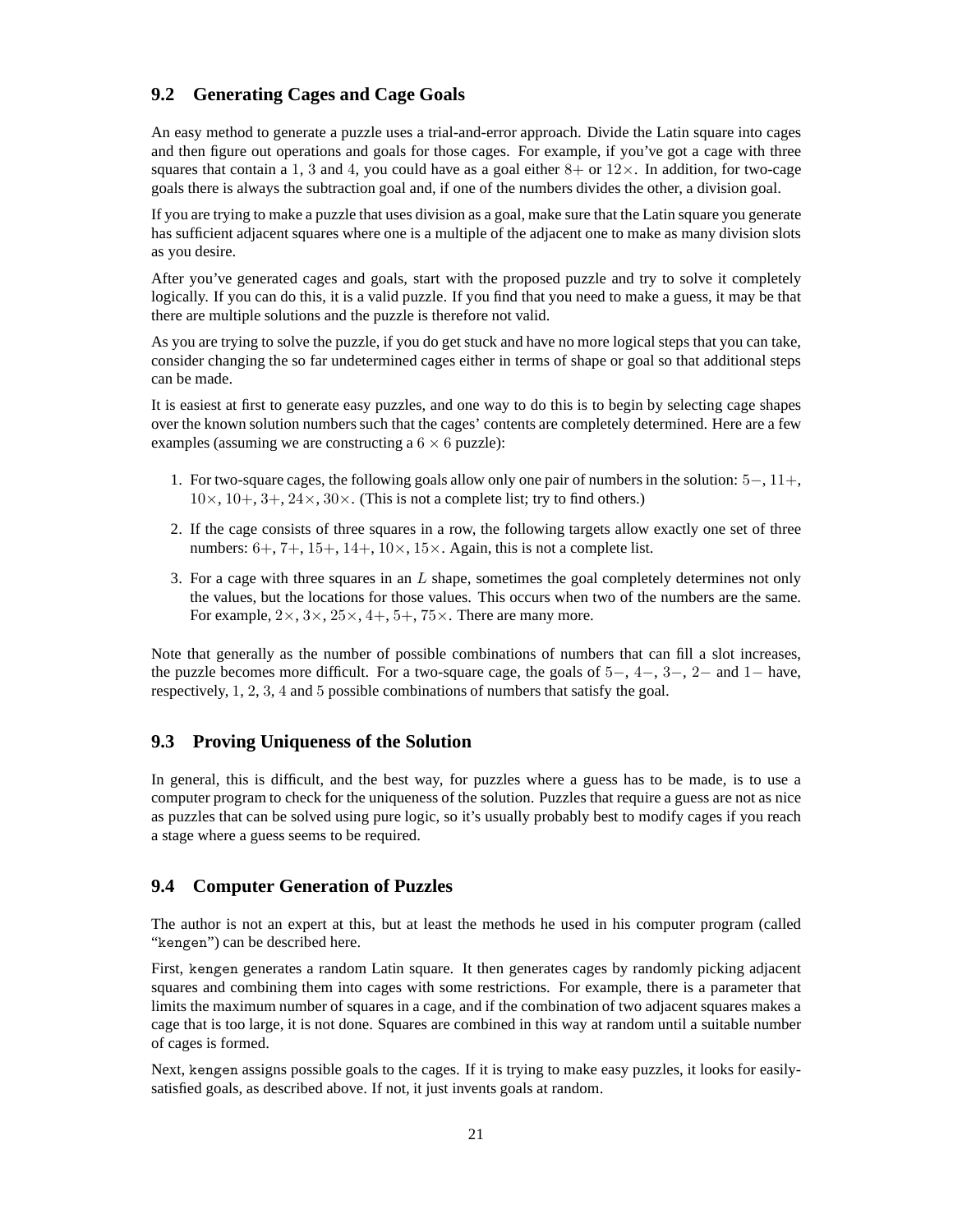#### **9.2 Generating Cages and Cage Goals**

An easy method to generate a puzzle uses a trial-and-error approach. Divide the Latin square into cages and then figure out operations and goals for those cages. For example, if you've got a cage with three squares that contain a 1, 3 and 4, you could have as a goal either  $8+$  or  $12\times$ . In addition, for two-cage goals there is always the subtraction goal and, if one of the numbers divides the other, a division goal.

If you are trying to make a puzzle that uses division as a goal, make sure that the Latin square you generate has sufficient adjacent squares where one is a multiple of the adjacent one to make as many division slots as you desire.

After you've generated cages and goals, start with the proposed puzzle and try to solve it completely logically. If you can do this, it is a valid puzzle. If you find that you need to make a guess, it may be that there are multiple solutions and the puzzle is therefore not valid.

As you are trying to solve the puzzle, if you do get stuck and have no more logical steps that you can take, consider changing the so far undetermined cages either in terms of shape or goal so that additional steps can be made.

It is easiest at first to generate easy puzzles, and one way to do this is to begin by selecting cage shapes over the known solution numbers such that the cages' contents are completely determined. Here are a few examples (assuming we are constructing a  $6 \times 6$  puzzle):

- 1. For two-square cages, the following goals allow only one pair of numbers in the solution: 5−, 11+,  $10\times$ ,  $10+$ ,  $3+$ ,  $24\times$ ,  $30\times$ . (This is not a complete list; try to find others.)
- 2. If the cage consists of three squares in a row, the following targets allow exactly one set of three numbers:  $6+, 7+, 15+, 14+, 10 \times, 15 \times$ . Again, this is not a complete list.
- 3. For a cage with three squares in an L shape, sometimes the goal completely determines not only the values, but the locations for those values. This occurs when two of the numbers are the same. For example,  $2 \times$ ,  $3 \times$ ,  $25 \times$ ,  $4+$ ,  $5+$ ,  $75 \times$ . There are many more.

Note that generally as the number of possible combinations of numbers that can fill a slot increases, the puzzle becomes more difficult. For a two-square cage, the goals of  $5-$ ,  $4-$ ,  $3-$ ,  $2-$  and  $1-$  have, respectively, 1, 2, 3, 4 and 5 possible combinations of numbers that satisfy the goal.

#### **9.3 Proving Uniqueness of the Solution**

In general, this is difficult, and the best way, for puzzles where a guess has to be made, is to use a computer program to check for the uniqueness of the solution. Puzzles that require a guess are not as nice as puzzles that can be solved using pure logic, so it's usually probably best to modify cages if you reach a stage where a guess seems to be required.

#### **9.4 Computer Generation of Puzzles**

The author is not an expert at this, but at least the methods he used in his computer program (called "kengen") can be described here.

First, kengen generates a random Latin square. It then generates cages by randomly picking adjacent squares and combining them into cages with some restrictions. For example, there is a parameter that limits the maximum number of squares in a cage, and if the combination of two adjacent squares makes a cage that is too large, it is not done. Squares are combined in this way at random until a suitable number of cages is formed.

Next, kengen assigns possible goals to the cages. If it is trying to make easy puzzles, it looks for easilysatisfied goals, as described above. If not, it just invents goals at random.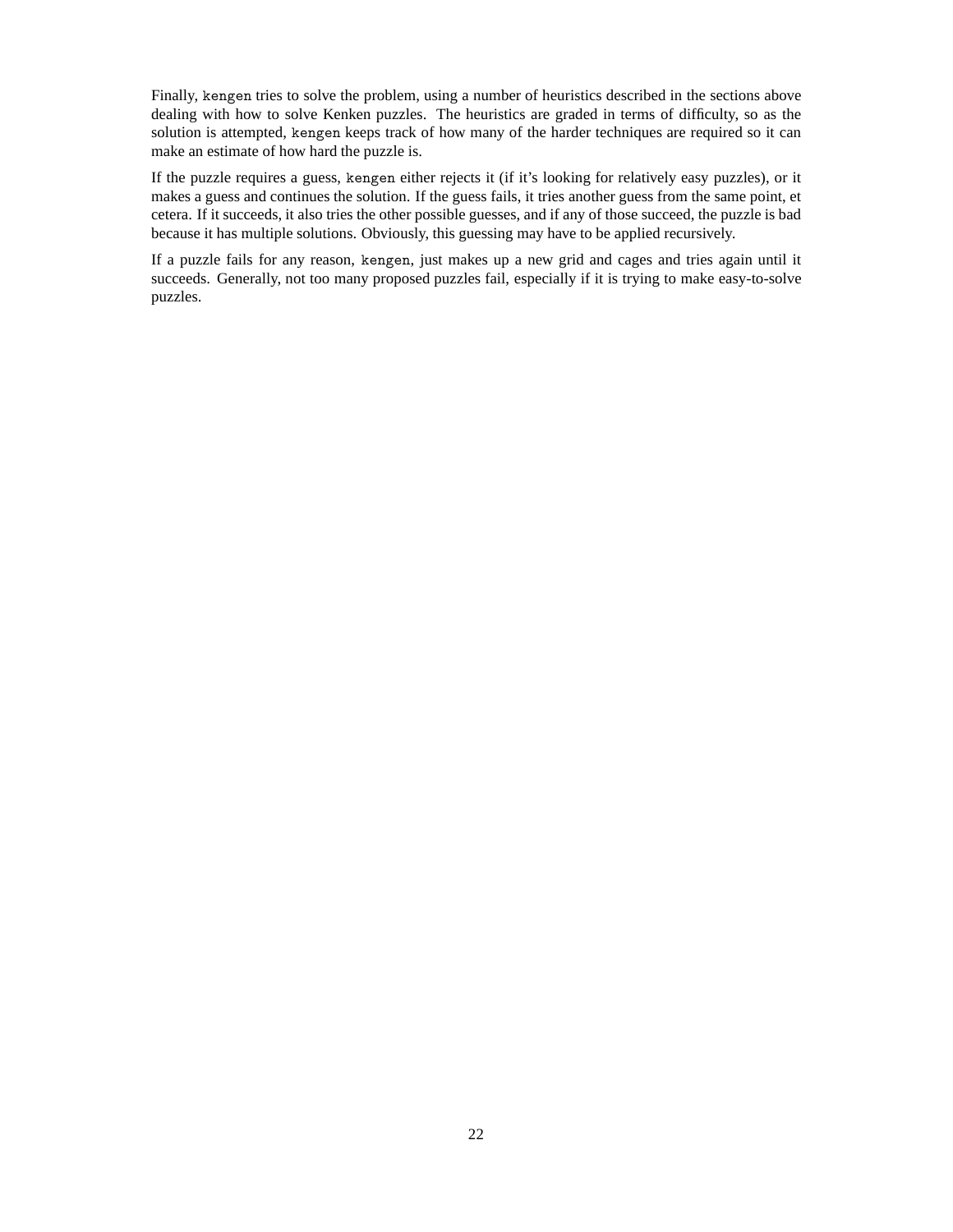Finally, kengen tries to solve the problem, using a number of heuristics described in the sections above dealing with how to solve Kenken puzzles. The heuristics are graded in terms of difficulty, so as the solution is attempted, kengen keeps track of how many of the harder techniques are required so it can make an estimate of how hard the puzzle is.

If the puzzle requires a guess, kengen either rejects it (if it's looking for relatively easy puzzles), or it makes a guess and continues the solution. If the guess fails, it tries another guess from the same point, et cetera. If it succeeds, it also tries the other possible guesses, and if any of those succeed, the puzzle is bad because it has multiple solutions. Obviously, this guessing may have to be applied recursively.

If a puzzle fails for any reason, kengen, just makes up a new grid and cages and tries again until it succeeds. Generally, not too many proposed puzzles fail, especially if it is trying to make easy-to-solve puzzles.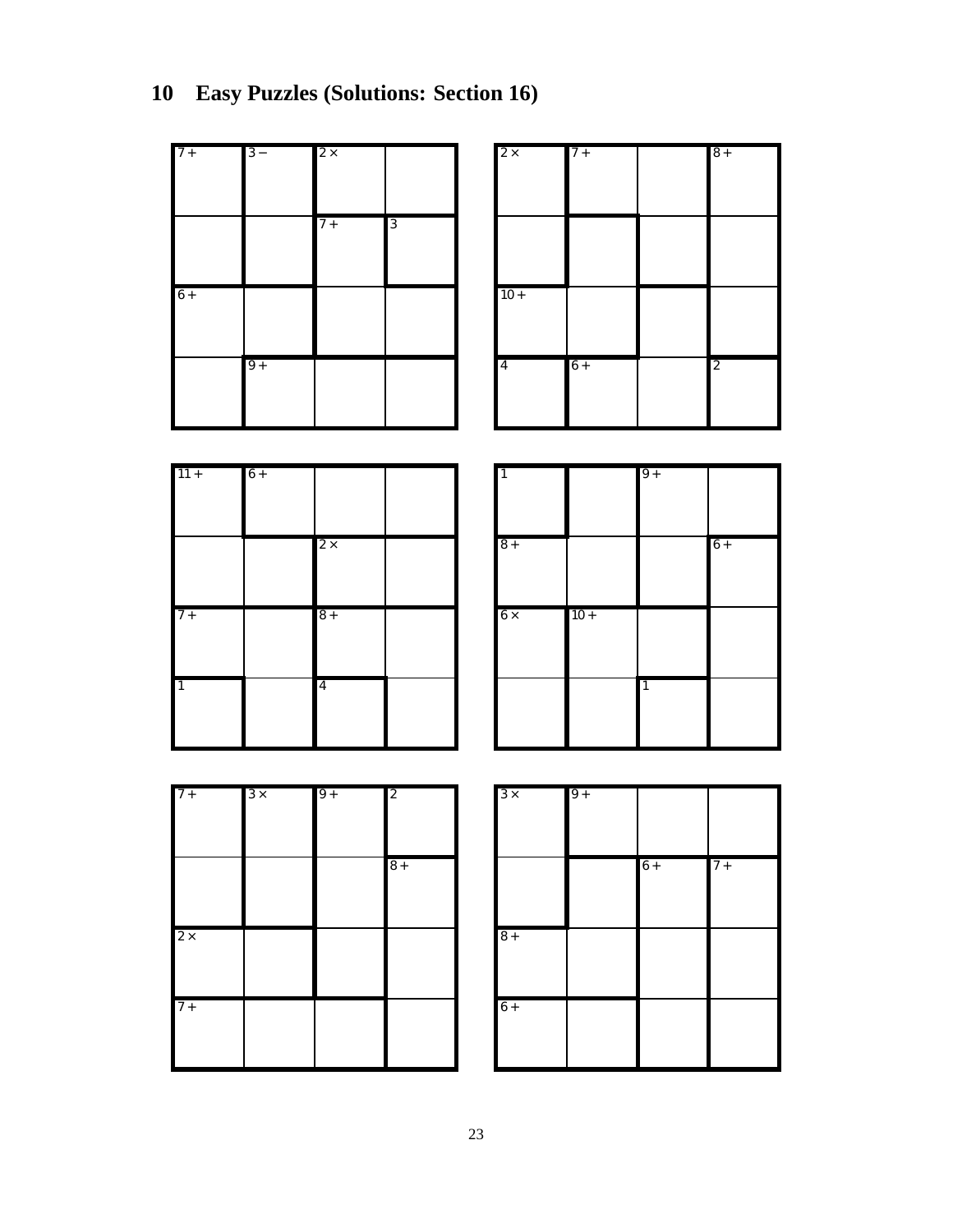| $7+$           | $3 -$      | $2\times$      |                | $2\times$      | $7+$   |           | $8+$           |
|----------------|------------|----------------|----------------|----------------|--------|-----------|----------------|
|                |            |                |                |                |        |           |                |
|                |            |                |                |                |        |           |                |
|                |            | $7+$           | $\overline{3}$ |                |        |           |                |
|                |            |                |                |                |        |           |                |
| $6+$           |            |                |                | $10 +$         |        |           |                |
|                |            |                |                |                |        |           |                |
|                |            |                |                |                |        |           |                |
|                | $9+$       |                |                | $\overline{4}$ | $6+$   |           | $\overline{2}$ |
|                |            |                |                |                |        |           |                |
|                |            |                |                |                |        |           |                |
|                |            |                |                |                |        |           |                |
| $11 +$         | $6+$       |                |                |                |        | $9+$      |                |
|                |            |                |                |                |        |           |                |
|                |            |                |                |                |        |           |                |
|                |            | $2\times$      |                | $\sqrt{8}$ +   |        |           | $6+$           |
|                |            |                |                |                |        |           |                |
| $7+$           |            | $8+$           |                | $6 \times$     | $10 +$ |           |                |
|                |            |                |                |                |        |           |                |
|                |            |                |                |                |        |           |                |
| $\overline{1}$ |            | $\overline{4}$ |                |                |        | $\vert$ 1 |                |
|                |            |                |                |                |        |           |                |
|                |            |                |                |                |        |           |                |
|                |            |                |                |                |        |           |                |
| $7 +$          | $3 \times$ | $9+$           | $\overline{c}$ | $3 \times$     | $9+$   |           |                |
|                |            |                |                |                |        |           |                |
|                |            |                |                |                |        |           |                |
|                |            |                | $8+$           |                |        | $6+$      | $7+$           |
|                |            |                |                |                |        |           |                |
| $2\times$      |            |                |                | $\sqrt{8}$ +   |        |           |                |
|                |            |                |                |                |        |           |                |
|                |            |                |                |                |        |           |                |
| $7+$           |            |                |                | $6+$           |        |           |                |
|                |            |                |                |                |        |           |                |
|                |            |                |                |                |        |           |                |
|                |            |                |                |                |        |           |                |

# **10 Easy Puzzles (Solutions: Section 16)**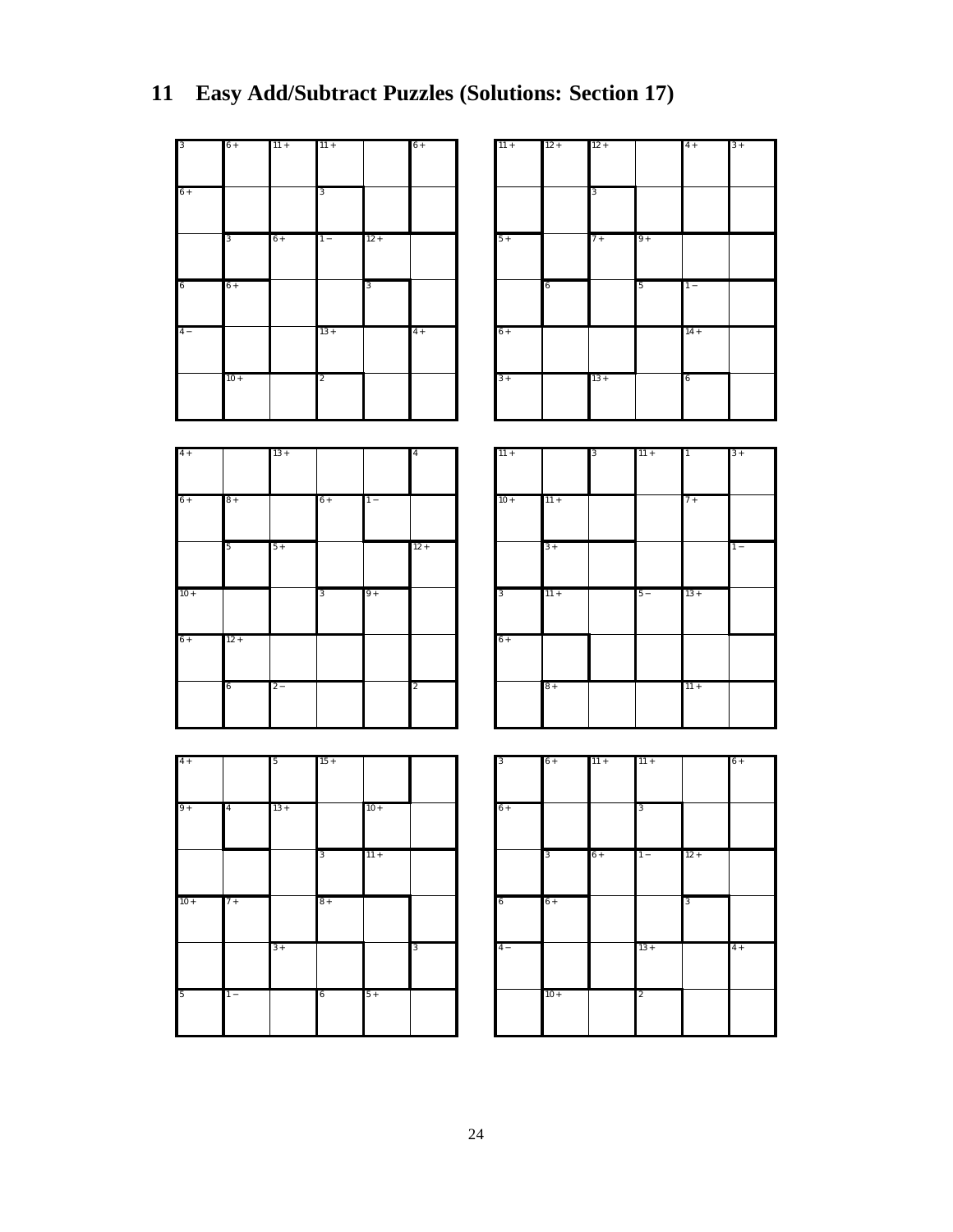| 3          | $6+$  | $11 +$ | $11 +$         |        | $6+$ |  |
|------------|-------|--------|----------------|--------|------|--|
|            |       |        |                |        |      |  |
| $6+$       |       |        | 3              |        |      |  |
|            |       |        |                |        |      |  |
|            |       |        |                |        |      |  |
|            | 3     | $6+$   | $1 -$          | $12 +$ |      |  |
|            |       |        |                |        |      |  |
| $\sqrt{6}$ | $6+$  |        |                | 3      |      |  |
|            |       |        |                |        |      |  |
|            |       |        |                |        |      |  |
| $4 -$      |       |        | $13 +$         |        | $4+$ |  |
|            |       |        |                |        |      |  |
|            | $10+$ |        | $\overline{c}$ |        |      |  |
|            |       |        |                |        |      |  |
|            |       |        |                |        |      |  |

| $11 +$ | $12 +$ | $12 +$ |      | $4+$   | $3+$ |
|--------|--------|--------|------|--------|------|
|        |        | 3      |      |        |      |
| $5+$   |        | $7+$   | $9+$ |        |      |
|        | 6      |        | 5    | $1 -$  |      |
| $6+$   |        |        |      | $14 +$ |      |
| $3+$   |        | $13 +$ |      | 6      |      |

| $4+$   |        | $13 +$ |      |       | $\overline{4}$          |
|--------|--------|--------|------|-------|-------------------------|
| $6+$   | $8+$   |        | $6+$ | $1 -$ |                         |
|        | 5      | $5+$   |      |       | $12 +$                  |
| $10 +$ |        |        | 3    | $9+$  |                         |
| $6+$   | $12 +$ |        |      |       |                         |
|        | 6      | $2-$   |      |       | $\overline{\mathbf{c}}$ |

| $11 +$                  |        | 3 | $11 +$ | $\overline{1}$ | $3+$  |
|-------------------------|--------|---|--------|----------------|-------|
| $10+$                   | $11 +$ |   |        | $7+$           |       |
|                         | $3+$   |   |        |                | $1 -$ |
| $\overline{\mathbf{3}}$ | $11 +$ |   | $5 -$  | $13 +$         |       |
| $6+$                    |        |   |        |                |       |
|                         | $8+$   |   |        | $11 +$         |       |

| $4+$   |                         | 5      | $15 +$ |        |   |
|--------|-------------------------|--------|--------|--------|---|
| $9+$   | $\overline{\mathbf{4}}$ | $13 +$ |        | $10 +$ |   |
|        |                         |        | 3      | $11 +$ |   |
| $10 +$ | $7+$                    |        | $8+$   |        |   |
|        |                         | $3+$   |        |        | 3 |
| 5      | $1 -$                   |        | 6      | $5+$   |   |

| 3    | $6+$   | $11 +$ | $11 +$         |        | $6+$ |
|------|--------|--------|----------------|--------|------|
| $6+$ |        |        | 3              |        |      |
|      | 3      | $6+$   | $1 -$          | $12 +$ |      |
| 6    | $6+$   |        |                | 3      |      |
| $4-$ |        |        | $13 +$         |        | $4+$ |
|      | $10 +$ |        | $\overline{2}$ |        |      |

## **11 Easy Add/Subtract Puzzles (Solutions: Section 17)**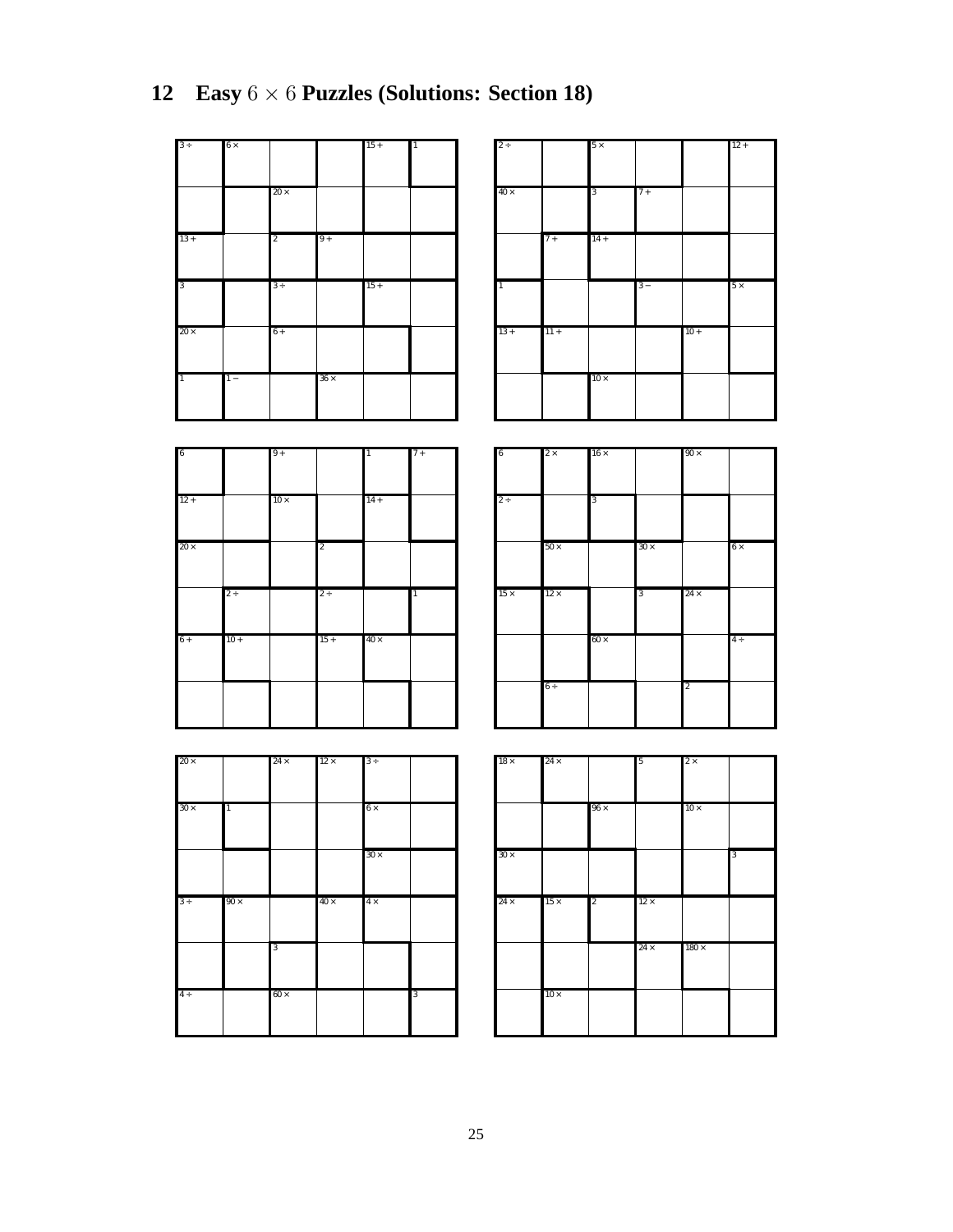| $3+$           | $6\times$ |                |             | $15 +$ | $\overline{1}$ |
|----------------|-----------|----------------|-------------|--------|----------------|
|                |           | $20\times$     |             |        |                |
| $13 +$         |           | $\overline{2}$ | $9+$        |        |                |
|                |           |                |             |        |                |
| 3              |           | $3 +$          |             | $15+$  |                |
| $20 \times$    |           | $6+$           |             |        |                |
| $\overline{1}$ | $1 -$     |                | $36 \times$ |        |                |

| $2 \div$       |        | $5 \times$ |       |        | $12 +$    |
|----------------|--------|------------|-------|--------|-----------|
| $40\times$     |        | 3          | $7+$  |        |           |
|                | $7+$   | $14 +$     |       |        |           |
|                |        |            |       |        |           |
| $\overline{1}$ |        |            | $3 -$ |        | $5\times$ |
| $13 +$         | $11 +$ | $10\times$ |       | $10 +$ |           |

 $12 +$ 

| 6           |        | $9+$        |                | $\overline{1}$ | $7+$           |
|-------------|--------|-------------|----------------|----------------|----------------|
|             |        |             |                |                |                |
|             |        |             |                |                |                |
|             |        |             |                |                |                |
| $12 +$      |        | $10 \times$ |                | $14 +$         |                |
|             |        |             |                |                |                |
|             |        |             |                |                |                |
|             |        |             |                |                |                |
| $20 \times$ |        |             | $\overline{c}$ |                |                |
|             |        |             |                |                |                |
|             |        |             |                |                |                |
|             |        |             |                |                |                |
|             | $2+$   |             | $2 \div$       |                | $\overline{1}$ |
|             |        |             |                |                |                |
|             |        |             |                |                |                |
|             |        |             |                |                |                |
| $6+$        | $10 +$ |             | $15 +$         | $40 \times$    |                |
|             |        |             |                |                |                |
|             |        |             |                |                |                |
|             |        |             |                |                |                |
|             |        |             |                |                |                |
|             |        |             |                |                |                |
|             |        |             |                |                |                |
|             |        |             |                |                |                |
|             |        |             |                |                |                |

| 6           | $2 \times$  | $16\times$ |             | $90\times$     |           |
|-------------|-------------|------------|-------------|----------------|-----------|
|             |             |            |             |                |           |
|             |             |            |             |                |           |
|             |             |            |             |                |           |
| $2+$        |             | 3          |             |                |           |
|             |             |            |             |                |           |
|             |             |            |             |                |           |
|             |             |            |             |                |           |
|             | $50\times$  |            | $30 \times$ |                | $6\times$ |
|             |             |            |             |                |           |
|             |             |            |             |                |           |
|             |             |            |             |                |           |
| $15 \times$ | $12 \times$ |            | 3           | $24 \times$    |           |
|             |             |            |             |                |           |
|             |             |            |             |                |           |
|             |             |            |             |                |           |
|             |             | $60\times$ |             |                | $4\div$   |
|             |             |            |             |                |           |
|             |             |            |             |                |           |
|             |             |            |             |                |           |
|             | $6\div$     |            |             | $\overline{2}$ |           |
|             |             |            |             |                |           |
|             |             |            |             |                |           |
|             |             |            |             |                |           |

| $20 \times$ |                | $24 \times$ | $12 \times$ | $3 +$       |   |
|-------------|----------------|-------------|-------------|-------------|---|
|             |                |             |             |             |   |
|             |                |             |             |             |   |
| $30 \times$ | $\overline{1}$ |             |             | $6\times$   |   |
|             |                |             |             |             |   |
|             |                |             |             |             |   |
|             |                |             |             |             |   |
|             |                |             |             | $30 \times$ |   |
|             |                |             |             |             |   |
|             |                |             |             |             |   |
|             |                |             |             |             |   |
| $3 +$       | $90 \times$    |             | $40 \times$ | $4\times$   |   |
|             |                |             |             |             |   |
|             |                |             |             |             |   |
|             |                | 3           |             |             |   |
|             |                |             |             |             |   |
|             |                |             |             |             |   |
|             |                |             |             |             |   |
|             |                |             |             |             |   |
| $4 +$       |                | $60 \times$ |             |             | 3 |
|             |                |             |             |             |   |
|             |                |             |             |             |   |

| $18\, \times$ | $24 \times$ |                | 5           | $2 \times$   |   |
|---------------|-------------|----------------|-------------|--------------|---|
|               |             |                |             |              |   |
|               |             |                |             |              |   |
|               |             |                |             |              |   |
|               |             | $96 \times$    |             | $10\times$   |   |
|               |             |                |             |              |   |
|               |             |                |             |              |   |
|               |             |                |             |              |   |
|               |             |                |             |              |   |
| $30 \times$   |             |                |             |              | 3 |
|               |             |                |             |              |   |
|               |             |                |             |              |   |
|               |             |                |             |              |   |
|               |             |                |             |              |   |
| $24 \times$   | $15 \times$ | $\overline{2}$ | $12 \times$ |              |   |
|               |             |                |             |              |   |
|               |             |                |             |              |   |
|               |             |                |             |              |   |
|               |             |                |             |              |   |
|               |             |                | $24 \times$ | $180 \times$ |   |
|               |             |                |             |              |   |
|               |             |                |             |              |   |
|               |             |                |             |              |   |
|               |             |                |             |              |   |
|               | $10\times$  |                |             |              |   |
|               |             |                |             |              |   |
|               |             |                |             |              |   |
|               |             |                |             |              |   |
|               |             |                |             |              |   |

# **12 Easy** 6 × 6 **Puzzles (Solutions: Section 18)**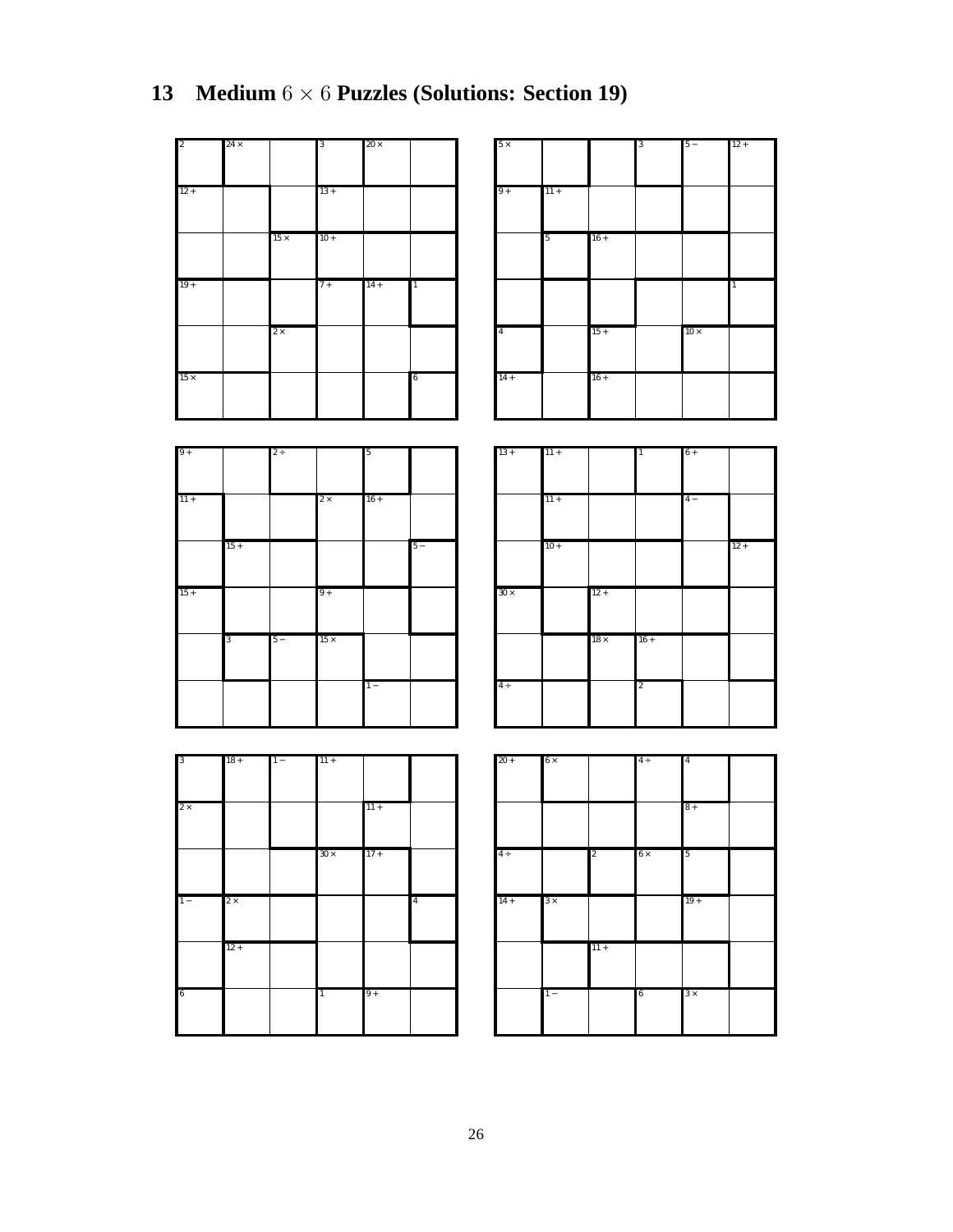| $\overline{c}$ | $24 \times$ |             | 3      | $20\times$ |                |
|----------------|-------------|-------------|--------|------------|----------------|
|                |             |             |        |            |                |
|                |             |             |        |            |                |
|                |             |             |        |            |                |
|                |             |             |        |            |                |
| $12 +$         |             |             | $13 +$ |            |                |
|                |             |             |        |            |                |
|                |             |             |        |            |                |
|                |             |             |        |            |                |
|                |             | $15 \times$ | $10 +$ |            |                |
|                |             |             |        |            |                |
|                |             |             |        |            |                |
|                |             |             |        |            |                |
| $19+$          |             |             | $7+$   | $14 +$     | $\overline{1}$ |
|                |             |             |        |            |                |
|                |             |             |        |            |                |
|                |             |             |        |            |                |
|                |             |             |        |            |                |
|                |             | $2\times$   |        |            |                |
|                |             |             |        |            |                |
|                |             |             |        |            |                |
|                |             |             |        |            |                |
| $15 \times$    |             |             |        |            | 6              |
|                |             |             |        |            |                |
|                |             |             |        |            |                |
|                |             |             |        |            |                |

| $5 \times$               |        |                  | 13 | $5 -$        | $12 +$ |
|--------------------------|--------|------------------|----|--------------|--------|
| $9+$                     | $11 +$ |                  |    |              |        |
|                          | 5      | $16 +$           |    |              |        |
|                          |        |                  |    |              |        |
|                          |        |                  |    |              | 1      |
| $\overline{4}$<br>$14 +$ |        | $15 +$<br>$16 +$ |    | $10\,\times$ |        |

| $9+$      |       | $2 +$ |             | 5      |       |
|-----------|-------|-------|-------------|--------|-------|
|           |       |       |             |        |       |
|           |       |       |             |        |       |
| $11\,+\,$ |       |       |             | $16 +$ |       |
|           |       |       | $2\times$   |        |       |
|           |       |       |             |        |       |
|           |       |       |             |        |       |
|           | $15+$ |       |             |        | $5 -$ |
|           |       |       |             |        |       |
|           |       |       |             |        |       |
|           |       |       |             |        |       |
| $15+$     |       |       | $9+$        |        |       |
|           |       |       |             |        |       |
|           |       |       |             |        |       |
|           |       |       |             |        |       |
|           | 3     | $5 -$ | $15 \times$ |        |       |
|           |       |       |             |        |       |
|           |       |       |             |        |       |
|           |       |       |             |        |       |
|           |       |       |             | $1 -$  |       |
|           |       |       |             |        |       |
|           |       |       |             |        |       |
|           |       |       |             |        |       |

| $13 +$      | $11 +$ |            | $\overline{1}$ | $6+$ |        |
|-------------|--------|------------|----------------|------|--------|
|             |        |            |                |      |        |
|             |        |            |                |      |        |
|             | $11 +$ |            |                | $4-$ |        |
|             |        |            |                |      |        |
|             |        |            |                |      |        |
|             |        |            |                |      |        |
|             | $10 +$ |            |                |      | $12 +$ |
|             |        |            |                |      |        |
|             |        |            |                |      |        |
| $30 \times$ |        | $12 +$     |                |      |        |
|             |        |            |                |      |        |
|             |        |            |                |      |        |
|             |        | $18\times$ | $16 +$         |      |        |
|             |        |            |                |      |        |
|             |        |            |                |      |        |
|             |        |            |                |      |        |
| $4 \div$    |        |            | $\overline{c}$ |      |        |
|             |        |            |                |      |        |
|             |        |            |                |      |        |

| $\overline{\mathbf{3}}$ | $18 +$    | $1 -$ | $11 +$         |           |                         |
|-------------------------|-----------|-------|----------------|-----------|-------------------------|
|                         |           |       |                |           |                         |
|                         |           |       |                |           |                         |
|                         |           |       |                |           |                         |
| $2\times$               |           |       |                | $11\,+\,$ |                         |
|                         |           |       |                |           |                         |
|                         |           |       |                |           |                         |
|                         |           |       |                |           |                         |
|                         |           |       |                |           |                         |
|                         |           |       | $30 \times$    | $17 +$    |                         |
|                         |           |       |                |           |                         |
|                         |           |       |                |           |                         |
|                         |           |       |                |           |                         |
| $1 -$                   | $2\times$ |       |                |           | $\overline{\mathbf{4}}$ |
|                         |           |       |                |           |                         |
|                         |           |       |                |           |                         |
|                         |           |       |                |           |                         |
|                         |           |       |                |           |                         |
|                         | $12 +$    |       |                |           |                         |
|                         |           |       |                |           |                         |
|                         |           |       |                |           |                         |
|                         |           |       |                |           |                         |
|                         |           |       |                |           |                         |
| $\sqrt{6}$              |           |       | $\overline{1}$ | $9+$      |                         |
|                         |           |       |                |           |                         |
|                         |           |       |                |           |                         |
|                         |           |       |                |           |                         |

| $20 +$   | $6 \times$ |                | $4 \div$  | $\overline{4}$ |  |
|----------|------------|----------------|-----------|----------------|--|
|          |            |                |           | $8+$           |  |
| $4 \div$ |            | $\overline{2}$ | $6\times$ | 5              |  |
| $14 +$   | $3 \times$ |                |           | $19+$          |  |
|          |            | $11 +$         |           |                |  |
|          | $1 -$      |                | 6         | $3 \times$     |  |

# **13 Medium** 6 × 6 **Puzzles (Solutions: Section 19)**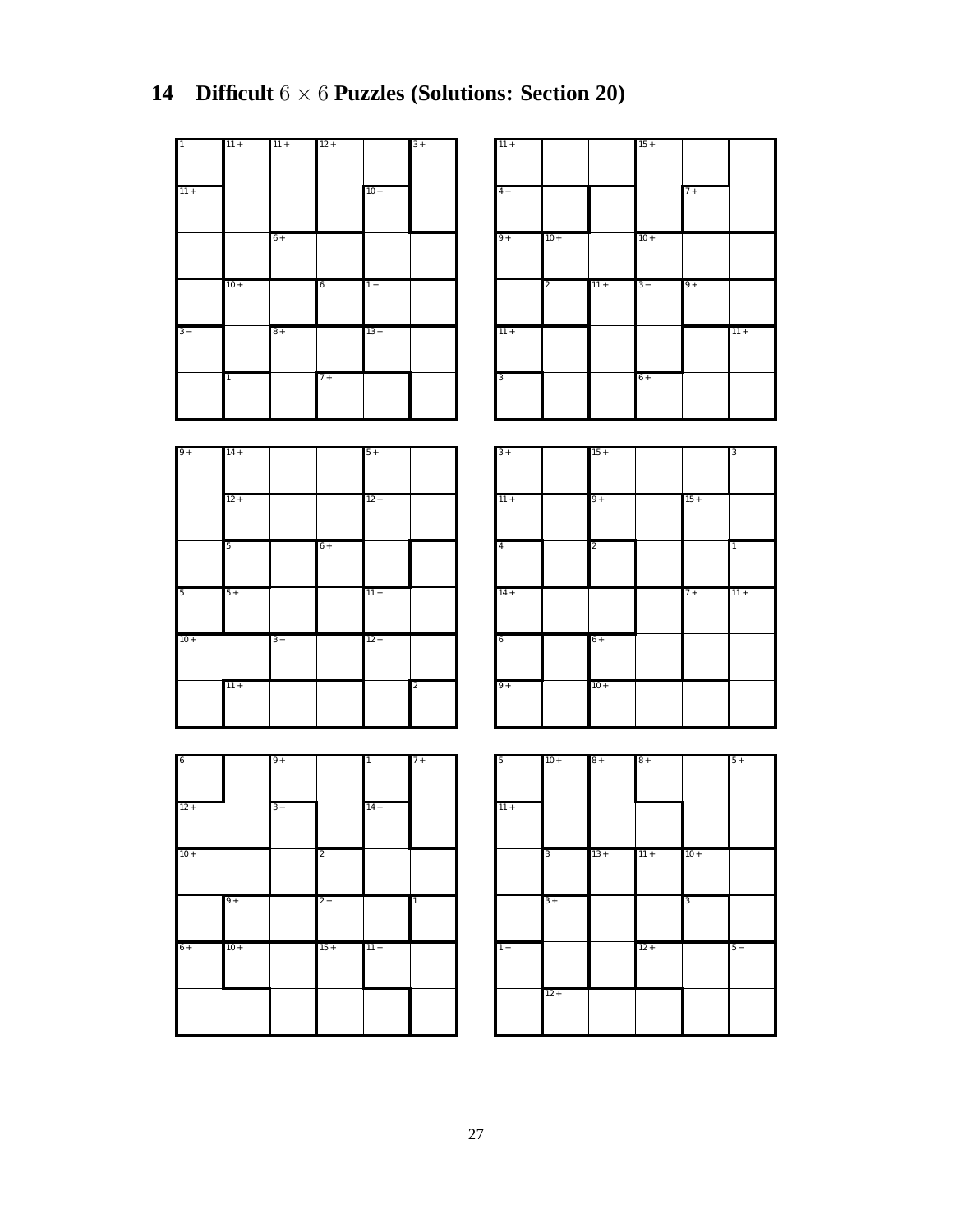| $\overline{1}$ | $11 +$         | $11 +$ | $12 +$ |        | $3+$ |
|----------------|----------------|--------|--------|--------|------|
|                |                |        |        |        |      |
| $11 +$         |                |        |        | $10 +$ |      |
|                |                |        |        |        |      |
|                |                | $6+$   |        |        |      |
|                |                |        |        |        |      |
|                | $10 +$         |        | 6      | $1 -$  |      |
|                |                |        |        |        |      |
| $3-$           |                | $8+$   |        | $13 +$ |      |
|                |                |        |        |        |      |
|                | $\overline{1}$ |        | $7+$   |        |      |
|                |                |        |        |        |      |

| Ł | $11 +$ |        | $15 +$ |       |  |
|---|--------|--------|--------|-------|--|
|   |        |        |        |       |  |
|   | $4-$   |        |        | $7 +$ |  |
|   |        |        |        |       |  |
|   | $9+$   | $10 +$ | $10 +$ |       |  |
|   |        |        |        |       |  |

11 +

3

2 11 + 3 − 9 +

6 +

11 +

| $9+$   | $14 +$ |       |      | $5+$   |                |
|--------|--------|-------|------|--------|----------------|
|        | $12 +$ |       |      | $12 +$ |                |
|        |        |       |      |        |                |
|        | 5      |       | $6+$ |        |                |
| 5      | $5+$   |       |      | $11 +$ |                |
| $10 +$ |        | $3 -$ |      | $12 +$ |                |
|        | $11 +$ |       |      |        | $\overline{2}$ |

| $3+$           | $15 +$         |        | 3              |
|----------------|----------------|--------|----------------|
|                |                |        |                |
|                |                |        |                |
|                |                |        |                |
|                |                |        |                |
| $11 +$         | $9+$           | $15 +$ |                |
|                |                |        |                |
|                |                |        |                |
|                |                |        |                |
| $\overline{4}$ | $\overline{c}$ |        | $\overline{1}$ |
|                |                |        |                |
|                |                |        |                |
|                |                |        |                |
|                |                |        |                |
|                |                |        |                |
| $14 +$         |                | $7+$   | $11 +$         |
|                |                |        |                |
|                |                |        |                |
|                |                |        |                |
|                |                |        |                |
| 6              | $6+$           |        |                |
|                |                |        |                |
|                |                |        |                |
|                |                |        |                |
| $9+$           | $10 +$         |        |                |
|                |                |        |                |
|                |                |        |                |

| 6      |        | $9+$  |                | $\mathbf{1}$ | $7+$           |
|--------|--------|-------|----------------|--------------|----------------|
| $12 +$ |        | $3 -$ |                | $14 +$       |                |
|        |        |       |                |              |                |
| $10 +$ |        |       | $\overline{c}$ |              |                |
|        | $9+$   |       | $2 -$          |              | $\overline{1}$ |
| $6+$   | $10 +$ |       | $15+$          | $11 +$       |                |
|        |        |       |                |              |                |

| 5      | $10 +$ | $8+$   | $8+$   |        | $5+$  |
|--------|--------|--------|--------|--------|-------|
| $11 +$ |        |        |        |        |       |
|        | 3      | $13 +$ | $11 +$ | $10 +$ |       |
|        | $3+$   |        |        | 3      |       |
| $1 -$  |        |        | $12 +$ |        | $5 -$ |
|        | $12 +$ |        |        |        |       |

## **14 Difficult** 6 × 6 **Puzzles (Solutions: Section 20)**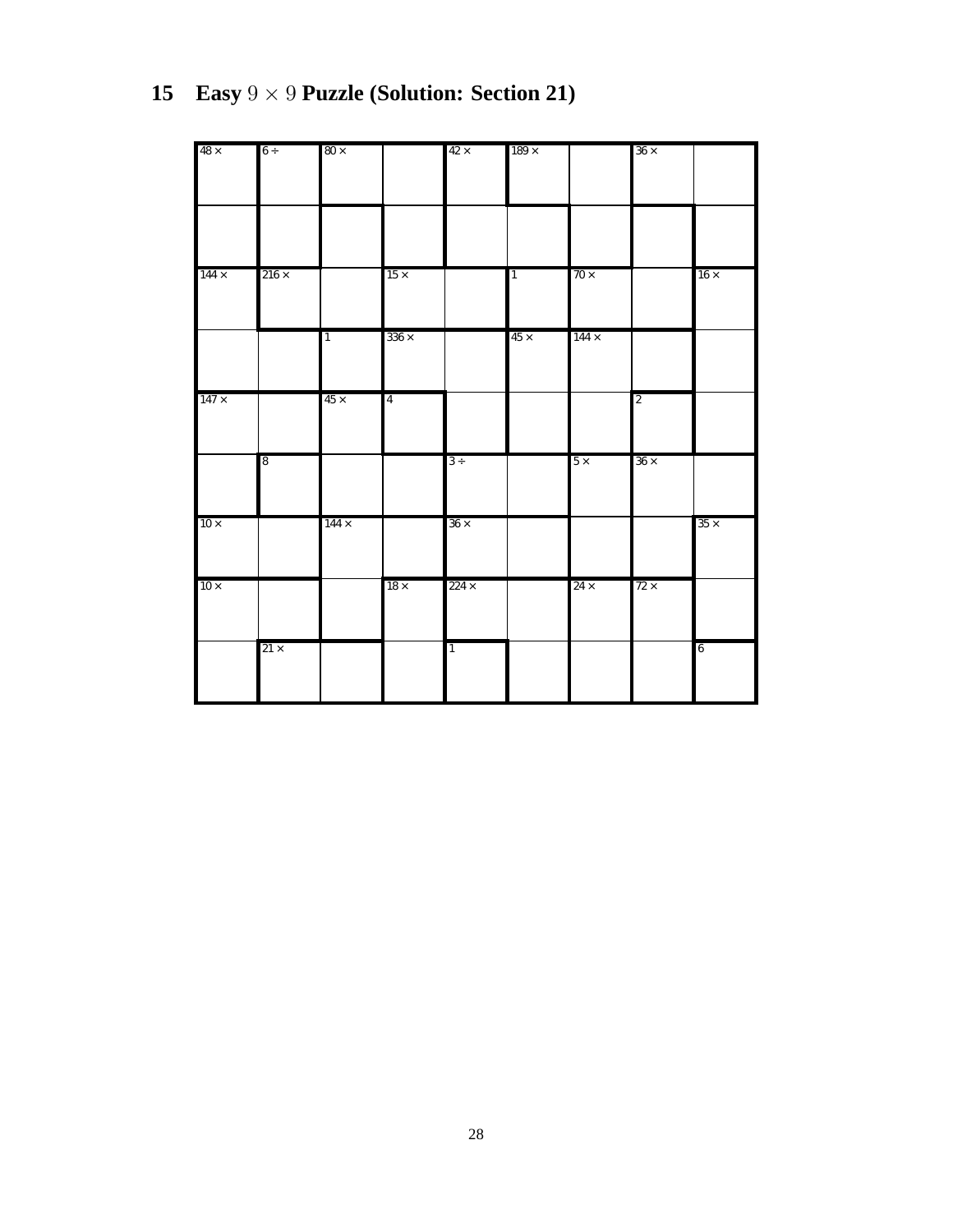| $48\times$  | 6 ÷             | $80\times$     |                | $42 \times$    | $189\times$ |              | $36 \times$    |                |
|-------------|-----------------|----------------|----------------|----------------|-------------|--------------|----------------|----------------|
|             |                 |                |                |                |             |              |                |                |
|             |                 |                |                |                |             |              |                |                |
|             |                 |                |                |                |             |              |                |                |
|             |                 |                |                |                |             |              |                |                |
|             |                 |                |                |                |             |              |                |                |
| $144\times$ | $216\times$     |                | $15 \times$    |                | $\vert$ 1   | $70\times$   |                | $16 \times$    |
|             |                 |                |                |                |             |              |                |                |
|             |                 |                |                |                |             |              |                |                |
|             |                 | $\overline{1}$ | $336\times$    |                | $45\times$  | $144 \times$ |                |                |
|             |                 |                |                |                |             |              |                |                |
|             |                 |                |                |                |             |              |                |                |
|             |                 |                |                |                |             |              |                |                |
| $147\times$ |                 | $45 \times$    | $\overline{4}$ |                |             |              | $\overline{2}$ |                |
|             |                 |                |                |                |             |              |                |                |
|             |                 |                |                |                |             |              |                |                |
|             | $8\phantom{.0}$ |                |                | 3 ÷            |             | $5\times$    | $36 \times$    |                |
|             |                 |                |                |                |             |              |                |                |
|             |                 |                |                |                |             |              |                |                |
| $10\times$  |                 | $144\times$    |                | $36 \times$    |             |              |                | $35 \times$    |
|             |                 |                |                |                |             |              |                |                |
|             |                 |                |                |                |             |              |                |                |
| $10\times$  |                 |                | $18\,\times$   | $224 \times$   |             | $24 \times$  | $72 \times$    |                |
|             |                 |                |                |                |             |              |                |                |
|             |                 |                |                |                |             |              |                |                |
|             | $21\times$      |                |                | $\overline{1}$ |             |              |                | $\overline{6}$ |
|             |                 |                |                |                |             |              |                |                |
|             |                 |                |                |                |             |              |                |                |
|             |                 |                |                |                |             |              |                |                |

# **15 Easy** 9 × 9 **Puzzle (Solution: Section 21)**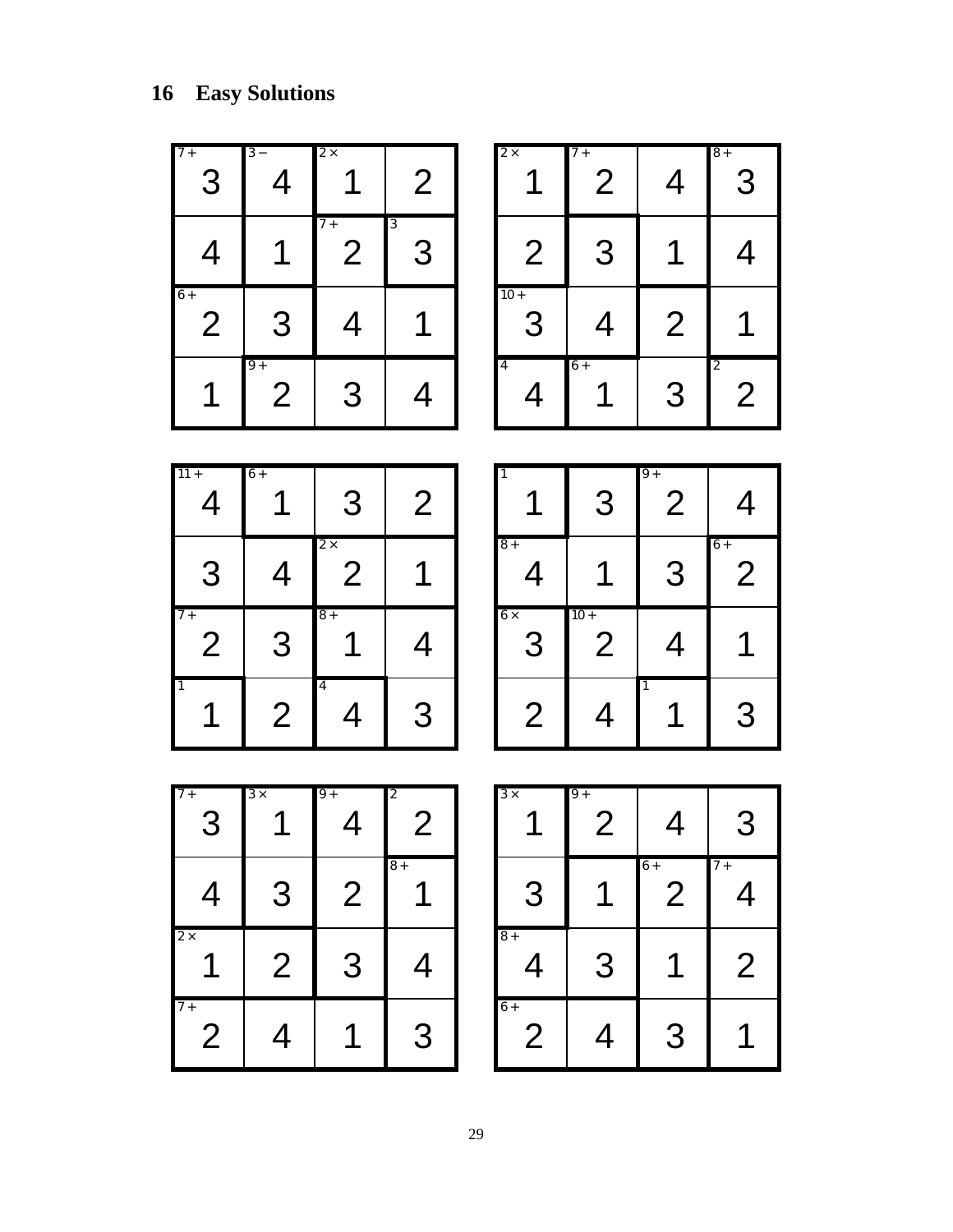| $7+$<br>3                | $3 -$<br>4           | $2\times$<br>1               | $\overline{2}$                           | $2 \times$<br>1        | $7+$<br>$\overline{2}$   | $\overline{4}$                     | $8+$<br>3                        |
|--------------------------|----------------------|------------------------------|------------------------------------------|------------------------|--------------------------|------------------------------------|----------------------------------|
| 4                        | 1                    | $7+$<br>$\overline{2}$       | $\overline{\mathbf{3}}$<br>3             | $\overline{2}$         | 3                        | 1                                  | 4                                |
| $6+$<br>$\overline{2}$   | 3                    | 4                            | 1                                        | $10+$<br>З             | 4                        | $\overline{2}$                     |                                  |
| 1                        | $9+$<br>$\mathbf{2}$ | 3                            | 4                                        | $\overline{4}$<br>4    | $6+$<br>1                | 3                                  | $\overline{2}$<br>$\overline{2}$ |
|                          |                      |                              |                                          |                        |                          |                                    |                                  |
| $11 +$<br>$\overline{4}$ | $6+$                 | 3                            | $\overline{2}$                           |                        | 3                        | $\overline{9}$ +<br>$\overline{2}$ | 4                                |
| 3                        | 4                    | $2 \times$<br>$\overline{2}$ |                                          | $8+$<br>4              | 1                        | 3                                  | $6+$<br>$\overline{2}$           |
| $7+$<br>$\overline{2}$   | 3                    | $8+$                         | 4                                        | $6 \times$<br>З        | $10 +$<br>$\overline{2}$ | 4                                  |                                  |
| $\mathbf{1}$<br>1        | $\overline{2}$       | 4<br>4                       | 3                                        | $\overline{2}$         | 4                        | 1<br>1                             | З                                |
|                          |                      |                              |                                          |                        |                          |                                    |                                  |
| $7+$                     | $\overline{3x}$      | $\overline{9}$ +             | $\overline{\mathbf{c}}$<br>$\mathcal{P}$ | $3\times$              | $9+$<br>ク                | $\boldsymbol{\Delta}$              | З                                |
| $\overline{4}$           | 3                    | $\overline{2}$               | $8+$<br>1                                | 3                      | 1                        | $6+$<br>$\overline{2}$             | $7+$<br>4                        |
| $2\times$<br>1           | $\overline{2}$       | 3                            | $\overline{4}$                           | $8+$<br>4              | 3                        | 1                                  | $\overline{2}$                   |
| $7+$<br>$\mathbf{2}$     | 4                    | 1                            | 3                                        | $6+$<br>$\overline{2}$ | 4                        | 3                                  | 1                                |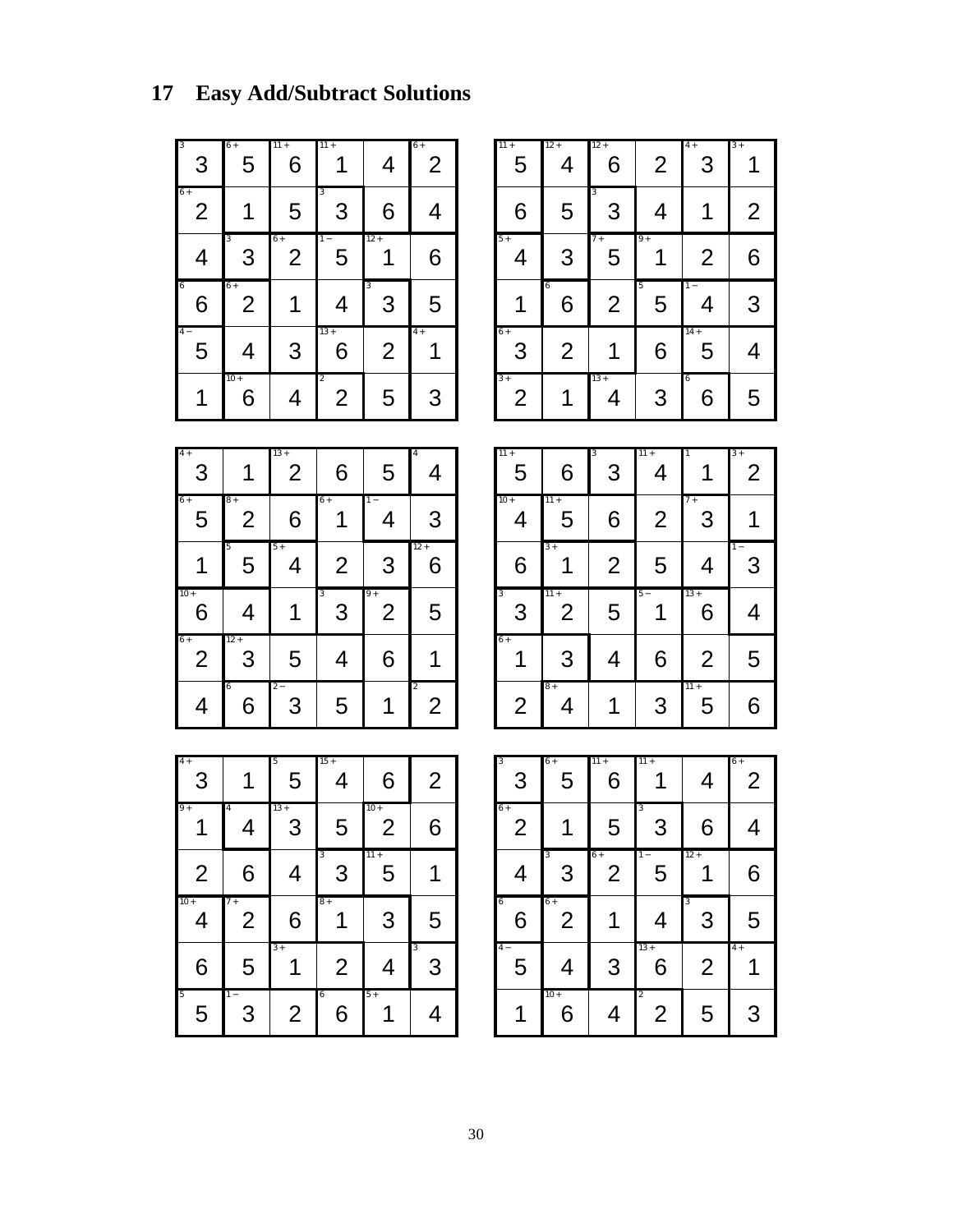# **17 Easy Add/Subtract Solutions**

| 3<br>3                 | $6+$<br>5              | $11 +$<br>6 | $11 +$                           | 4              | $6+$<br>2 |
|------------------------|------------------------|-------------|----------------------------------|----------------|-----------|
| $6+$<br>$\overline{2}$ |                        | 5           | 3<br>3                           | 6              |           |
| 4                      | 3<br>3                 | $6+$<br>2   | $1 -$<br>5                       | $12 +$         | 6         |
| 6<br>6                 | $6+$<br>$\overline{2}$ |             | 4                                | 3<br>3         | 5         |
| $4 -$<br>5             | 4                      | 3           | $13 +$<br>6                      | $\overline{2}$ | $4+$      |
|                        | $10 +$<br>6            | 4           | $\overline{2}$<br>$\overline{2}$ | 5              | 3         |

| $11 +$<br>5            | $12 +$<br>4         | $12 +$<br>6    | $\overline{2}$ | $4+$<br>3             | $3+$           |
|------------------------|---------------------|----------------|----------------|-----------------------|----------------|
| 6                      | 5                   | 3<br>3         | 4              | 1                     | $\overline{2}$ |
| $5+$<br>4              | 3                   | $7+$<br>5      | $9+$           | $\overline{2}$        | 6              |
| 1                      | $\overline{6}$<br>6 | $\overline{2}$ | 5<br>5         | $\overline{1}$ –<br>4 | 3              |
| $6+$<br>3              | $\overline{2}$      |                | 6              | $14 +$<br>5           | 4              |
| $3+$<br>$\overline{2}$ |                     | $13 +$<br>4    | 3              | 6<br>6                | 5              |

| $4+$<br>3              |             | $13 +$<br>$\overline{2}$ | 6      | 5                      | $\overline{4}$      |
|------------------------|-------------|--------------------------|--------|------------------------|---------------------|
| $6+$<br>5              | $8+$<br>2   | 6                        | $6+$   | $1 -$<br>4             | 3                   |
|                        | 5<br>5      | $5+$<br>4                | 2      | 3                      | $12 +$<br>6         |
| $10 +$<br>6            | 4           |                          | 3<br>3 | $9+$<br>$\overline{2}$ | 5                   |
| $6+$<br>$\overline{2}$ | $12 +$<br>3 | 5                        | 4      | 6                      |                     |
| 4                      | 6<br>6      | $2-$<br>3                | 5      |                        | $\overline{2}$<br>2 |

| $11 +$<br>5                  | 6                        | 3<br>3         | $11 +$<br>4    | $\overline{1}$ | $3+$<br>$\overline{2}$ |
|------------------------------|--------------------------|----------------|----------------|----------------|------------------------|
| $10 +$<br>4                  | $11 +$<br>5              | 6              | $\overline{2}$ | $7+$<br>3      |                        |
| 6                            | $3+$                     | $\overline{2}$ | 5              | 4              | $1 -$<br>3             |
| $\overline{\mathbf{3}}$<br>3 | $11 +$<br>$\overline{2}$ | 5              | $5 -$          | $13 +$<br>6    | 4                      |
| $6+$<br>1                    | 3                        | 4              | 6              | $\overline{2}$ | 5                      |
| $\overline{2}$               | $8+$<br>4                | 1              | 3              | $11 +$<br>5    | 6                      |

| $4+$<br>3      |                        | 5<br>5         | $15 +$<br>4         | 6                        | $\overline{2}$ |
|----------------|------------------------|----------------|---------------------|--------------------------|----------------|
| $9+$           | $\overline{4}$<br>4    | $13 +$<br>3    | 5                   | $10 +$<br>$\overline{2}$ | 6              |
| $\overline{2}$ | 6                      | 4              | 3<br>3              | $11 +$<br>5              |                |
| $10 +$<br>4    | $7+$<br>$\overline{2}$ | 6              | $8+$                | 3                        | 5              |
| 6              | 5                      | $3+$           | $\overline{2}$      | 4                        | 3<br>3         |
| 5<br>5         | $\overline{1}$ –<br>3  | $\overline{2}$ | $\overline{6}$<br>6 | $5+$                     | 4              |

| $\overline{\mathbf{3}}$<br>3 | $6+$<br>5              | $11 +$<br>6          | $11 +$                | 4              | $6+$<br>$\overline{2}$ |
|------------------------------|------------------------|----------------------|-----------------------|----------------|------------------------|
| $6+$<br>$\overline{2}$       |                        | 5                    | 3<br>3                | 6              | 4                      |
| 4                            | 3<br>3                 | $6+$<br>$\mathbf{2}$ | $\overline{1}$ –<br>5 | $12 +$         | 6                      |
| 6<br>6                       | $6+$<br>$\overline{2}$ |                      | 4                     | 3<br>3         | 5                      |
|                              |                        |                      |                       |                |                        |
| $4 -$<br>5                   | 4<br>$10+$             | 3                    | $13 +$<br>6           | $\overline{2}$ | $4+$                   |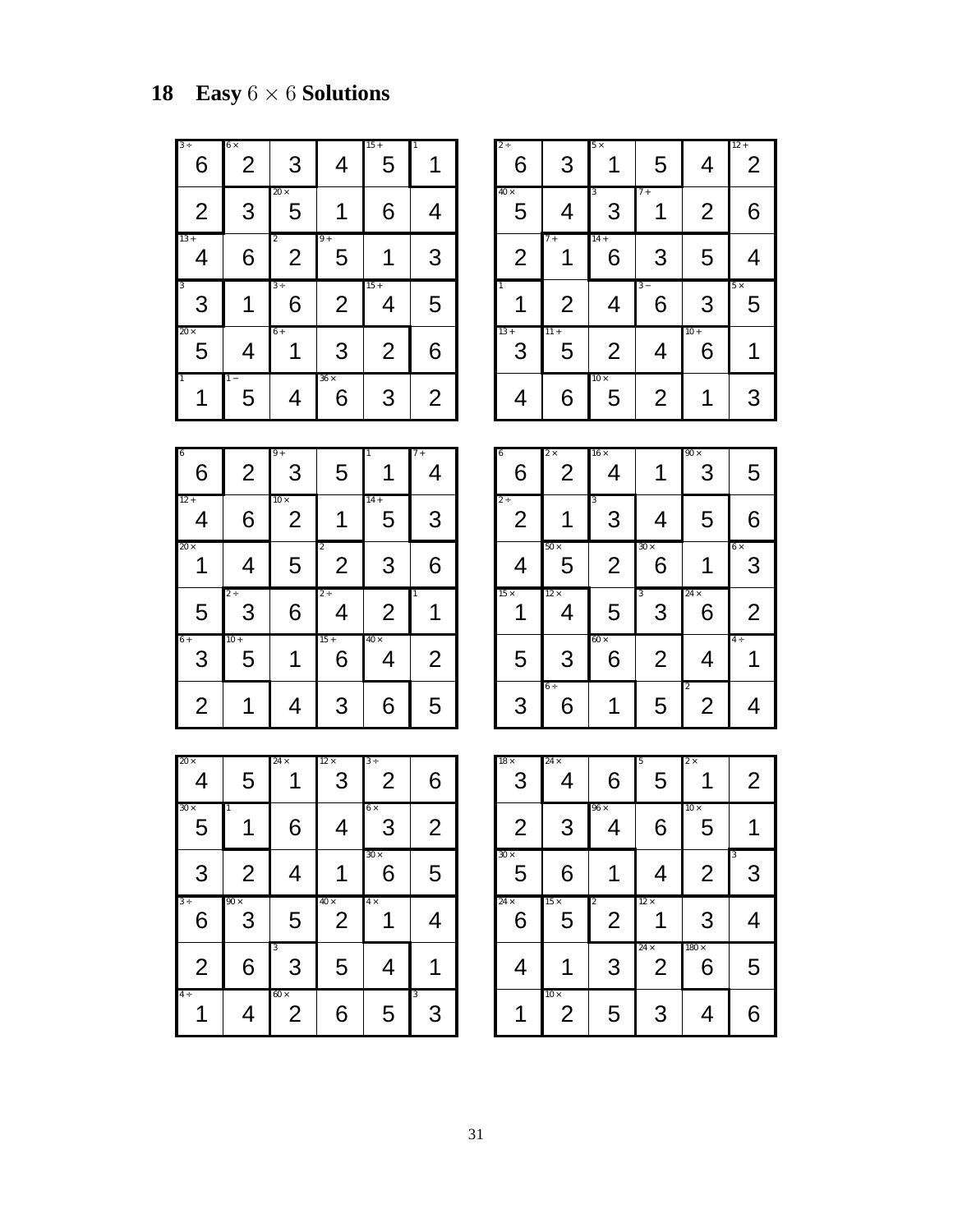# **18 Easy** 6 × 6 **Solutions**

| $3+$<br>6        | $6\times$<br>2 | 3                            | 4                | $15+$<br>5     |                |
|------------------|----------------|------------------------------|------------------|----------------|----------------|
| $\overline{2}$   | 3              | $20 \times$<br>5             |                  | 6              |                |
| $13 +$<br>4      | 6              | $\overline{\mathbf{c}}$<br>2 | $9+$<br>5        |                | 3              |
| 3<br>3           |                | $3 +$<br>6                   | $\overline{2}$   | $15 +$<br>4    | 5              |
| $20 \times$<br>5 | 4              | $6+$                         | 3                | $\overline{2}$ | 6              |
| $\overline{1}$   | $1 -$<br>5     | 4                            | $36 \times$<br>6 | 3              | $\overline{2}$ |

| $2 +$<br>6       | 3                | $5 \times$       | 5              | 4              | $12 +$<br>$\overline{2}$ |
|------------------|------------------|------------------|----------------|----------------|--------------------------|
| $40 \times$<br>5 | 4                | 3<br>3           | $7+$           | $\overline{2}$ | 6                        |
| $\overline{2}$   | $\overline{7}$ + | $14 +$<br>6      | 3              | 5              | 4                        |
| $\overline{1}$   | $\overline{2}$   | 4                | $3-$<br>6      | 3              | $5\times$<br>5           |
| $13 +$<br>3      | $11 +$<br>5      | $\overline{2}$   | 4              | $10 +$<br>6    |                          |
| 4                | 6                | $10 \times$<br>5 | $\overline{2}$ |                | 3                        |

| 6<br>6         | $\overline{2}$ | $9+$<br>3                     | 5                                | $\overline{1}$   | $7 +$<br>4     |
|----------------|----------------|-------------------------------|----------------------------------|------------------|----------------|
| $12 +$<br>4    | 6              | $10 \times$<br>$\overline{2}$ |                                  | $14 +$<br>5      | 3              |
| $20 \times$    | 4              | 5                             | $\overline{2}$<br>$\overline{2}$ | 3                | 6              |
| 5              | $2 +$<br>3     | 6                             | $2 +$<br>4                       | $\overline{2}$   | $\overline{1}$ |
| $6+$<br>3      | $10 +$<br>5    | 1                             | $15 +$<br>6                      | $40 \times$<br>4 | $\overline{2}$ |
| $\overline{2}$ |                | 4                             | 3                                | 6                | 5              |

| 6<br>6                     | $\overline{2} \times$<br>$\overline{2}$ | $16 \times$<br>4 |                  | $90 \times$<br>3                 | 5               |
|----------------------------|-----------------------------------------|------------------|------------------|----------------------------------|-----------------|
| $2 \div$<br>$\overline{2}$ | 1                                       | 3<br>3           | 4                | 5                                | 6               |
| 4                          | $50 \times$<br>5                        | $\overline{2}$   | $30 \times$<br>6 |                                  | $6 \times$<br>3 |
| $15 \times$<br>1           | $12 \times$<br>4                        | 5                | 3<br>3           | $24 \times$<br>6                 | $\overline{2}$  |
| 5                          | 3                                       | $60 \times$<br>6 | $\overline{2}$   | 4                                | $4 \div$        |
| 3                          | $6\div$<br>6                            |                  | 5                | $\overline{2}$<br>$\overline{2}$ | 4               |

| $20 \times$<br>4 | 5                | $24 \times$                   | $12 \times$<br>3              | $3 +$<br>$\overline{2}$ | 6              |
|------------------|------------------|-------------------------------|-------------------------------|-------------------------|----------------|
| $30 \times$<br>5 | 1                | 6                             | 4                             | $6\times$<br>3          | $\overline{2}$ |
| 3                | $\overline{2}$   | 4                             |                               | $30 \times$<br>6        | 5              |
| $3 +$<br>6       | $90 \times$<br>3 | 5                             | $40 \times$<br>$\overline{2}$ | $4\times$               | 4              |
| $\overline{2}$   | 6                | 3<br>3                        | 5                             | 4                       |                |
| $4 \div$         | 4                | $60 \times$<br>$\overline{2}$ | 6                             | 5                       | 3<br>3         |

| $18 \times$<br>3 | $24 \times$<br>4 | 6                                | 5<br>5                        | $2\times$         | $\overline{2}$ |
|------------------|------------------|----------------------------------|-------------------------------|-------------------|----------------|
| $\overline{2}$   | 3                | $96 \times$<br>4                 | 6                             | $10 \times$<br>5  |                |
| $30 \times$<br>5 | 6                |                                  | 4                             | $\overline{2}$    | 3<br>3         |
|                  |                  |                                  |                               |                   |                |
| $24 \times$<br>6 | $15 \times$<br>5 | $\overline{2}$<br>$\overline{2}$ | $12 \times$                   | 3                 | 4              |
| $\overline{4}$   | $10 \times$      | 3                                | $24 \times$<br>$\overline{2}$ | $180 \times$<br>6 | 5              |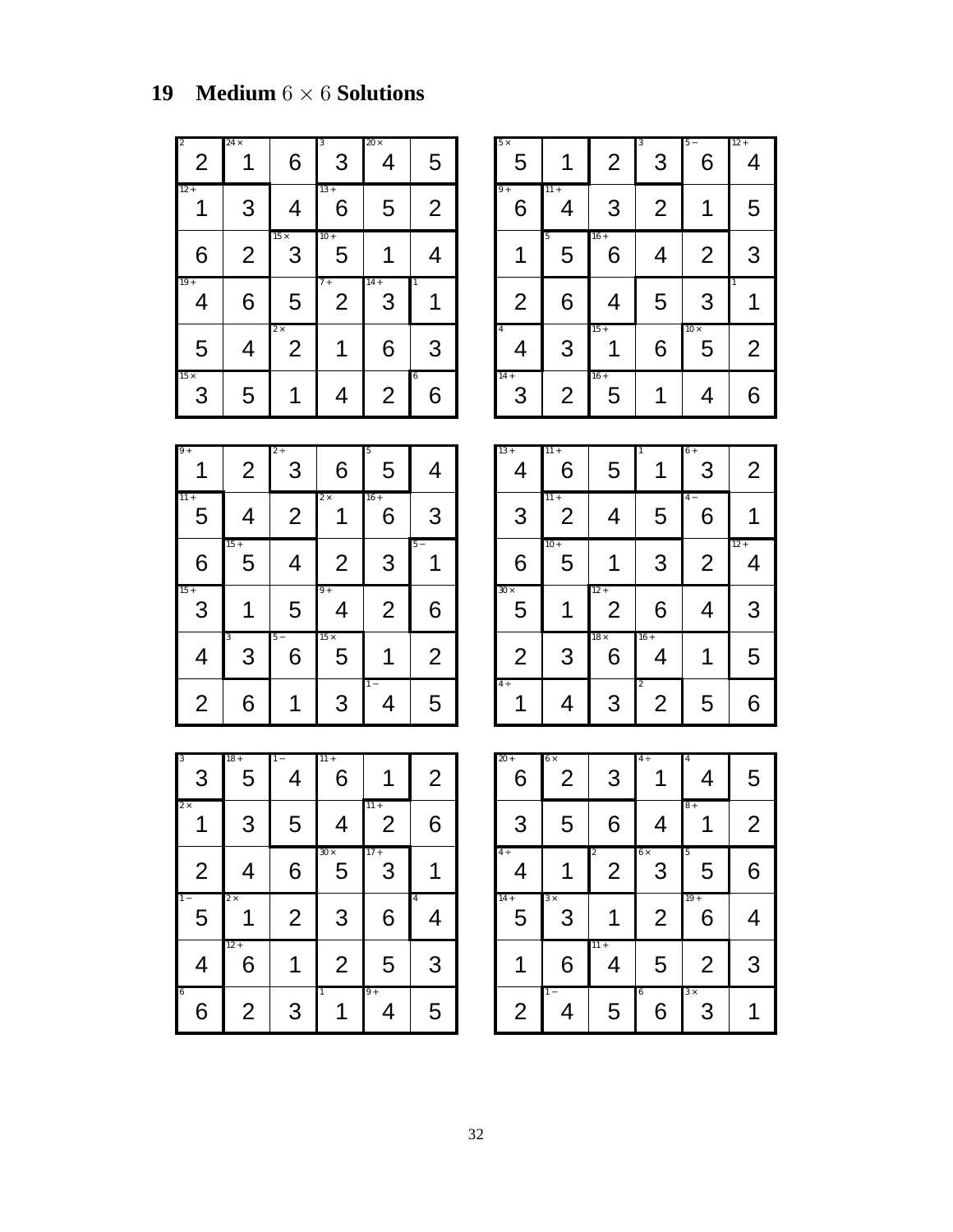## **19 Medium** 6 × 6 **Solutions**

| $\overline{\mathbf{c}}$<br>$\overline{2}$ | $24 \times$    | 6                           | 3<br>3                 | $20 \times$<br>4 | 5              |
|-------------------------------------------|----------------|-----------------------------|------------------------|------------------|----------------|
| $12 +$                                    | 3              | 4                           | $13 +$<br>6            | 5                | $\overline{2}$ |
| 6                                         | $\overline{2}$ | $15 \times$<br>3            | $10 +$<br>5            |                  | 4              |
| $19+$<br>4                                | 6              | 5                           | $7+$<br>$\overline{2}$ | $14 +$<br>3      | $\mathbf{1}$   |
| 5                                         | 4              | $2\times$<br>$\overline{2}$ | 1                      | 6                | 3              |
| $15 \times$<br>3                          | 5              |                             | 4                      | $\overline{2}$   | 6<br>6         |

| $5\times$<br>5      |                | $\overline{2}$ | 3<br>3         | $5 -$<br>6       | $12 +$<br>4    |
|---------------------|----------------|----------------|----------------|------------------|----------------|
| $9+$<br>6           | $11 +$<br>4    | 3              | $\overline{2}$ |                  | 5              |
|                     | 5<br>5         | $16 +$<br>6    | 4              | $\overline{2}$   | 3              |
| $\overline{2}$      | 6              | 4              | 5              | 3                |                |
| $\overline{4}$<br>4 | 3              | $15 +$         | 6              | $10 \times$<br>5 | $\overline{2}$ |
| $14 +$<br>3         | $\overline{2}$ | $16+$<br>5     | 1              | 4                | 6              |

 $13 + 11 + 1$  1 6 +

11 + **4** −

4 | 6 | 5 | 1 | 3 | 2

3 | 2 | 4 | 5 | 6 | 1

 $6 \mid 5 \mid 1 \mid 3 \mid 2 \mid 4$ 

 $10 +$  12 +

| $9+$           | $\overline{2}$ | $2 \div$<br>3  | 6                | 5<br>5         | 4              |
|----------------|----------------|----------------|------------------|----------------|----------------|
| $11 +$<br>5    | 4              | $\overline{2}$ | $2\times$        | $16 +$<br>6    | 3              |
| 6              | $15 +$<br>5    | 4              | $\overline{2}$   | 3              | $5 -$          |
| $15 +$<br>3    |                | 5              | $9+$<br>4        | $\overline{2}$ | 6              |
| 4              | 3<br>3         | $5 -$<br>6     | $15 \times$<br>5 | 1              | $\overline{2}$ |
| $\overline{2}$ | 6              |                | 3                | $1 -$<br>4     | 5              |

| $30\times$<br>5 |                             | $12 +$<br>$\overline{2}$         | 6                                | 4                   | 3              |
|-----------------|-----------------------------|----------------------------------|----------------------------------|---------------------|----------------|
| $\overline{2}$  | 3                           | $18 \times$<br>6                 | $16 +$<br>4                      |                     | 5              |
| $4 +$           | 4                           | 3                                | $\overline{c}$<br>$\overline{2}$ | 5                   | 6              |
|                 |                             |                                  |                                  |                     |                |
| $20 +$<br>6     | $6\times$<br>$\overline{2}$ | 3                                | $4 \div$                         | $\overline{4}$<br>4 | 5              |
| 3               | 5                           | 6                                | 4                                | $8+$                | $\overline{2}$ |
| $4 \div$        |                             | $\overline{c}$<br>$\overline{2}$ | $6\times$<br>3                   | 5<br>5              | 6              |

 $14 + 3 \times 19 +$ 

11 +

1 − 6  $3 \times$ 

5 3 1 2 6 4

1 6 4 5 2 3

2 | 4 | 5 | 6 | 3 | 1

| $\overline{\mathbf{3}}$<br>3 | $18 +$<br>5    | 4              | $11 +$<br>6      |                          | $\overline{2}$      |
|------------------------------|----------------|----------------|------------------|--------------------------|---------------------|
| $2\times$                    | 3              | 5              | 4                | $11 +$<br>$\overline{2}$ | 6                   |
| $\overline{2}$               | 4              | 6              | $30 \times$<br>5 | $17+$<br>3               |                     |
| $1 -$<br>5                   | $2\times$      | $\overline{2}$ | 3                | 6                        | $\overline{4}$<br>4 |
| 4                            | $12 +$<br>6    |                | $\overline{2}$   | 5                        | 3                   |
| 6<br>6                       | $\overline{2}$ | 3              | $\overline{1}$   | $9+$<br>4                | 5                   |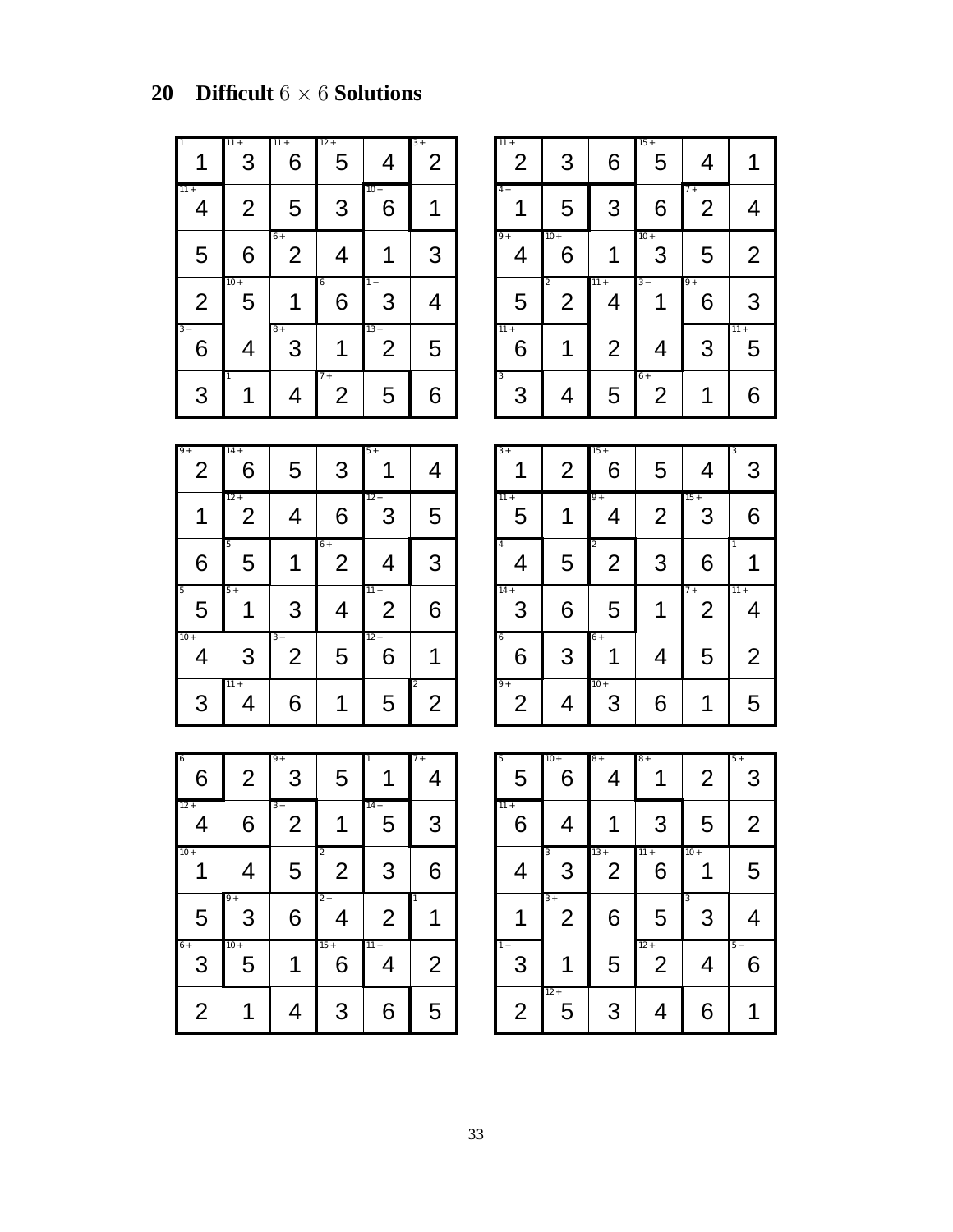## **20 Difficult** 6 × 6 **Solutions**

| $\overline{1}$ | $11 +$<br>3    | $11 +$<br>6 | $12 +$<br>5            | 4                       | $3+$<br>$\overline{2}$ |
|----------------|----------------|-------------|------------------------|-------------------------|------------------------|
| $11 +$<br>4    | $\overline{2}$ | 5           | 3                      | $10 +$<br>6             |                        |
| 5              | 6              | $6+$<br>2   | 4                      |                         | 3                      |
| $\overline{2}$ | $10 +$<br>5    |             | 6<br>6                 | $1 -$<br>3              | 4                      |
| $3 -$<br>6     | 4              | $8+$<br>3   |                        | $13+$<br>$\overline{2}$ | 5                      |
| 3              | $\overline{1}$ | 4           | $7+$<br>$\overline{2}$ | 5                       | 6                      |

| $11 +$<br>$\overline{2}$ | 3                                | 6              | $15 +$<br>5 | 4                      |                |
|--------------------------|----------------------------------|----------------|-------------|------------------------|----------------|
| $4 -$                    | 5                                | 3              | 6           | $7+$<br>$\overline{2}$ | 4              |
| $9+$<br>4                | $10 +$<br>6                      | 1              | $10 +$<br>3 | 5                      | $\overline{2}$ |
|                          |                                  |                |             |                        |                |
| 5                        | $\overline{2}$<br>$\overline{2}$ | $11 +$<br>4    | $3 -$<br>1  | $9+$<br>6              | 3              |
| $11 +$<br>6              | 1                                | $\overline{2}$ | 4           | 3                      | $11 +$<br>5    |

| $9+$<br>$\overline{2}$ | $14 +$<br>6              | 5                      | 3                      | $5+$                     | 4                                |
|------------------------|--------------------------|------------------------|------------------------|--------------------------|----------------------------------|
| 1                      | $12 +$<br>$\overline{2}$ | 4                      | 6                      | $12 +$<br>3              | 5                                |
| 6                      | 5<br>5                   |                        | $6+$<br>$\overline{2}$ | 4                        | 3                                |
| 5<br>5                 | $5+$                     | 3                      | 4                      | $11 +$<br>$\overline{2}$ | 6                                |
| $10 +$<br>4            | 3                        | $3-$<br>$\overline{2}$ | 5                      | $12 +$<br>6              |                                  |
| 3                      | $11 +$<br>4              | 6                      |                        | 5                        | $\overline{2}$<br>$\overline{2}$ |

| $3+$                         | $\overline{2}$ | $15 +$<br>6                      | 5              | 4                      | 3<br>3         |
|------------------------------|----------------|----------------------------------|----------------|------------------------|----------------|
| $11 +$<br>5                  |                | $9+$<br>4                        | $\overline{2}$ | $15 +$<br>3            | 6              |
| $\overline{\mathbf{4}}$<br>4 | 5              | $\overline{c}$<br>$\overline{2}$ | 3              | 6                      |                |
|                              |                |                                  |                |                        |                |
| $14 +$<br>3                  | 6              | 5                                | 1              | $7+$<br>$\overline{2}$ | $11 +$<br>4    |
| 6<br>6                       | 3              | $6+$                             | 4              | 5                      | $\overline{2}$ |

| 6<br>6         | $\overline{2}$ | $9+$<br>3              | 5                                | $\,1$                  | $7+$           |
|----------------|----------------|------------------------|----------------------------------|------------------------|----------------|
| $12 +$<br>4    | 6              | $3-$<br>$\overline{2}$ |                                  | $14 +$<br>5            | 3              |
| $10 +$         | 4              | 5                      | $\overline{2}$<br>$\overline{2}$ | 3                      | 6              |
| 5              | $9+$<br>3      | 6                      | $2 -$<br>4                       | $\overline{2}$         | 1              |
| $6+$<br>3      | $10 +$<br>5    |                        | $15+$<br>6                       | $\overline{11}$ +<br>4 | $\overline{2}$ |
| $\overline{2}$ |                | 4                      | 3                                | 6                      | 5              |

| 5<br>5         | $10 +$<br>6            | $8+$<br>4                | $8+$                     | $\overline{2}$ | $5+$<br>3      |
|----------------|------------------------|--------------------------|--------------------------|----------------|----------------|
| $11 +$<br>6    | 4                      |                          | 3                        | 5              | $\overline{2}$ |
| 4              | 3<br>3                 | $13 +$<br>$\overline{2}$ | $11 +$<br>6              | $10 +$         | 5              |
|                | $3+$<br>$\overline{2}$ | 6                        | 5                        | 3<br>3         | 4              |
| $1 -$<br>3     |                        | 5                        | $12 +$<br>$\overline{2}$ | 4              | $5 -$<br>6     |
| $\overline{2}$ | $12 +$<br>5            | 3                        | 4                        | 6              |                |